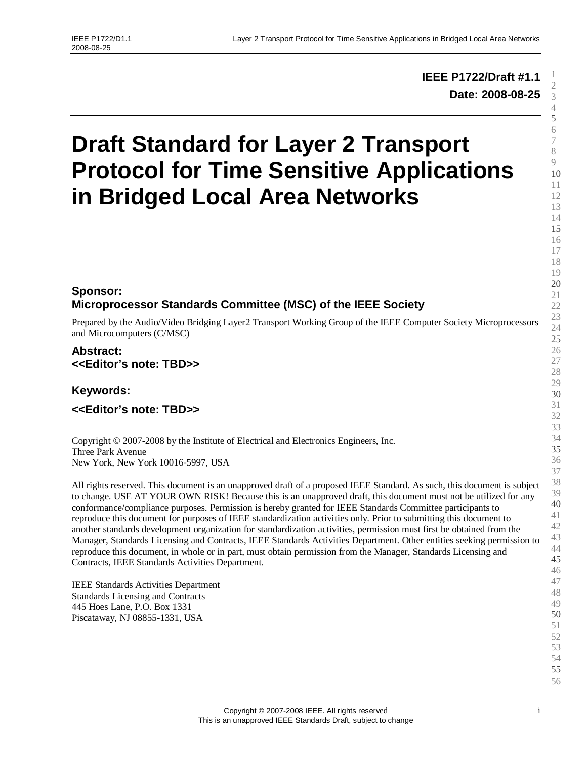# **IEEE P1722/Draft #1.1 Date: 2008-08-25**

# **Draft Standard for Layer 2 Transport Protocol for Time Sensitive Applications in Bridged Local Area Networks**

# **Sponsor: Microprocessor Standards Committee (MSC) of the IEEE Society**

Prepared by the Audio/Video Bridging Layer2 Transport Working Group of the IEEE Computer Society Microprocessors and Microcomputers (C/MSC)

#### **Abstract: <<Editor's note: TBD>>**

**Keywords:**

**<<Editor's note: TBD>>**

Copyright © 2007-2008 by the Institute of Electrical and Electronics Engineers, Inc. Three Park Avenue New York, New York 10016-5997, USA

All rights reserved. This document is an unapproved draft of a proposed IEEE Standard. As such, this document is subject to change. USE AT YOUR OWN RISK! Because this is an unapproved draft, this document must not be utilized for any conformance/compliance purposes. Permission is hereby granted for IEEE Standards Committee participants to reproduce this document for purposes of IEEE standardization activities only. Prior to submitting this document to another standards development organization for standardization activities, permission must first be obtained from the Manager, Standards Licensing and Contracts, IEEE Standards Activities Department. Other entities seeking permission to reproduce this document, in whole or in part, must obtain permission from the Manager, Standards Licensing and Contracts, IEEE Standards Activities Department.

IEEE Standards Activities Department Standards Licensing and Contracts 445 Hoes Lane, P.O. Box 1331 Piscataway, NJ 08855-1331, USA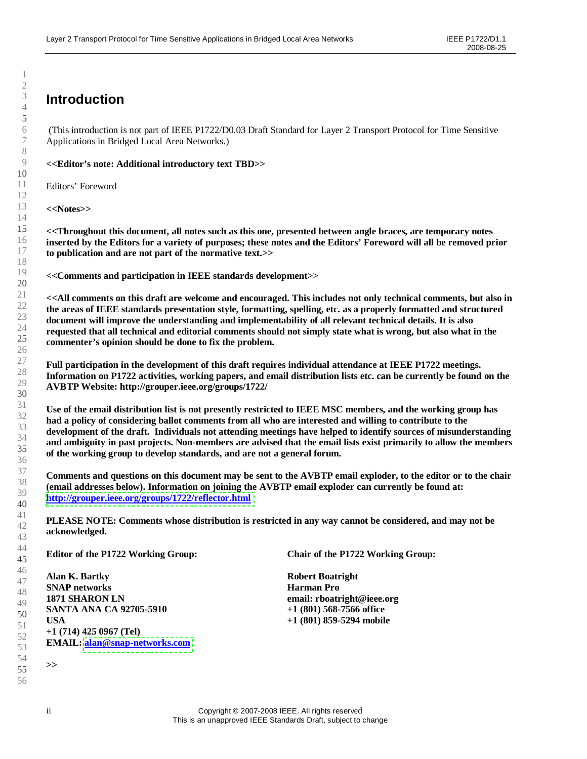# **Introduction**

> (This introduction is not part of IEEE P1722/D0.03 Draft Standard for Layer 2 Transport Protocol for Time Sensitive Applications in Bridged Local Area Networks.)

**<<Editor's note: Additional introductory text TBD>>**

Editors' Foreword

**<<Notes>>**

**<<Throughout this document, all notes such as this one, presented between angle braces, are temporary notes inserted by the Editors for a variety of purposes; these notes and the Editors'Foreword will all be removed prior to publication and are not part of the normative text.>>**

**<<Comments and participation in IEEE standards development>>**

**<<All comments on this draft are welcome and encouraged. This includes not only technical comments, but also in the areas of IEEE standards presentation style, formatting, spelling, etc. as a properly formatted and structured document will improve the understanding and implementability of all relevant technical details. It is also requested that all technical and editorial comments should not simply state what is wrong, but also what in the commenter's opinion should be done to fix the problem.**

**Full participation in the development of this draft requires individual attendance at IEEE P1722 meetings. Information on P1722 activities, working papers, and email distribution lists etc. can be currently be found on the AVBTP Website: http://grouper.ieee.org/groups/1722/**

**Use of the email distribution list is not presently restricted to IEEE MSC members, and the working group has had a policy of considering ballot comments from all who are interested and willing to contribute to the development of the draft. Individuals not attending meetings have helped to identify sources of misunderstanding and ambiguity in past projects. Non-members are advised that the email lists exist primarily to allow the members of the working group to develop standards, and are not a general forum.**

**Comments and questions on this document may be sent to the AVBTP email exploder, to the editor or to the chair (email addresses below). Information on joining the AVBTP email exploder can currently be found at: <http://grouper.ieee.org/groups/1722/reflector.html>**

**PLEASE NOTE: Comments whose distribution is restricted in any way cannot be considered, and may not be acknowledged.**

**Editor of the P1722 Working Group:**

**Alan K. Bartky SNAP networks 1871 SHARON LN SANTA ANA CA 92705-5910 USA +1 (714) 425 0967 (Tel) EMAIL: [alan@snap-networks.com](mailto:alan@snap-networks.com)** **Chair of the P1722 Working Group:**

**Robert Boatright Harman Pro email: rboatright@ieee.org +1 (801) 568-7566 office +1 (801) 859-5294 mobile**

**>>**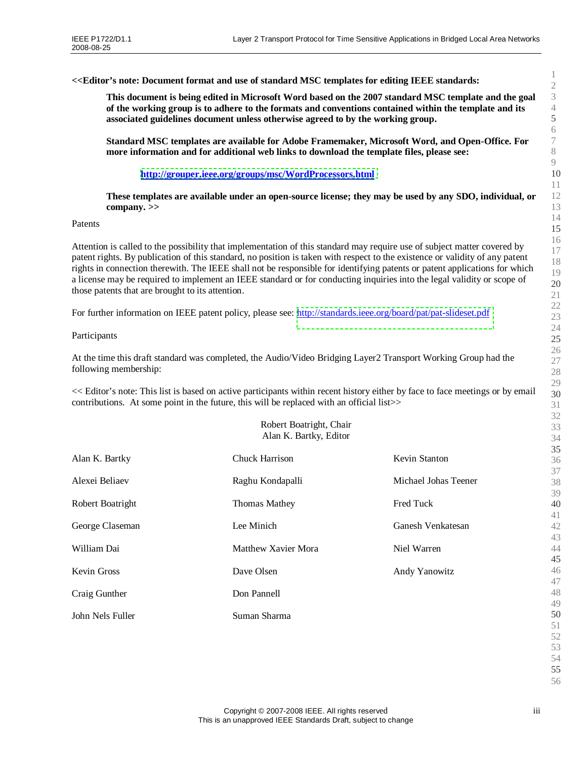**This document is being edited in Microsoft Word based on the 2007 standard MSC template and the goal of the working group is to adhere to the formats and conventions contained within the template and its associated guidelines document unless otherwise agreed to by the working group.**

**Standard MSC templates are available for Adobe Framemaker, Microsoft Word, and Open-Office. For more information and for additional web links to download the template files, please see:**

**<http://grouper.ieee.org/groups/msc/WordProcessors.html>**

**These templates are available under an open-source license; they may be used by any SDO, individual, or company. >>**

Patents

Attention is called to the possibility that implementation of this standard may require use of subject matter covered by patent rights. By publication of this standard, no position is taken with respect to the existence or validity of any patent rights in connection therewith. The IEEE shall not be responsible for identifying patents or patent applications for which a license may be required to implement an IEEE standard or for conducting inquiries into the legal validity or scope of those patents that are brought to its attention.

For further information on IEEE patent policy, please see: <http://standards.ieee.org/board/pat/pat-slideset.pdf>

#### Participants

At the time this draft standard was completed, the Audio/Video Bridging Layer2 Transport Working Group had the following membership:

<< Editor's note: This list is based on active participants within recent history either by face to face meetings or by email contributions. At some point in the future, this will be replaced with an official list>>

Robert Boatright, Chair

|                  | Alan K. Bartky, Editor     |                      | 3                                                    |
|------------------|----------------------------|----------------------|------------------------------------------------------|
| Alan K. Bartky   | Chuck Harrison             | Kevin Stanton        | 3<br>3                                               |
| Alexei Beliaev   | Raghu Kondapalli           | Michael Johas Teener | 3<br>3                                               |
| Robert Boatright | <b>Thomas Mathey</b>       | <b>Fred Tuck</b>     | 3<br>$\overline{\mathcal{A}}$                        |
| George Claseman  | Lee Minich                 | Ganesh Venkatesan    | 4<br>$\overline{\mathcal{A}}$                        |
| William Dai      | <b>Matthew Xavier Mora</b> | Niel Warren          | $\overline{\mathcal{A}}$<br>$\overline{\mathcal{A}}$ |
| Kevin Gross      | Dave Olsen                 | Andy Yanowitz        | $\overline{\mathcal{A}}$<br>$\overline{\mathcal{A}}$ |
| Craig Gunther    | Don Pannell                |                      | 4<br>4                                               |
| John Nels Fuller | Suman Sharma               |                      | 4<br>5<br>5                                          |
|                  |                            |                      |                                                      |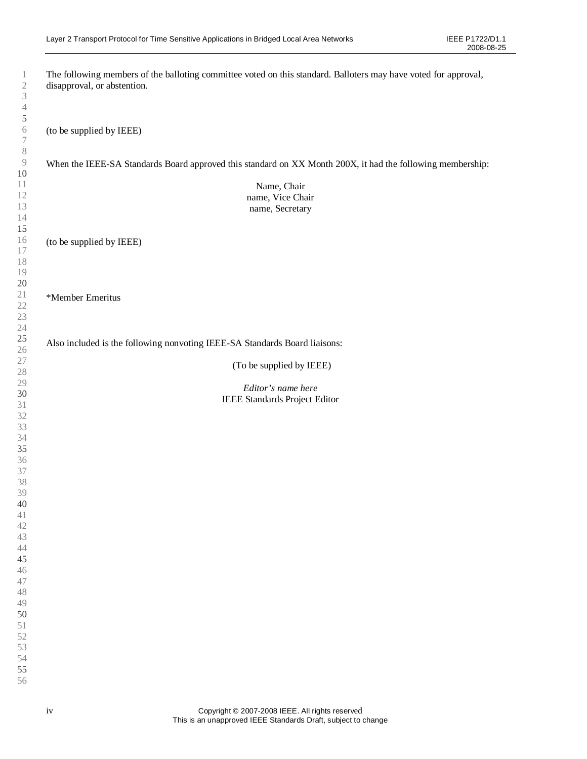The following members of the balloting committee voted on this standard. Balloters may have voted for approval, disapproval, or abstention. (to be supplied by IEEE) When the IEEE-SA Standards Board approved this standard on XX Month 200X, it had the following membership: Name, Chair name, Vice Chair name, Secretary (to be supplied by IEEE) \*Member Emeritus Also included is the following nonvoting IEEE-SA Standards Board liaisons: (To be supplied by IEEE) *Editor's name here* IEEE Standards Project Editor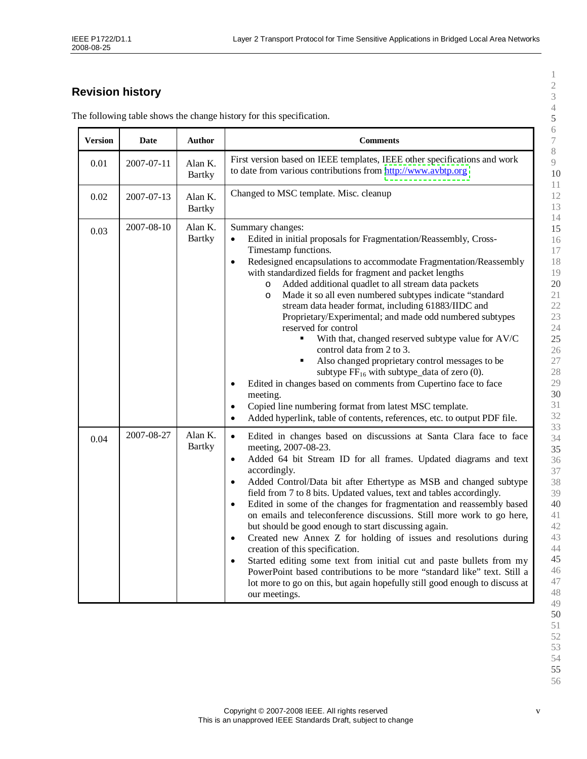# **Revision history**

| <b>Version</b> | Date       | <b>Author</b>            | <b>Comments</b>                                                                                                                                                                                                                                                                                                                                                                                                                                                                                                                                                                                                                                                                                                                                                                                                                                                                                                                                                                        |
|----------------|------------|--------------------------|----------------------------------------------------------------------------------------------------------------------------------------------------------------------------------------------------------------------------------------------------------------------------------------------------------------------------------------------------------------------------------------------------------------------------------------------------------------------------------------------------------------------------------------------------------------------------------------------------------------------------------------------------------------------------------------------------------------------------------------------------------------------------------------------------------------------------------------------------------------------------------------------------------------------------------------------------------------------------------------|
| 0.01           | 2007-07-11 | Alan K.<br><b>Bartky</b> | First version based on IEEE templates, IEEE other specifications and work<br>to date from various contributions from http://www.avbtp.org                                                                                                                                                                                                                                                                                                                                                                                                                                                                                                                                                                                                                                                                                                                                                                                                                                              |
| 0.02           | 2007-07-13 | Alan K.<br><b>Bartky</b> | Changed to MSC template. Misc. cleanup                                                                                                                                                                                                                                                                                                                                                                                                                                                                                                                                                                                                                                                                                                                                                                                                                                                                                                                                                 |
| 0.03           | 2007-08-10 | Alan K.<br><b>Bartky</b> | Summary changes:<br>Edited in initial proposals for Fragmentation/Reassembly, Cross-<br>Timestamp functions.<br>Redesigned encapsulations to accommodate Fragmentation/Reassembly<br>$\bullet$<br>with standardized fields for fragment and packet lengths<br>Added additional quadlet to all stream data packets<br>O<br>Made it so all even numbered subtypes indicate "standard<br>$\circ$<br>stream data header format, including 61883/IIDC and<br>Proprietary/Experimental; and made odd numbered subtypes<br>reserved for control<br>With that, changed reserved subtype value for AV/C<br>control data from 2 to 3.<br>Also changed proprietary control messages to be<br>٠<br>subtype $FF_{16}$ with subtype_data of zero (0).<br>Edited in changes based on comments from Cupertino face to face<br>$\bullet$<br>meeting.<br>Copied line numbering format from latest MSC template.<br>Added hyperlink, table of contents, references, etc. to output PDF file.<br>$\bullet$ |
| 0.04           | 2007-08-27 | Alan K.<br><b>Bartky</b> | Edited in changes based on discussions at Santa Clara face to face<br>$\bullet$<br>meeting, 2007-08-23.<br>Added 64 bit Stream ID for all frames. Updated diagrams and text<br>$\bullet$<br>accordingly.<br>Added Control/Data bit after Ethertype as MSB and changed subtype<br>field from 7 to 8 bits. Updated values, text and tables accordingly.<br>Edited in some of the changes for fragmentation and reassembly based<br>$\bullet$<br>on emails and teleconference discussions. Still more work to go here,<br>but should be good enough to start discussing again.<br>Created new Annex Z for holding of issues and resolutions during<br>$\bullet$<br>creation of this specification.<br>Started editing some text from initial cut and paste bullets from my<br>$\bullet$<br>PowerPoint based contributions to be more "standard like" text. Still a<br>lot more to go on this, but again hopefully still good enough to discuss at<br>our meetings.                        |

The following table shows the change history for this specification.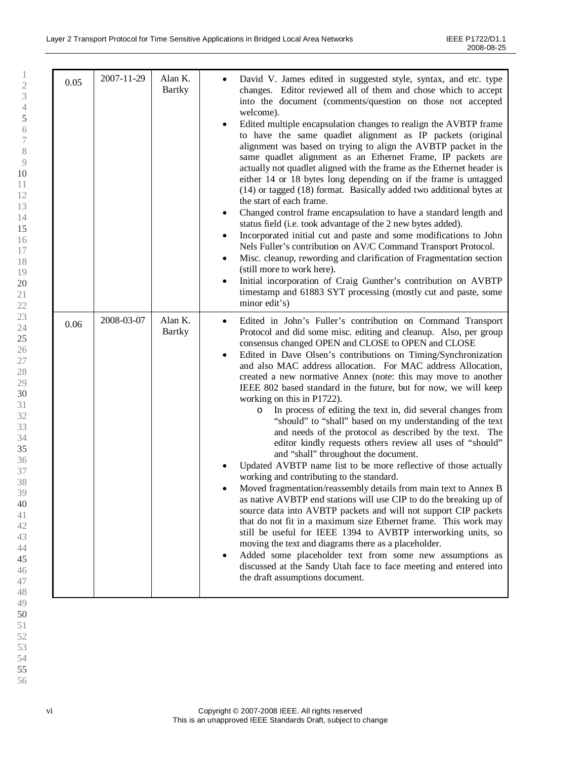| 0.05 | 2007-11-29 | Alan K.<br><b>Bartky</b> | David V. James edited in suggested style, syntax, and etc. type<br>changes. Editor reviewed all of them and chose which to accept<br>into the document (comments/question on those not accepted<br>welcome).<br>Edited multiple encapsulation changes to realign the AVBTP frame<br>to have the same quadlet alignment as IP packets (original<br>alignment was based on trying to align the AVBTP packet in the<br>same quadlet alignment as an Ethernet Frame, IP packets are<br>actually not quadlet aligned with the frame as the Ethernet header is<br>either 14 or 18 bytes long depending on if the frame is untagged<br>(14) or tagged (18) format. Basically added two additional bytes at<br>the start of each frame.<br>Changed control frame encapsulation to have a standard length and<br>status field (i.e. took advantage of the 2 new bytes added).<br>Incorporated initial cut and paste and some modifications to John<br>Nels Fuller's contribution on AV/C Command Transport Protocol.<br>Misc. cleanup, rewording and clarification of Fragmentation section<br>(still more to work here).<br>Initial incorporation of Craig Gunther's contribution on AVBTP<br>timestamp and 61883 SYT processing (mostly cut and paste, some                                                                                                                                              |
|------|------------|--------------------------|---------------------------------------------------------------------------------------------------------------------------------------------------------------------------------------------------------------------------------------------------------------------------------------------------------------------------------------------------------------------------------------------------------------------------------------------------------------------------------------------------------------------------------------------------------------------------------------------------------------------------------------------------------------------------------------------------------------------------------------------------------------------------------------------------------------------------------------------------------------------------------------------------------------------------------------------------------------------------------------------------------------------------------------------------------------------------------------------------------------------------------------------------------------------------------------------------------------------------------------------------------------------------------------------------------------------------------------------------------------------------------------------------|
| 0.06 | 2008-03-07 | Alan K.<br><b>Bartky</b> | minor edit's)<br>Edited in John's Fuller's contribution on Command Transport<br>Protocol and did some misc. editing and cleanup. Also, per group<br>consensus changed OPEN and CLOSE to OPEN and CLOSE<br>Edited in Dave Olsen's contributions on Timing/Synchronization<br>and also MAC address allocation. For MAC address Allocation,<br>created a new normative Annex (note: this may move to another<br>IEEE 802 based standard in the future, but for now, we will keep<br>working on this in P1722).<br>In process of editing the text in, did several changes from<br>O<br>"should" to "shall" based on my understanding of the text<br>and needs of the protocol as described by the text. The<br>editor kindly requests others review all uses of "should"<br>and "shall" throughout the document.<br>Updated AVBTP name list to be more reflective of those actually<br>working and contributing to the standard.<br>Moved fragmentation/reassembly details from main text to Annex B<br>as native AVBTP end stations will use CIP to do the breaking up of<br>source data into AVBTP packets and will not support CIP packets<br>that do not fit in a maximum size Ethernet frame. This work may<br>still be useful for IEEE 1394 to AVBTP interworking units, so<br>moving the text and diagrams there as a placeholder.<br>Added some placeholder text from some new assumptions as |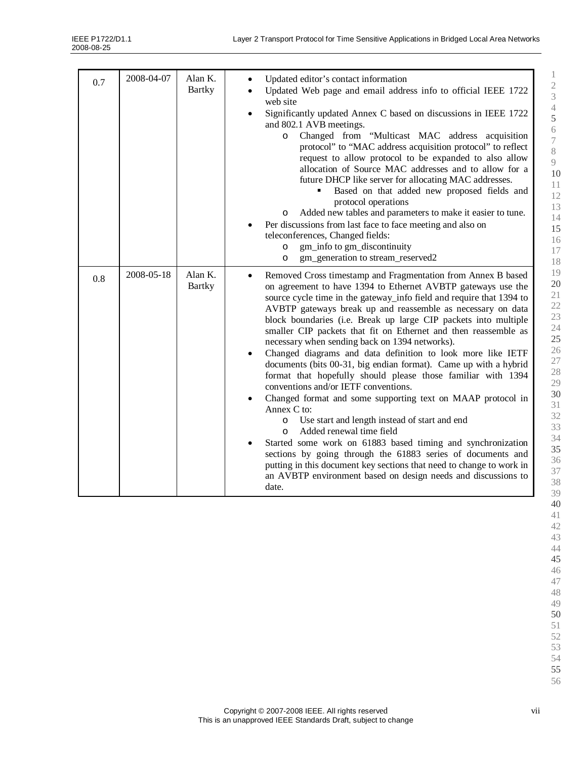| 0.7 | 2008-04-07 | Alan K.<br><b>Bartky</b> | Updated editor's contact information<br>$\bullet$<br>Updated Web page and email address info to official IEEE 1722<br>web site<br>Significantly updated Annex C based on discussions in IEEE 1722<br>$\bullet$<br>and 802.1 AVB meetings.<br>Changed from "Multicast MAC address acquisition<br>$\circ$<br>protocol" to "MAC address acquisition protocol" to reflect<br>request to allow protocol to be expanded to also allow<br>allocation of Source MAC addresses and to allow for a<br>future DHCP like server for allocating MAC addresses.<br>Based on that added new proposed fields and<br>٠<br>protocol operations<br>Added new tables and parameters to make it easier to tune.<br>O<br>Per discussions from last face to face meeting and also on<br>teleconferences, Changed fields:<br>gm_info to gm_discontinuity<br>$\circ$<br>gm_generation to stream_reserved2<br>$\circ$                                                                                                                                                                                                                                                                                                                                 |
|-----|------------|--------------------------|-----------------------------------------------------------------------------------------------------------------------------------------------------------------------------------------------------------------------------------------------------------------------------------------------------------------------------------------------------------------------------------------------------------------------------------------------------------------------------------------------------------------------------------------------------------------------------------------------------------------------------------------------------------------------------------------------------------------------------------------------------------------------------------------------------------------------------------------------------------------------------------------------------------------------------------------------------------------------------------------------------------------------------------------------------------------------------------------------------------------------------------------------------------------------------------------------------------------------------|
| 0.8 | 2008-05-18 | Alan K.<br><b>Bartky</b> | Removed Cross timestamp and Fragmentation from Annex B based<br>$\bullet$<br>on agreement to have 1394 to Ethernet AVBTP gateways use the<br>source cycle time in the gateway_info field and require that 1394 to<br>AVBTP gateways break up and reassemble as necessary on data<br>block boundaries (i.e. Break up large CIP packets into multiple<br>smaller CIP packets that fit on Ethernet and then reassemble as<br>necessary when sending back on 1394 networks).<br>Changed diagrams and data definition to look more like IETF<br>$\bullet$<br>documents (bits 00-31, big endian format). Came up with a hybrid<br>format that hopefully should please those familiar with 1394<br>conventions and/or IETF conventions.<br>Changed format and some supporting text on MAAP protocol in<br>$\bullet$<br>Annex C to:<br>Use start and length instead of start and end<br>$\circ$<br>Added renewal time field<br>$\circ$<br>Started some work on 61883 based timing and synchronization<br>$\bullet$<br>sections by going through the 61883 series of documents and<br>putting in this document key sections that need to change to work in<br>an AVBTP environment based on design needs and discussions to<br>date. |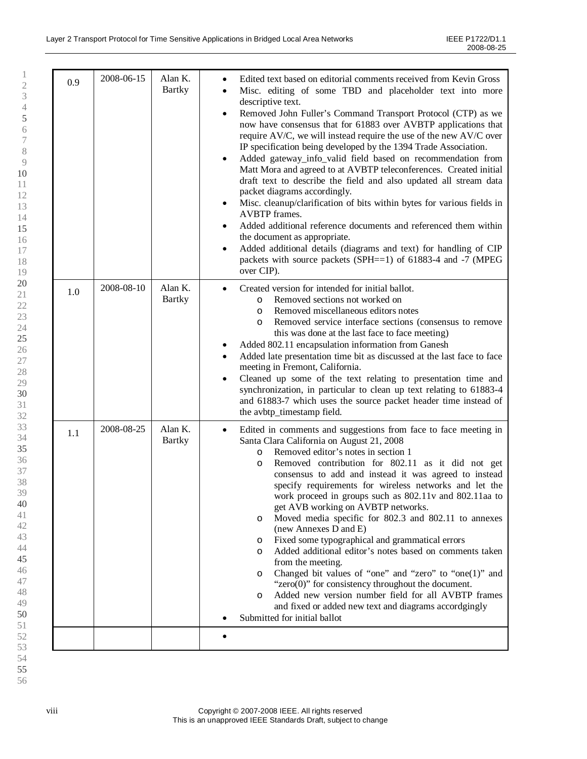| 0.9 | 2008-06-15 | Alan K.<br><b>Bartky</b> | Edited text based on editorial comments received from Kevin Gross<br>Misc. editing of some TBD and placeholder text into more<br>$\bullet$<br>descriptive text.<br>Removed John Fuller's Command Transport Protocol (CTP) as we<br>$\bullet$<br>now have consensus that for 61883 over AVBTP applications that<br>require AV/C, we will instead require the use of the new AV/C over<br>IP specification being developed by the 1394 Trade Association.<br>Added gateway_info_valid field based on recommendation from<br>$\bullet$<br>Matt Mora and agreed to at AVBTP teleconferences. Created initial<br>draft text to describe the field and also updated all stream data<br>packet diagrams accordingly.<br>Misc. cleanup/clarification of bits within bytes for various fields in<br>$\bullet$<br>AVBTP frames.<br>Added additional reference documents and referenced them within<br>the document as appropriate.<br>Added additional details (diagrams and text) for handling of CIP<br>packets with source packets (SPH==1) of 61883-4 and -7 (MPEG<br>over CIP). |
|-----|------------|--------------------------|----------------------------------------------------------------------------------------------------------------------------------------------------------------------------------------------------------------------------------------------------------------------------------------------------------------------------------------------------------------------------------------------------------------------------------------------------------------------------------------------------------------------------------------------------------------------------------------------------------------------------------------------------------------------------------------------------------------------------------------------------------------------------------------------------------------------------------------------------------------------------------------------------------------------------------------------------------------------------------------------------------------------------------------------------------------------------|
| 1.0 | 2008-08-10 | Alan K.<br><b>Bartky</b> | Created version for intended for initial ballot.<br>Removed sections not worked on<br>$\circ$<br>Removed miscellaneous editors notes<br>$\circ$<br>Removed service interface sections (consensus to remove<br>$\circ$<br>this was done at the last face to face meeting)<br>Added 802.11 encapsulation information from Ganesh<br>٠<br>Added late presentation time bit as discussed at the last face to face<br>meeting in Fremont, California.<br>Cleaned up some of the text relating to presentation time and<br>$\bullet$<br>synchronization, in particular to clean up text relating to 61883-4<br>and 61883-7 which uses the source packet header time instead of<br>the avbtp_timestamp field.                                                                                                                                                                                                                                                                                                                                                                     |
| 1.1 | 2008-08-25 | Alan K.<br><b>Bartky</b> | Edited in comments and suggestions from face to face meeting in<br>$\bullet$<br>Santa Clara California on August 21, 2008<br>Removed editor's notes in section 1<br>$\circ$<br>Removed contribution for 802.11 as it did not get<br>$\circ$<br>consensus to add and instead it was agreed to instead<br>specify requirements for wireless networks and let the<br>work proceed in groups such as 802.11v and 802.11aa to<br>get AVB working on AVBTP networks.<br>Moved media specific for 802.3 and 802.11 to annexes<br>$\circ$<br>(new Annexes D and E)<br>Fixed some typographical and grammatical errors<br>$\circ$<br>Added additional editor's notes based on comments taken<br>$\circ$<br>from the meeting.<br>Changed bit values of "one" and "zero" to "one(1)" and<br>$\circ$<br>" $zero(0)$ " for consistency throughout the document.<br>Added new version number field for all AVBTP frames<br>$\circ$<br>and fixed or added new text and diagrams accordgingly<br>Submitted for initial ballot                                                              |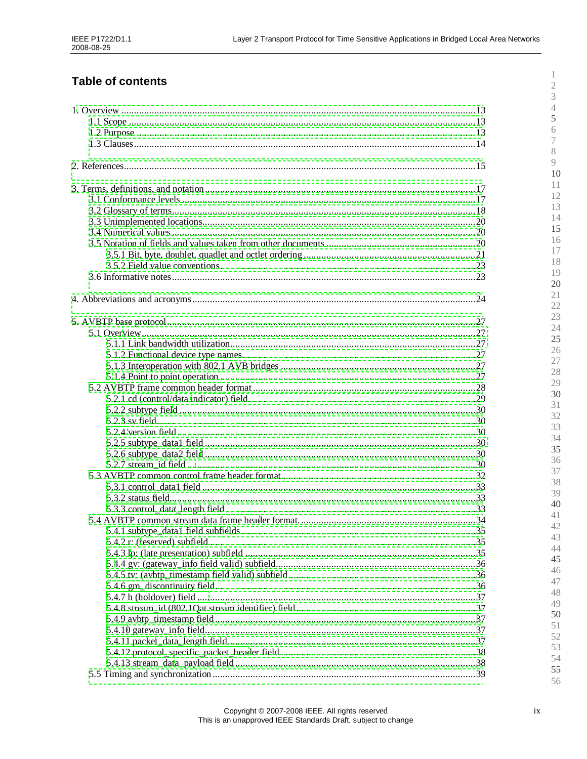# **Table of contents**

 $\,1\,$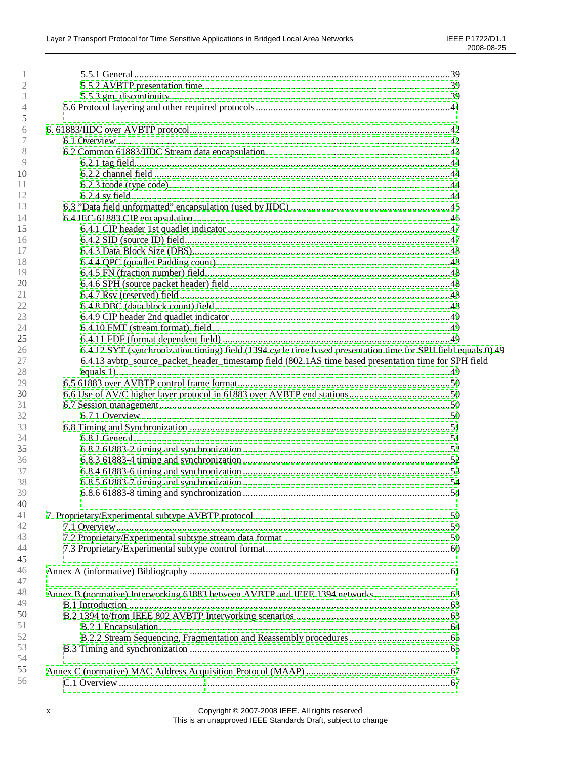| 6.4.12 SYT (synchronization timing) field (1394 cycle time based presentation time for SPH field equals 0) 49 |  |
|---------------------------------------------------------------------------------------------------------------|--|
| 6.4.13 avbtp_source_packet_header_timestamp field (802.1AS time based presentation time for SPH field         |  |
|                                                                                                               |  |
|                                                                                                               |  |
|                                                                                                               |  |
|                                                                                                               |  |
|                                                                                                               |  |
|                                                                                                               |  |
|                                                                                                               |  |
|                                                                                                               |  |
|                                                                                                               |  |
|                                                                                                               |  |
|                                                                                                               |  |
|                                                                                                               |  |
|                                                                                                               |  |
|                                                                                                               |  |
|                                                                                                               |  |
|                                                                                                               |  |
|                                                                                                               |  |
|                                                                                                               |  |
|                                                                                                               |  |
|                                                                                                               |  |
|                                                                                                               |  |
|                                                                                                               |  |
|                                                                                                               |  |
|                                                                                                               |  |
|                                                                                                               |  |
|                                                                                                               |  |
|                                                                                                               |  |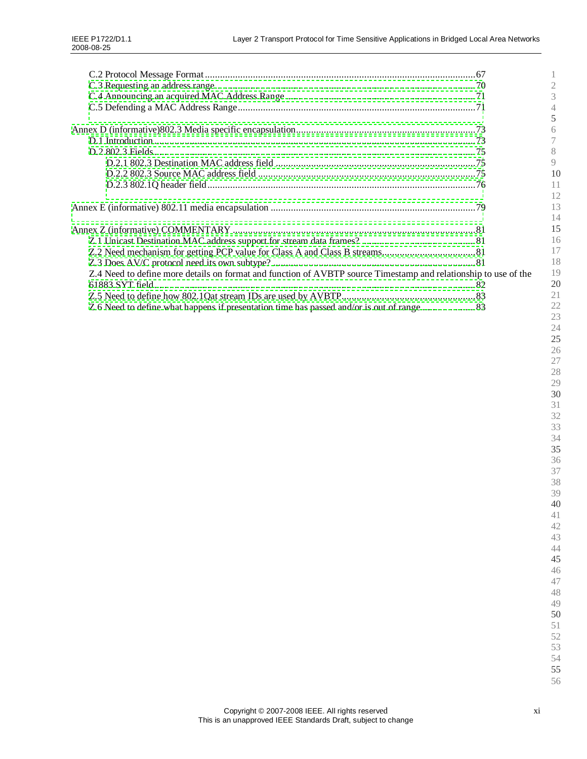|                                                                                                                 | 10  |
|-----------------------------------------------------------------------------------------------------------------|-----|
|                                                                                                                 |     |
|                                                                                                                 | 12  |
|                                                                                                                 | 13  |
|                                                                                                                 | 14  |
|                                                                                                                 | 15  |
|                                                                                                                 | 16  |
|                                                                                                                 | 17  |
|                                                                                                                 | 18  |
| Z.4 Need to define more details on format and function of AVBTP source Timestamp and relationship to use of the | 19  |
|                                                                                                                 | 20  |
|                                                                                                                 | 2.1 |
|                                                                                                                 | 22  |
|                                                                                                                 |     |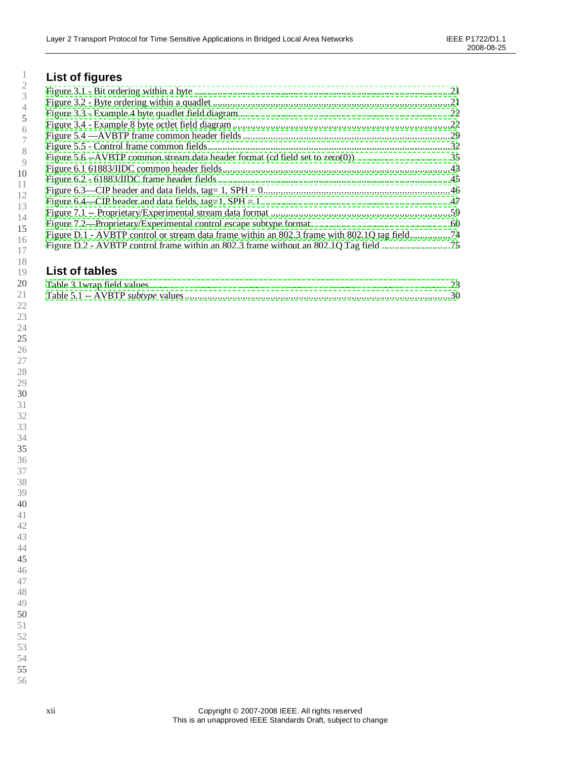# **List of figures**

| Figure D.1 - AVBTP control or stream data frame within an 802.3 frame with 802.1Q tag field74 |  |
|-----------------------------------------------------------------------------------------------|--|
|                                                                                               |  |
|                                                                                               |  |

# **List of tables**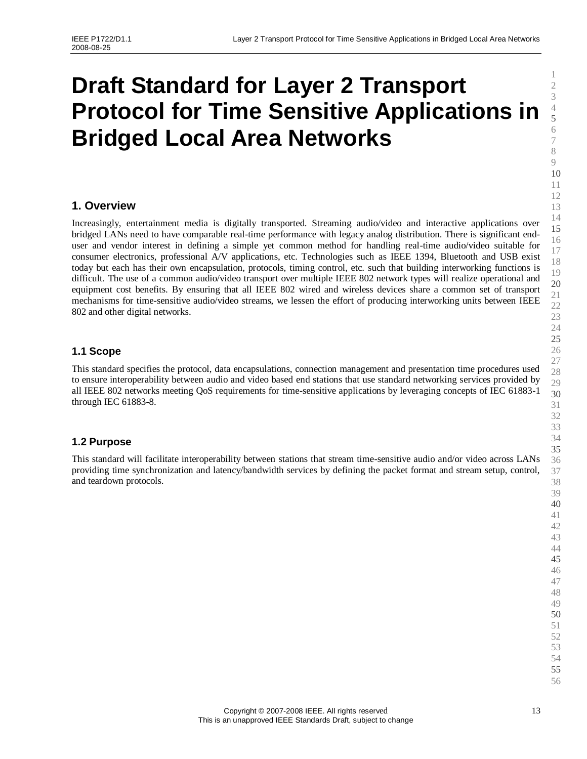# <span id="page-12-1"></span><span id="page-12-0"></span>**Draft Standard for Layer 2 Transport Protocol for Time Sensitive Applications in Bridged Local Area Networks**

## **1. Overview**

Increasingly, entertainment media is digitally transported. Streaming audio/video and interactive applications over bridged LANs need to have comparable real-time performance with legacy analog distribution. There is significant enduser and vendor interest in defining a simple yet common method for handling real-time audio/video suitable for consumer electronics, professional A/V applications, etc. Technologies such as IEEE 1394, Bluetooth and USB exist today but each has their own encapsulation, protocols, timing control, etc. such that building interworking functions is difficult. The use of a common audio/video transport over multiple IEEE 802 network types will realize operational and equipment cost benefits. By ensuring that all IEEE 802 wired and wireless devices share a common set of transport mechanisms for time-sensitive audio/video streams, we lessen the effort of producing interworking units between IEEE 802 and other digital networks.

#### **1.1 Scope**

This standard specifies the protocol, data encapsulations, connection management and presentation time procedures used to ensure interoperability between audio and video based end stations that use standard networking services provided by all IEEE 802 networks meeting QoS requirements for time-sensitive applications by leveraging concepts of IEC 61883-1 through IEC 61883-8.

#### **1.2 Purpose**

This standard will facilitate interoperability between stations that stream time-sensitive audio and/or video across LANs providing time synchronization and latency/bandwidth services by defining the packet format and stream setup, control, and teardown protocols.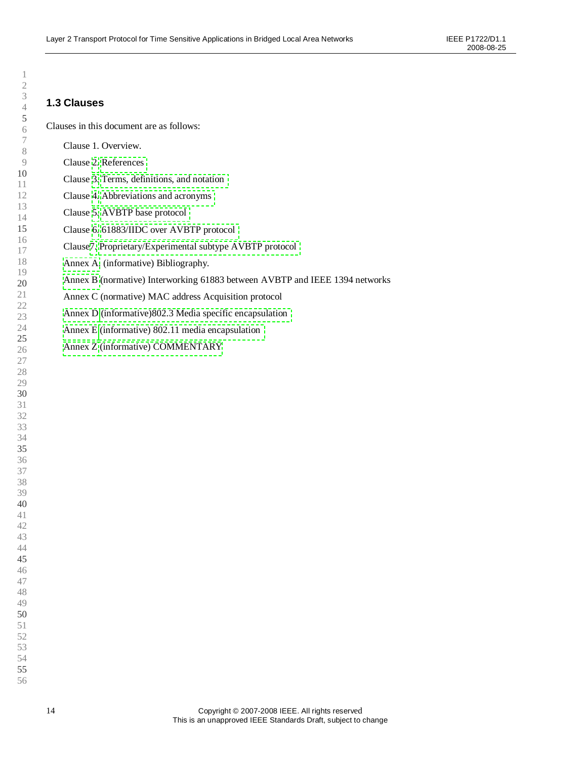#### <span id="page-13-0"></span>**1.3 Clauses**

Clauses in this document are as follows:

- Clause 1. Overview.
- Clause [2.](#page-14-0) [References](#page-14-0)
- Clause [3.](#page-16-0) [Terms, definitions, and notation](#page-16-0)
- Clause [4.](#page-23-0) [Abbreviations and acronyms](#page-23-0)
- Clause [5.](#page-26-0) [AVBTP base protocol](#page-26-0)
- Clause [6.](#page-41-0) [61883/IIDC over AVBTP protocol](#page-41-0)
- Clause[7.](#page-58-0) [Proprietary/Experimental subtype AVBTP protocol](#page-58-0)
- [Annex A.](#page-60-0) (informative) Bibliography.
- [Annex B](#page-62-0) (normative) Interworking 61883 between AVBTP and IEEE 1394 networks
- Annex C (normative) MAC address Acquisition protocol
- [Annex D](#page-72-0) [\(informative\)802.3 Media specific encapsulation](#page-72-0)
- [Annex E](#page-78-0) [\(informative\) 802.11 media encapsulation](#page-78-0)
- [Annex Z](#page-80-0) [\(informative\) COMMENTARY](#page-80-0)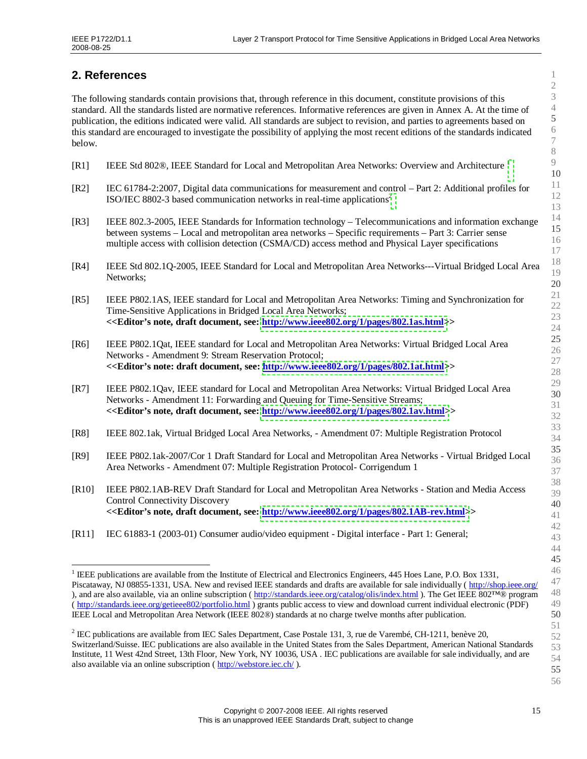## <span id="page-14-0"></span>**2. References**

The following standards contain provisions that, through reference in this document, constitute provisions of this standard. All the standards listed are normative references. Informative references are given in Annex A. At the time of publication, the editions indicated were valid. All standards are subject to revision, and parties to agreements based on this standard are encouraged to investigate the possibility of applying the most recent editions of the standards indicated below.

- [R[1](#page-14-1)] IEEE Std 802®, IEEE Standard for Local and Metropolitan Area Networks: Overview and Architecture <sup>1</sup>
- [R2] IEC 61784-2:2007, Digital data communications for measurement and control –Part 2: Additional profiles for ISO/IEC 8802-3 based communication networks in real-time applications[2](#page-14-2)
- [R3] IEEE 802.3-2005, IEEE Standards for Information technology –Telecommunications and information exchange between systems – Local and metropolitan area networks – Specific requirements – Part 3: Carrier sense multiple access with collision detection (CSMA/CD) access method and Physical Layer specifications
- [R4] IEEE Std 802.1Q-2005, IEEE Standard for Local and Metropolitan Area Networks---Virtual Bridged Local Area Networks;
- [R5] IEEE P802.1AS, IEEE standard for Local and Metropolitan Area Networks: Timing and Synchronization for Time-Sensitive Applications in Bridged Local Area Networks; **<<Editor's note, draft document, see: [http://www.ieee802.org/1/pages/802.1as.html>](http://www.ieee802.org/1/pages/802.1as.html)>**
- [R6] IEEE P802.1Qat, IEEE standard for Local and Metropolitan Area Networks: Virtual Bridged Local Area Networks - Amendment 9: Stream Reservation Protocol; **<<Editor's note: draft document, see: [http://www.ieee802.org/1/pages/802.1at.html>](http://www.ieee802.org/1/pages/802.1at.html)>**
- [R7] IEEE P802.1Qav, IEEE standard for Local and Metropolitan Area Networks: Virtual Bridged Local Area Networks - Amendment 11: Forwarding and Queuing for Time-Sensitive Streams; **<<Editor's note, draft document, see: [http://www.ieee802.org/1/pages/802.1av.html>](http://www.ieee802.org/1/pages/802.1av.html)>**
- [R8] IEEE 802.1ak, Virtual Bridged Local Area Networks, Amendment 07: Multiple Registration Protocol
- [R9] IEEE P802.1ak-2007/Cor 1 Draft Standard for Local and Metropolitan Area Networks Virtual Bridged Local Area Networks - Amendment 07: Multiple Registration Protocol- Corrigendum 1
- [R10] IEEE P802.1AB-REV Draft Standard for Local and Metropolitan Area Networks Station and Media Access Control Connectivity Discovery **<<Editor's note, draft document, see: [http://www.ieee802.org/1/pages/802.1AB-rev.html>](http://www.ieee802.org/1/pages/802.1AB-rev.html)>**
- [R11] IEC 61883-1 (2003-01) Consumer audio/video equipment Digital interface Part 1: General;

<span id="page-14-1"></span><sup>1</sup> IEEE publications are available from the Institute of Electrical and Electronics Engineers, 445 Hoes Lane, P.O. Box 1331, Piscataway, NJ 08855-1331, USA. New and revised IEEE standards and drafts are available for sale individually ( http://shop.ieee.org/ ), and are also available, via an online subscription ( http://standards.ieee.org/catalog/olis/index.html ). The Get IEEE 802™® program ( http://standards.ieee.org/getieee802/portfolio.html ) grants public access to view and download current individual electronic (PDF) IEEE Local and Metropolitan Area Network (IEEE 802®) standards at no charge twelve months after publication.

<span id="page-14-2"></span><sup>2</sup> IEC publications are available from IEC Sales Department, Case Postale 131, 3, rue de Varembé, CH-1211, benève 20, Switzerland/Suisse. IEC publications are also available in the United States from the Sales Department, American National Standards Institute, 11 West 42nd Street, 13th Floor, New York, NY 10036, USA . IEC publications are available for sale individually, and are also available via an online subscription ( http://webstore.iec.ch/ ).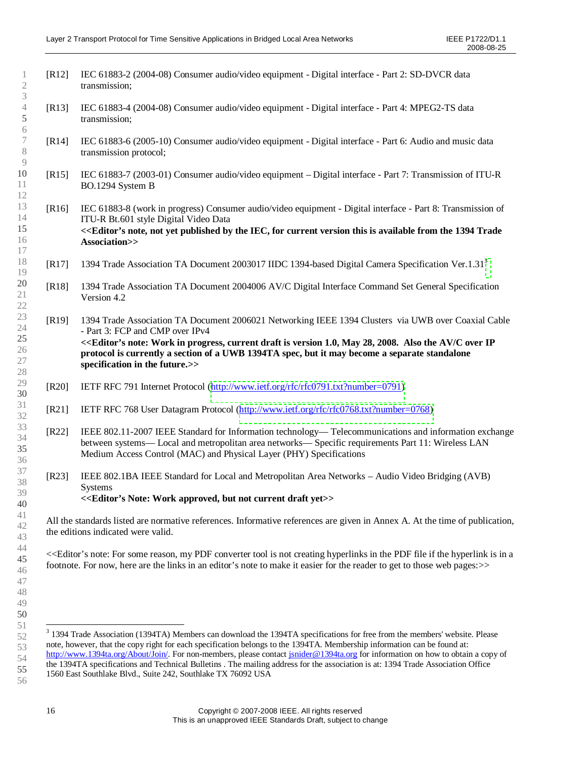<span id="page-15-1"></span>

| $[R12]$ | IEC 61883-2 (2004-08) Consumer audio/video equipment - Digital interface - Part 2: SD-DVCR data<br>transmission;                                                                                                                                                                                                                                                                                                                                           |
|---------|------------------------------------------------------------------------------------------------------------------------------------------------------------------------------------------------------------------------------------------------------------------------------------------------------------------------------------------------------------------------------------------------------------------------------------------------------------|
| $[R13]$ | IEC 61883-4 (2004-08) Consumer audio/video equipment - Digital interface - Part 4: MPEG2-TS data<br>transmission;                                                                                                                                                                                                                                                                                                                                          |
| $[R14]$ | IEC 61883-6 (2005-10) Consumer audio/video equipment - Digital interface - Part 6: Audio and music data<br>transmission protocol;                                                                                                                                                                                                                                                                                                                          |
| $[R15]$ | IEC 61883-7 (2003-01) Consumer audio/video equipment – Digital interface - Part 7: Transmission of ITU-R<br>BO.1294 System B                                                                                                                                                                                                                                                                                                                               |
| $[R16]$ | IEC 61883-8 (work in progress) Consumer audio/video equipment - Digital interface - Part 8: Transmission of<br>ITU-R Bt.601 style Digital Video Data<br><< Editor's note, not yet published by the IEC, for current version this is available from the 1394 Trade<br>Association>>                                                                                                                                                                         |
| $[R17]$ | 1394 Trade Association TA Document 2003017 IIDC 1394-based Digital Camera Specification Ver.1.31 <sup>3</sup>                                                                                                                                                                                                                                                                                                                                              |
| $[R18]$ | 1394 Trade Association TA Document 2004006 AV/C Digital Interface Command Set General Specification<br>Version 4.2                                                                                                                                                                                                                                                                                                                                         |
| $[R19]$ | 1394 Trade Association TA Document 2006021 Networking IEEE 1394 Clusters via UWB over Coaxial Cable<br>- Part 3: FCP and CMP over IPv4<br>< <editor's 1.0,="" 2008.="" 28,="" also="" av="" c="" current="" draft="" in="" ip<br="" is="" may="" note:="" over="" progress,="" the="" version="" work="">protocol is currently a section of a UWB 1394TA spec, but it may become a separate standalone<br/>specification in the future.&gt;&gt;</editor's> |
| $[R20]$ | IETF RFC 791 Internet Protocol (http://www.ietf.org/rfc/rfc0791.txt?number=0791)                                                                                                                                                                                                                                                                                                                                                                           |
| [R21]   | IETF RFC 768 User Datagram Protocol (http://www.ietf.org/rfc/rfc0768.txt?number=0768)                                                                                                                                                                                                                                                                                                                                                                      |
| $[R22]$ | IEEE 802.11-2007 IEEE Standard for Information technology— Telecommunications and information exchange<br>between systems— Local and metropolitan area networks— Specific requirements Part 11: Wireless LAN<br>Medium Access Control (MAC) and Physical Layer (PHY) Specifications                                                                                                                                                                        |
| [R23]   | IEEE 802.1BA IEEE Standard for Local and Metropolitan Area Networks - Audio Video Bridging (AVB)<br><b>Systems</b><br>< <editor's approved,="" but="" current="" draft="" not="" note:="" work="" yet="">&gt;</editor's>                                                                                                                                                                                                                                   |
|         | All the standards listed are normative references. Informative references are given in Annex A. At the time of publication,<br>the editions indicated were valid.                                                                                                                                                                                                                                                                                          |
|         | << Editor's note: For some reason, my PDF converter tool is not creating hyperlinks in the PDF file if the hyperlink is in a<br>footnote. For now, here are the links in an editor's note to make it easier for the reader to get to those web pages:>>                                                                                                                                                                                                    |

<span id="page-15-0"></span><sup>&</sup>lt;sup>3</sup> 1394 Trade Association (1394TA) Members can download the 1394TA specifications for free from the members' website. Please note, however, that the copy right for each specification belongs to the 1394TA. Membership information can be found at: http://www.1394ta.org/About/Join/. For non-members, please contact jsnider@1394ta.org for information on how to obtain a copy of the 1394TA specifications and Technical Bulletins . The mailing address for the association is at: 1394 Trade Association Office 1560 East Southlake Blvd., Suite 242, Southlake TX 76092 USA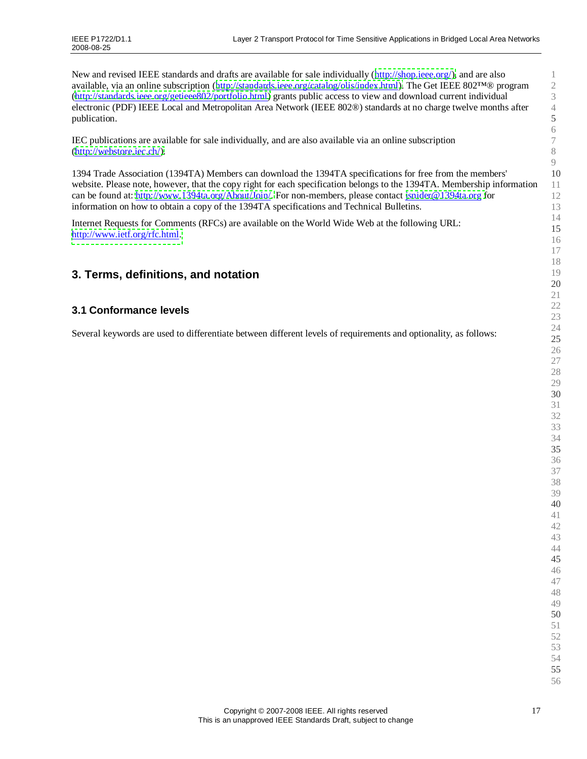<span id="page-16-1"></span><span id="page-16-0"></span>

| New and revised IEEE standards and drafts are available for sale individually (http://shop.ieee.org/), and are also<br>available, via an online subscription (http://standards.ieee.org/catalog/olis/index.html). The Get IEEE 802™® program<br>(http://standards.ieee.org/getieee802/portfolio.html) grants public access to view and download current individual<br>electronic (PDF) IEEE Local and Metropolitan Area Network (IEEE 802®) standards at no charge twelve months after<br>publication. | 1<br>$\mathbf{2}$<br>$\mathfrak{Z}$<br>$\overline{4}$<br>5<br>$\sqrt{6}$ |
|--------------------------------------------------------------------------------------------------------------------------------------------------------------------------------------------------------------------------------------------------------------------------------------------------------------------------------------------------------------------------------------------------------------------------------------------------------------------------------------------------------|--------------------------------------------------------------------------|
| IEC publications are available for sale individually, and are also available via an online subscription<br>(http://webstore.iec.ch/).                                                                                                                                                                                                                                                                                                                                                                  | $\boldsymbol{7}$<br>$\,$ $\,$<br>$\mathcal{G}$                           |
| 1394 Trade Association (1394TA) Members can download the 1394TA specifications for free from the members'<br>website. Please note, however, that the copy right for each specification belongs to the 1394TA. Membership information<br>can be found at: http://www.1394ta.org/About/Join/. For non-members, please contact jsnider@1394ta.org for<br>information on how to obtain a copy of the 1394TA specifications and Technical Bulletins.                                                        | 10<br>11<br>12<br>13                                                     |
| Internet Requests for Comments (RFCs) are available on the World Wide Web at the following URL:<br>http://www.ietf.org/rfc.html.                                                                                                                                                                                                                                                                                                                                                                       | 14<br>15<br>16<br>17                                                     |
| 3. Terms, definitions, and notation                                                                                                                                                                                                                                                                                                                                                                                                                                                                    | 18<br>19<br>20<br>21                                                     |
| 3.1 Conformance levels                                                                                                                                                                                                                                                                                                                                                                                                                                                                                 | 22<br>23                                                                 |
| Several keywords are used to differentiate between different levels of requirements and optionality, as follows:                                                                                                                                                                                                                                                                                                                                                                                       | 24<br>25<br>26<br>27<br>28<br>29<br>30<br>31<br>32                       |
|                                                                                                                                                                                                                                                                                                                                                                                                                                                                                                        | 33<br>34<br>35<br>36<br>37<br>38                                         |
|                                                                                                                                                                                                                                                                                                                                                                                                                                                                                                        | 39<br>40<br>41<br>42<br>43<br>44<br>45                                   |
|                                                                                                                                                                                                                                                                                                                                                                                                                                                                                                        | 46<br>47<br>48<br>49<br>50<br>51                                         |
|                                                                                                                                                                                                                                                                                                                                                                                                                                                                                                        | 52<br>53<br>54<br>55<br>56                                               |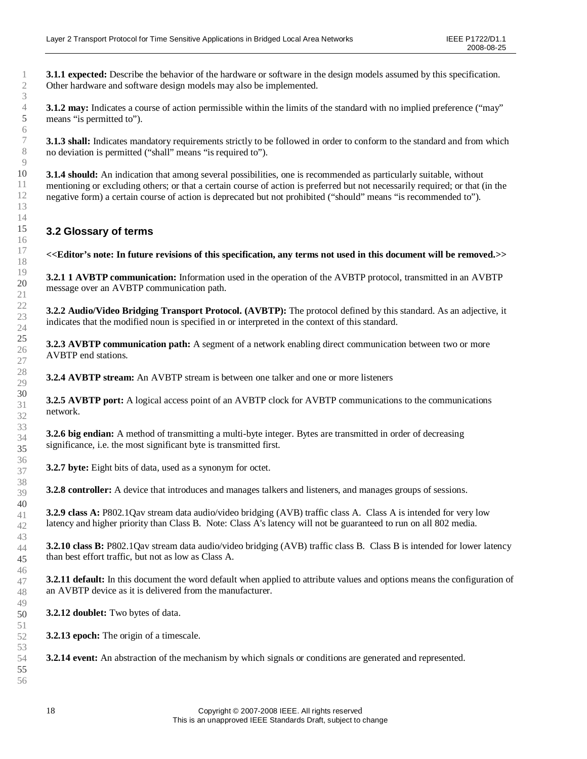<span id="page-17-0"></span>**3.1.1 expected:** Describe the behavior of the hardware or software in the design models assumed by this specification. Other hardware and software design models may also be implemented.

**3.1.2** may: Indicates a course of action permissible within the limits of the standard with no implied preference ("may" means "is permitted to").

**3.1.3 shall:** Indicates mandatory requirements strictly to be followed in order to conform to the standard and from which no deviation is permitted ("shall" means "is required to").

**3.1.4 should:** An indication that among several possibilities, one is recommended as particularly suitable, without mentioning or excluding others; or that a certain course of action is preferred but not necessarily required; or that (in the negative form) a certain course of action is deprecated but not prohibited ("should"means "is recommended to").

#### **3.2 Glossary of terms**

**<<Editor's note: In future revisions of this specification, any terms not used in this document will be removed.>>**

**3.2.1 1 AVBTP communication:** Information used in the operation of the AVBTP protocol, transmitted in an AVBTP message over an AVBTP communication path.

**3.2.2 Audio/Video Bridging Transport Protocol. (AVBTP):** The protocol defined by this standard. As an adjective, it indicates that the modified noun is specified in or interpreted in the context of this standard.

**3.2.3 AVBTP communication path:** A segment of a network enabling direct communication between two or more AVBTP end stations.

**3.2.4 AVBTP stream:** An AVBTP stream is between one talker and one or more listeners

**3.2.5 AVBTP port:** A logical access point of an AVBTP clock for AVBTP communications to the communications network.

**3.2.6 big endian:** A method of transmitting a multi-byte integer. Bytes are transmitted in order of decreasing significance, i.e. the most significant byte is transmitted first.

**3.2.7 byte:** Eight bits of data, used as a synonym for octet.

**3.2.8 controller:** A device that introduces and manages talkers and listeners, and manages groups of sessions.

**3.2.9 class A:** P802.1Qav stream data audio/video bridging (AVB) traffic class A. Class A is intended for very low latency and higher priority than Class B. Note: Class A's latency will not be guaranteed to run on all 802 media.

**3.2.10 class B:** P802.1Qav stream data audio/video bridging (AVB) traffic class B. Class B is intended for lower latency than best effort traffic, but not as low as Class A.

**3.2.11 default:** In this document the word default when applied to attribute values and options means the configuration of an AVBTP device as it is delivered from the manufacturer.

**3.2.12 doublet:** Two bytes of data.

**3.2.13 epoch:** The origin of a timescale.

**3.2.14 event:** An abstraction of the mechanism by which signals or conditions are generated and represented.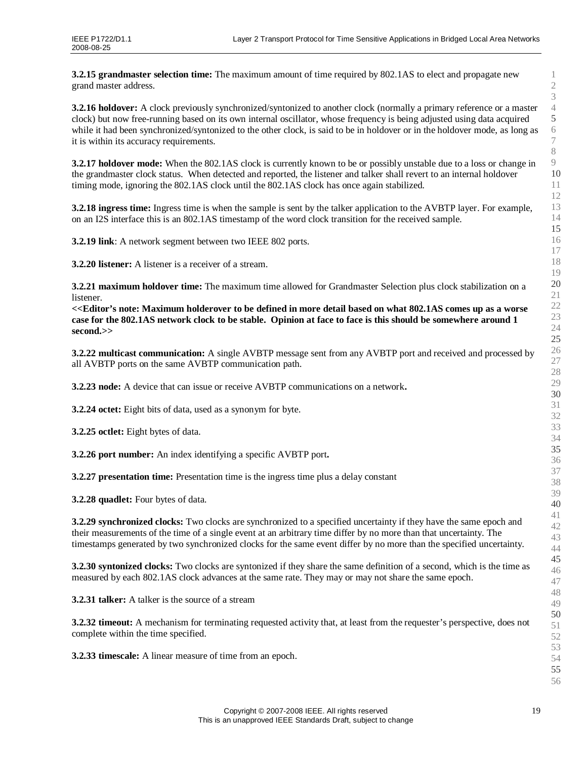**3.2.15 grandmaster selection time:** The maximum amount of time required by 802.1AS to elect and propagate new grand master address.

**3.2.16 holdover:** A clock previously synchronized/syntonized to another clock (normally a primary reference or a master clock) but now free-running based on its own internal oscillator, whose frequency is being adjusted using data acquired while it had been synchronized/syntonized to the other clock, is said to be in holdover or in the holdover mode, as long as it is within its accuracy requirements.

**3.2.17 holdover mode:** When the 802.1AS clock is currently known to be or possibly unstable due to a loss or change in the grandmaster clock status. When detected and reported, the listener and talker shall revert to an internal holdover timing mode, ignoring the 802.1AS clock until the 802.1AS clock has once again stabilized.

**3.2.18 ingress time:** Ingress time is when the sample is sent by the talker application to the AVBTP layer. For example, on an I2S interface this is an 802.1AS timestamp of the word clock transition for the received sample.

**3.2.19 link**: A network segment between two IEEE 802 ports.

**3.2.20 listener:** A listener is a receiver of a stream.

**3.2.21 maximum holdover time:** The maximum time allowed for Grandmaster Selection plus clock stabilization on a listener.

**<<Editor's note: Maximum holderover to be defined in more detail based on what 802.1AS comes up as a worse case for the 802.1AS network clock to be stable. Opinion at face to face is this should be somewhere around 1 second.>>**

**3.2.22 multicast communication:** A single AVBTP message sent from any AVBTP port and received and processed by all AVBTP ports on the same AVBTP communication path.

**3.2.23 node:** A device that can issue or receive AVBTP communications on a network**.**

**3.2.24 octet:** Eight bits of data, used as a synonym for byte.

**3.2.25 octlet:** Eight bytes of data.

**3.2.26 port number:** An index identifying a specific AVBTP port**.**

**3.2.27 presentation time:** Presentation time is the ingress time plus a delay constant

**3.2.28 quadlet:** Four bytes of data.

**3.2.29 synchronized clocks:** Two clocks are synchronized to a specified uncertainty if they have the same epoch and their measurements of the time of a single event at an arbitrary time differ by no more than that uncertainty. The timestamps generated by two synchronized clocks for the same event differ by no more than the specified uncertainty.

**3.2.30 syntonized clocks:** Two clocks are syntonized if they share the same definition of a second, which is the time as measured by each 802.1AS clock advances at the same rate. They may or may not share the same epoch.

**3.2.31 talker:** A talker is the source of a stream

**3.2.32 timeout:** A mechanism for terminating requested activity that, at least from the requester's perspective, does not complete within the time specified.

**3.2.33 timescale:** A linear measure of time from an epoch.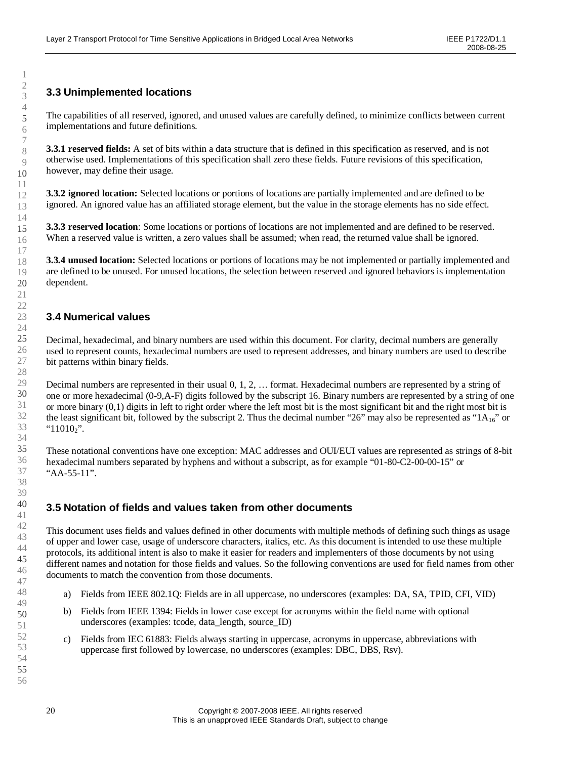## <span id="page-19-1"></span><span id="page-19-0"></span>**3.3 Unimplemented locations**

The capabilities of all reserved, ignored, and unused values are carefully defined, to minimize conflicts between current implementations and future definitions.

**3.3.1 reserved fields:** A set of bits within a data structure that is defined in this specification as reserved, and is not otherwise used. Implementations of this specification shall zero these fields. Future revisions of this specification, however, may define their usage.

**3.3.2 ignored location:** Selected locations or portions of locations are partially implemented and are defined to be ignored. An ignored value has an affiliated storage element, but the value in the storage elements has no side effect.

**3.3.3 reserved location**: Some locations or portions of locations are not implemented and are defined to be reserved. When a reserved value is written, a zero values shall be assumed; when read, the returned value shall be ignored.

**3.3.4 unused location:** Selected locations or portions of locations may be not implemented or partially implemented and are defined to be unused. For unused locations, the selection between reserved and ignored behaviors is implementation dependent.

#### **3.4 Numerical values**

Decimal, hexadecimal, and binary numbers are used within this document. For clarity, decimal numbers are generally used to represent counts, hexadecimal numbers are used to represent addresses, and binary numbers are used to describe bit patterns within binary fields.

Decimal numbers are represented in their usual 0, 1, 2, … format. Hexadecimal numbers are represented by a string of one or more hexadecimal (0-9,A-F) digits followed by the subscript 16. Binary numbers are represented by a string of one or more binary (0,1) digits in left to right order where the left most bit is the most significant bit and the right most bit is the least significant bit, followed by the subscript 2. Thus the decimal number "26" may also be represented as " $1A_{16}$ " or " $11010_2$ ".

These notational conventions have one exception: MAC addresses and OUI/EUI values are represented as strings of 8-bit hexadecimal numbers separated by hyphens and without a subscript, as for example "01-80-C2-00-00-15" or "AA-55-11".

#### **3.5 Notation of fields and values taken from other documents**

This document uses fields and values defined in other documents with multiple methods of defining such things as usage of upper and lower case, usage of underscore characters, italics, etc. As this document is intended to use these multiple protocols, its additional intent is also to make it easier for readers and implementers of those documents by not using different names and notation for those fields and values. So the following conventions are used for field names from other documents to match the convention from those documents.

- a) Fields from IEEE 802.1Q: Fields are in all uppercase, no underscores (examples: DA, SA, TPID, CFI, VID)
- b) Fields from IEEE 1394: Fields in lower case except for acronyms within the field name with optional underscores (examples: tcode, data\_length, source\_ID)
- c) Fields from IEC 61883: Fields always starting in uppercase, acronyms in uppercase, abbreviations with uppercase first followed by lowercase, no underscores (examples: DBC, DBS, Rsv).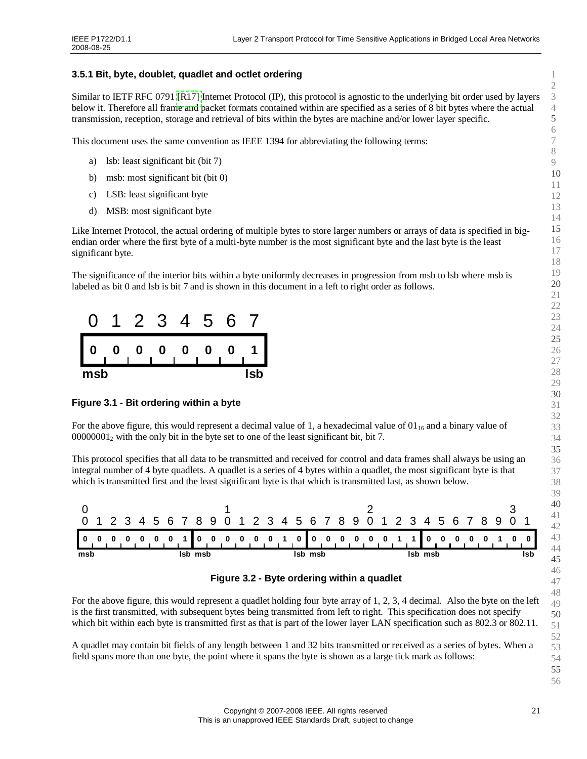#### <span id="page-20-2"></span><span id="page-20-1"></span>**3.5.1 Bit, byte, doublet, quadlet and octlet ordering**

<span id="page-20-0"></span>Similar to IETF RFC 0791 [\[R17\]](#page-15-1) Internet Protocol (IP), this protocol is agnostic to the underlying bit order used by layers below it. Therefore all frame and packet formats contained within are specified as a series of 8 bit bytes where the actual transmission, reception, storage and retrieval of bits within the bytes are machine and/or lower layer specific.

This document uses the same convention as IEEE 1394 for abbreviating the following terms:

- a) lsb: least significant bit (bit 7)
- b) msb: most significant bit (bit 0)
- c) LSB: least significant byte
- d) MSB: most significant byte

Like Internet Protocol, the actual ordering of multiple bytes to store larger numbers or arrays of data is specified in bigendian order where the first byte of a multi-byte number is the most significant byte and the last byte is the least significant byte.

The significance of the interior bits within a byte uniformly decreases in progression from msb to lsb where msb is labeled as bit 0 and lsb is bit 7 and is shown in this document in a left to right order as follows.





For the above figure, this would represent a decimal value of 1, a hexadecimal value of  $01_{16}$  and a binary value of  $00000001<sub>2</sub>$  with the only bit in the byte set to one of the least significant bit, bit 7.

This protocol specifies that all data to be transmitted and received for control and data frames shall always be using an integral number of 4 byte quadlets. A quadlet is a series of 4 bytes within a quadlet, the most significant byte is that which is transmitted first and the least significant byte is that which is transmitted last, as shown below.



**Figure 3.2 - Byte ordering within a quadlet**

For the above figure, this would represent a quadlet holding four byte array of 1, 2, 3, 4 decimal. Also the byte on the left is the first transmitted, with subsequent bytes being transmitted from left to right. This specification does not specify which bit within each byte is transmitted first as that is part of the lower layer LAN specification such as 802.3 or 802.11.

A quadlet may contain bit fields of any length between 1 and 32 bits transmitted or received as a series of bytes. When a field spans more than one byte, the point where it spans the byte is shown as a large tick mark as follows: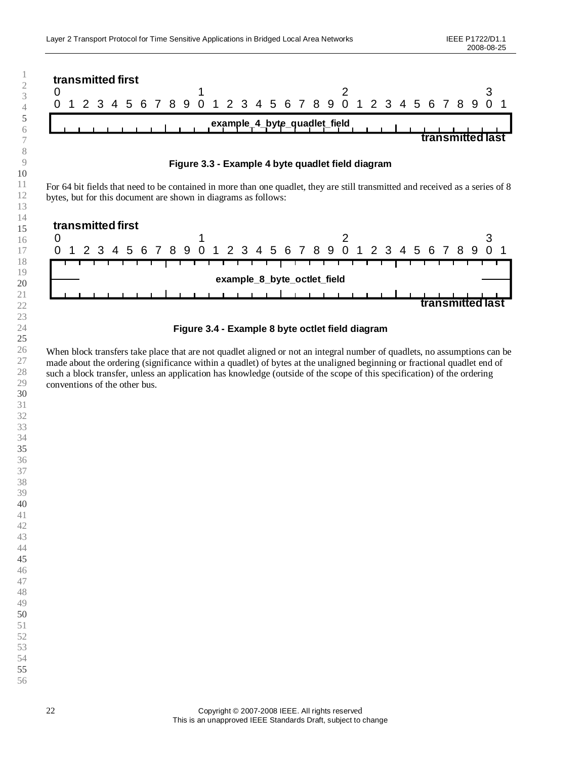

<span id="page-21-1"></span><span id="page-21-0"></span>

For 64 bit fields that need to be contained in more than one quadlet, they are still transmitted and received as a series of 8 bytes, but for this document are shown in diagrams as follows:



#### **Figure 3.4 - Example 8 byte octlet field diagram**

When block transfers take place that are not quadlet aligned or not an integral number of quadlets, no assumptions can be made about the ordering (significance within a quadlet) of bytes at the unaligned beginning or fractional quadlet end of such a block transfer, unless an application has knowledge (outside of the scope of this specification) of the ordering conventions of the other bus.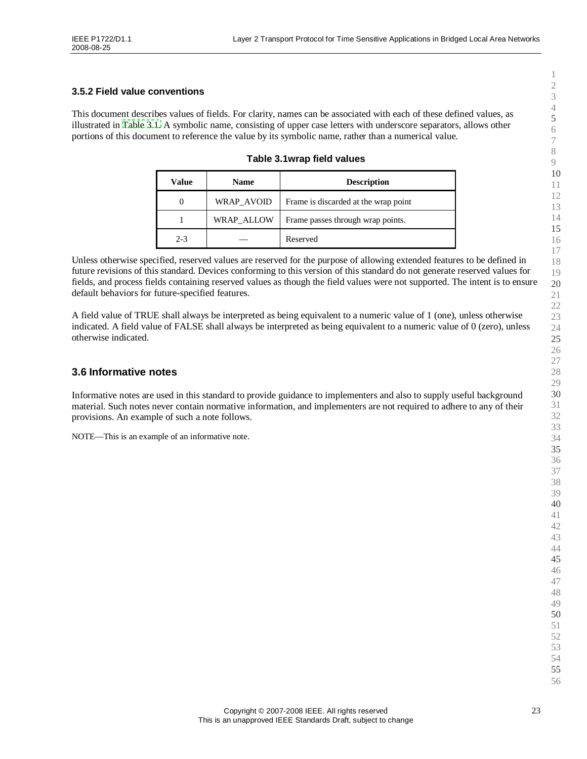#### <span id="page-22-1"></span><span id="page-22-0"></span>**3.5.2 Field value conventions**

This document describes values of fields. For clarity, names can be associated with each of these defined values, as illustrated in [Table](#page-22-3) 3.1. A symbolic name, consisting of upper case letters with underscore separators, allows other portions of this document to reference the value by its symbolic name, rather than a numerical value.

<span id="page-22-3"></span><span id="page-22-2"></span>

|  |  | Table 3.1wrap field values |
|--|--|----------------------------|
|  |  |                            |

| Value    | <b>Name</b> | <b>Description</b>                   |
|----------|-------------|--------------------------------------|
| $\theta$ | WRAP AVOID  | Frame is discarded at the wrap point |
|          | WRAP ALLOW  | Frame passes through wrap points.    |
| $2 - 3$  |             | Reserved                             |

Unless otherwise specified, reserved values are reserved for the purpose of allowing extended features to be defined in future revisions of this standard. Devices conforming to this version of this standard do not generate reserved values for fields, and process fields containing reserved values as though the field values were not supported. The intent is to ensure default behaviors for future-specified features.

A field value of TRUE shall always be interpreted as being equivalent to a numeric value of 1 (one), unless otherwise indicated. A field value of FALSE shall always be interpreted as being equivalent to a numeric value of 0 (zero), unless otherwise indicated.

#### **3.6 Informative notes**

Informative notes are used in this standard to provide guidance to implementers and also to supply useful background material. Such notes never contain normative information, and implementers are not required to adhere to any of their provisions. An example of such a note follows.

NOTE— This is an example of an informative note.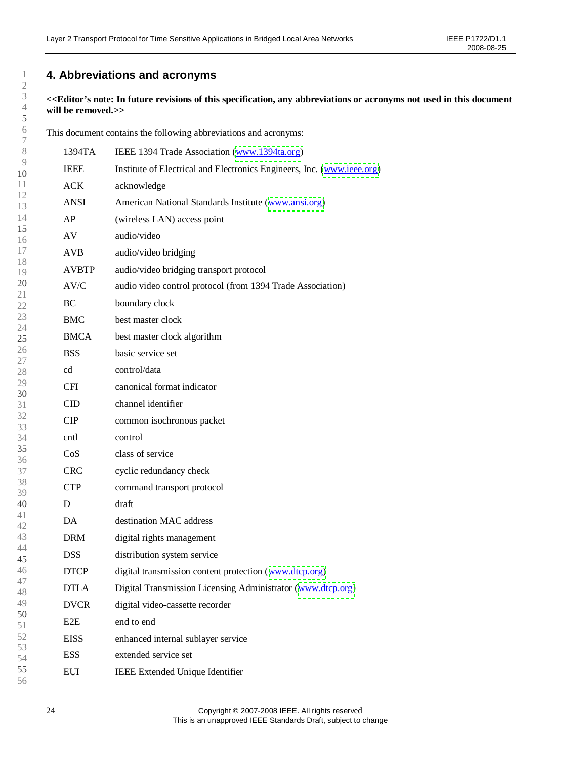## <span id="page-23-0"></span>**4. Abbreviations and acronyms**

**<<Editor's note: In future revisions of this specification, any abbreviations or acronyms not used in this document will be removed.>>**

This document contains the following abbreviations and acronyms:

| 1394TA           | IEEE 1394 Trade Association (www.1394ta.org)                           |
|------------------|------------------------------------------------------------------------|
| <b>IEEE</b>      | Institute of Electrical and Electronics Engineers, Inc. (www.ieee.org) |
| <b>ACK</b>       | acknowledge                                                            |
| <b>ANSI</b>      | American National Standards Institute (www.ansi.org)                   |
| AP               | (wireless LAN) access point                                            |
| AV               | audio/video                                                            |
| <b>AVB</b>       | audio/video bridging                                                   |
| <b>AVBTP</b>     | audio/video bridging transport protocol                                |
| AV/C             | audio video control protocol (from 1394 Trade Association)             |
| BC               | boundary clock                                                         |
| <b>BMC</b>       | best master clock                                                      |
| <b>BMCA</b>      | best master clock algorithm                                            |
| <b>BSS</b>       | basic service set                                                      |
| cd               | control/data                                                           |
| <b>CFI</b>       | canonical format indicator                                             |
| <b>CID</b>       | channel identifier                                                     |
| CIP              | common isochronous packet                                              |
| cntl             | control                                                                |
| CoS              | class of service                                                       |
| <b>CRC</b>       | cyclic redundancy check                                                |
| <b>CTP</b>       | command transport protocol                                             |
| D                | draft                                                                  |
| DA               | destination MAC address                                                |
| <b>DRM</b>       | digital rights management                                              |
| <b>DSS</b>       | distribution system service                                            |
| <b>DTCP</b>      | digital transmission content protection (www.dtcp.org)                 |
| <b>DTLA</b>      | Digital Transmission Licensing Administrator (www.dtcp.org)            |
| <b>DVCR</b>      | digital video-cassette recorder                                        |
| E <sub>2</sub> E | end to end                                                             |
| <b>EISS</b>      | enhanced internal sublayer service                                     |
| <b>ESS</b>       | extended service set                                                   |
| <b>EUI</b>       | IEEE Extended Unique Identifier                                        |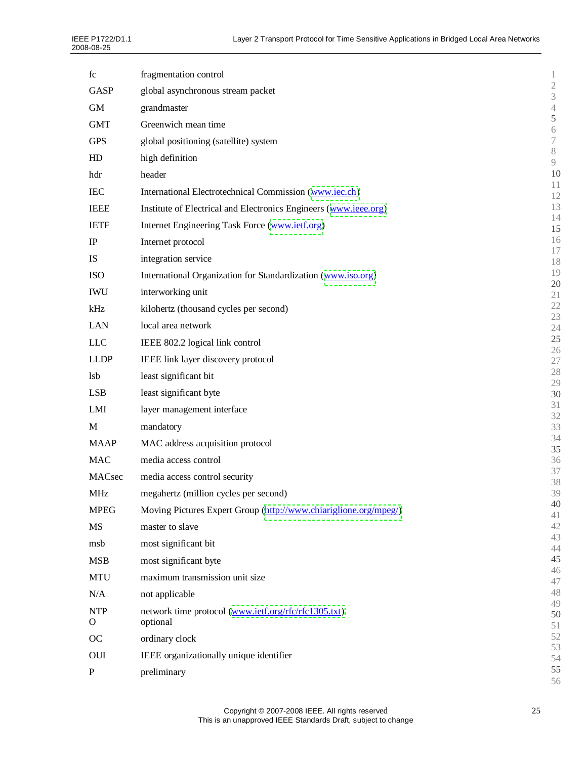| fc                         | fragmentation control                                            | 1<br>$\overline{c}$           |
|----------------------------|------------------------------------------------------------------|-------------------------------|
| <b>GASP</b>                | global asynchronous stream packet                                | $\ensuremath{\mathfrak{Z}}$   |
| GM                         | grandmaster                                                      | $\ensuremath{\mathnormal{4}}$ |
| <b>GMT</b>                 | Greenwich mean time                                              | $\sqrt{5}$<br>$\sqrt{6}$      |
| <b>GPS</b>                 | global positioning (satellite) system                            | $\boldsymbol{7}$              |
| HD                         | high definition                                                  | $8\,$<br>9                    |
| hdr                        | header                                                           | 10                            |
| <b>IEC</b>                 | International Electrotechnical Commission (www.iec.ch)           | 11<br>12                      |
| <b>IEEE</b>                | Institute of Electrical and Electronics Engineers (www.ieee.org) | 13                            |
| <b>IETF</b>                | Internet Engineering Task Force (www.ietf.org)                   | 14<br>15                      |
| $_{\rm IP}$                | Internet protocol                                                | 16                            |
| IS                         | integration service                                              | 17                            |
| <b>ISO</b>                 | International Organization for Standardization (www.iso.org)     | 18<br>19                      |
|                            |                                                                  | 20                            |
| <b>IWU</b>                 | interworking unit                                                | 21<br>22                      |
| kHz                        | kilohertz (thousand cycles per second)                           | 23                            |
| <b>LAN</b>                 | local area network                                               | 24                            |
| <b>LLC</b>                 | IEEE 802.2 logical link control                                  | 25<br>26                      |
| <b>LLDP</b>                | IEEE link layer discovery protocol                               | $27\,$                        |
| lsb                        | least significant bit                                            | 28<br>29                      |
| <b>LSB</b>                 | least significant byte                                           | 30                            |
| LMI                        | layer management interface                                       | 31                            |
| M                          | mandatory                                                        | 32<br>33                      |
| <b>MAAP</b>                | MAC address acquisition protocol                                 | 34                            |
| <b>MAC</b>                 | media access control                                             | 35<br>36                      |
| MACsec                     | media access control security                                    | 37                            |
| <b>MHz</b>                 | megahertz (million cycles per second)                            | 38<br>39                      |
| <b>MPEG</b>                | Moving Pictures Expert Group (http://www.chiariglione.org/mpeg/) | 40                            |
| MS                         | master to slave                                                  | 41<br>42                      |
| msb                        |                                                                  | 43                            |
|                            | most significant bit                                             | 44<br>45                      |
| <b>MSB</b>                 | most significant byte                                            | 46                            |
| <b>MTU</b>                 | maximum transmission unit size                                   | 47                            |
| N/A                        | not applicable                                                   | 48<br>49                      |
| <b>NTP</b><br>$\mathbf{O}$ | network time protocol (www.ietf.org/rfc/rfc1305.txt)<br>optional | 50<br>51                      |
| OC                         | ordinary clock                                                   | 52                            |
| OUI                        | IEEE organizationally unique identifier                          | 53<br>54                      |
| $\mathbf{P}$               | preliminary                                                      | 55                            |
|                            |                                                                  | 56                            |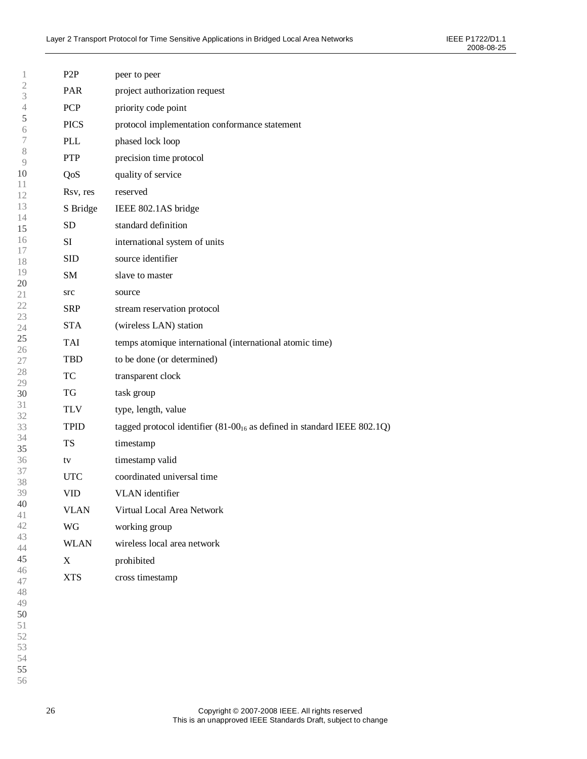| 1                       | P <sub>2</sub> P | peer to peer                                                              |
|-------------------------|------------------|---------------------------------------------------------------------------|
| $\sqrt{2}$<br>3         | PAR              | project authorization request                                             |
| $\sqrt{4}$              | PCP              | priority code point                                                       |
| 5<br>6                  | <b>PICS</b>      | protocol implementation conformance statement                             |
| 7                       | <b>PLL</b>       | phased lock loop                                                          |
| $8\,$<br>$\overline{Q}$ | PTP              | precision time protocol                                                   |
| 10                      | QoS              | quality of service                                                        |
| 11<br>12                | Rsv, res         | reserved                                                                  |
| 13                      | S Bridge         | IEEE 802.1AS bridge                                                       |
| 14<br>15                | <b>SD</b>        | standard definition                                                       |
| 16                      | SI               | international system of units                                             |
| 17<br>18                | <b>SID</b>       | source identifier                                                         |
| 19                      | SM               | slave to master                                                           |
| 20<br>21                | src              | source                                                                    |
| 22<br>23                | <b>SRP</b>       | stream reservation protocol                                               |
| 24                      | <b>STA</b>       | (wireless LAN) station                                                    |
| 25<br>26                | TAI              | temps atomique international (international atomic time)                  |
| 27                      | TBD              | to be done (or determined)                                                |
| $28\,$<br>29            | TC               | transparent clock                                                         |
| 30                      | TG               | task group                                                                |
| 31<br>32                | <b>TLV</b>       | type, length, value                                                       |
| 33                      | <b>TPID</b>      | tagged protocol identifier $(81-0016$ as defined in standard IEEE 802.1Q) |
| 34<br>35                | <b>TS</b>        | timestamp                                                                 |
| 36                      | tv               | timestamp valid                                                           |
| 37<br>38                | <b>UTC</b>       | coordinated universal time                                                |
| 39                      | <b>VID</b>       | VLAN identifier                                                           |
| 40<br>41                | <b>VLAN</b>      | Virtual Local Area Network                                                |
| 42                      | WG               | working group                                                             |
| 43<br>44                | <b>WLAN</b>      | wireless local area network                                               |
| 45                      | X                | prohibited                                                                |
| 46<br>47                | <b>XTS</b>       | cross timestamp                                                           |
| 48                      |                  |                                                                           |
| 49<br>50                |                  |                                                                           |

- 
-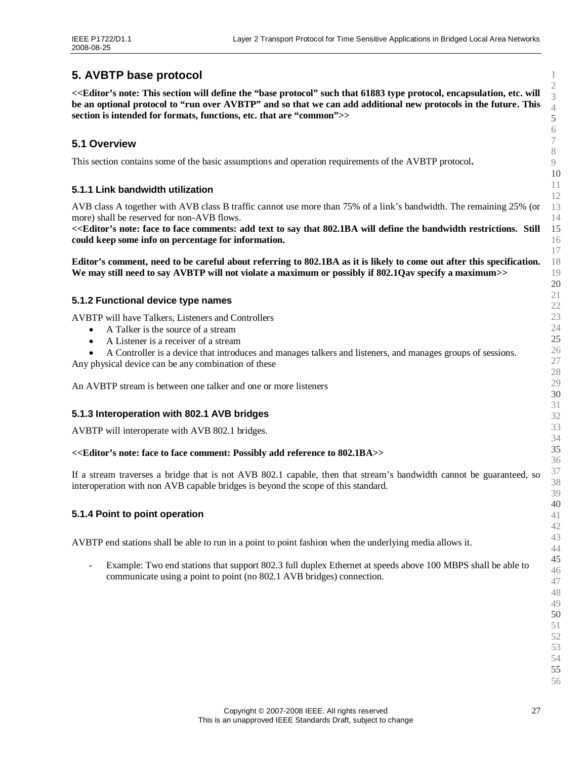## <span id="page-26-0"></span>**5. AVBTP base protocol**

<span id="page-26-2"></span><span id="page-26-1"></span>**<<Editor's note: This section will define the "base protocol"such that 61883 type protocol, encapsulation, etc. will be an optional protocol to "run over AVBTP"and so that we can add additional new protocols in the future. This section is intended for formats, functions, etc. that are "common">>**

#### **5.1 Overview**

This section contains some of the basic assumptions and operation requirements of the AVBTP protocol**.**

#### **5.1.1 Link bandwidth utilization**

AVB class A together with AVB class B traffic cannot use more than 75% of a link's bandwidth. The remaining 25% (or more) shall be reserved for non-AVB flows.

**<<Editor's note: face to face comments: add text to say that 802.1BA will define the bandwidth restrictions. Still could keep some info on percentage for information.**

**Editor's comment, need to be careful about referring to 802.1BA as it is likely to come out after this specification. We may still need to say AVBTP will not violate a maximum or possibly if 802.1Qav specify a maximum>>**

#### **5.1.2 Functional device type names**

AVBTP will have Talkers, Listeners and Controllers

- A Talker is the source of a stream
- A Listener is a receiver of a stream
- A Controller is a device that introduces and manages talkers and listeners, and manages groups of sessions.

Any physical device can be any combination of these

An AVBTP stream is between one talker and one or more listeners

#### **5.1.3 Interoperation with 802.1 AVB bridges**

AVBTP will interoperate with AVB 802.1 bridges.

#### **<<Editor's note: face to face comment: Possibly add reference to 802.1BA>>**

If a stream traverses a bridge that is not AVB 802.1 capable, then that stream's bandwidth cannot be guaranteed, so interoperation with non AVB capable bridges is beyond the scope of this standard.

#### **5.1.4 Point to point operation**

AVBTP end stations shall be able to run in a point to point fashion when the underlying media allows it.

Example: Two end stations that support 802.3 full duplex Ethernet at speeds above 100 MBPS shall be able to communicate using a point to point (no 802.1 AVB bridges) connection.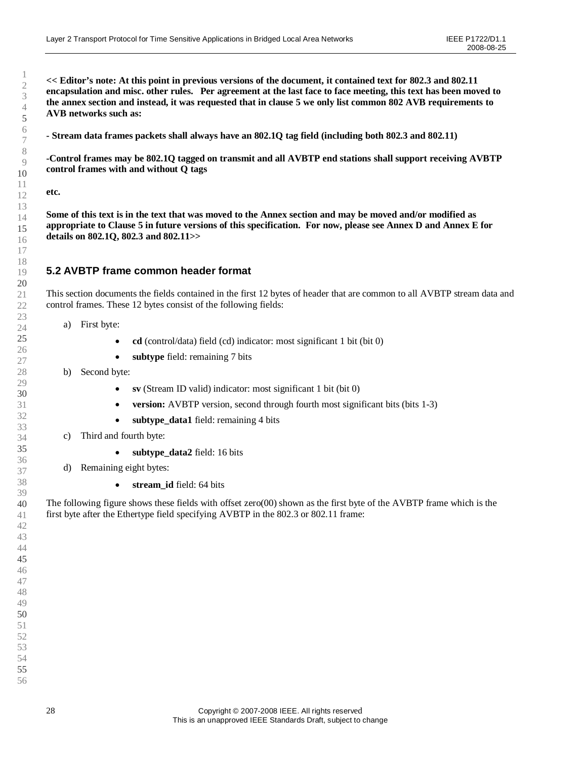<span id="page-27-0"></span>**<< Editor's note: At this point in previous versions of the document, it contained text for 802.3 and 802.11 encapsulation and misc. other rules. Per agreement at the last face to face meeting, this text has been moved to the annex section and instead, it was requested that in clause 5 we only list common 802 AVB requirements to AVB networks such as:**

**- Stream data frames packets shall always have an 802.1Q tag field (including both 802.3 and 802.11)**

**-Control frames may be 802.1Q tagged on transmit and all AVBTP end stations shall support receiving AVBTP control frames with and without Q tags**

**etc.**

**Some of this text is in the text that was moved to the Annex section and may be moved and/or modified as appropriate to Clause 5 in future versions of this specification. For now, please see Annex D and Annex E for details on 802.1Q, 802.3 and 802.11>>**

#### **5.2 AVBTP frame common header format**

This section documents the fields contained in the first 12 bytes of header that are common to all AVBTP stream data and control frames. These 12 bytes consist of the following fields:

- a) First byte:
	- **cd** (control/data) field (cd) indicator: most significant 1 bit (bit 0)
	- **subtype** field: remaining 7 bits
- b) Second byte:
	- **sv** (Stream ID valid) indicator: most significant 1 bit (bit 0)
	- **version:** AVBTP version, second through fourth most significant bits (bits 1-3)
	- **subtype data1** field: remaining 4 bits
- c) Third and fourth byte:
	- subtype data2 field: 16 bits
- d) Remaining eight bytes:
	- **stream\_id** field: 64 bits

The following figure shows these fields with offset zero(00) shown as the first byte of the AVBTP frame which is the first byte after the Ethertype field specifying AVBTP in the 802.3 or 802.11 frame:

 

- 
- 
-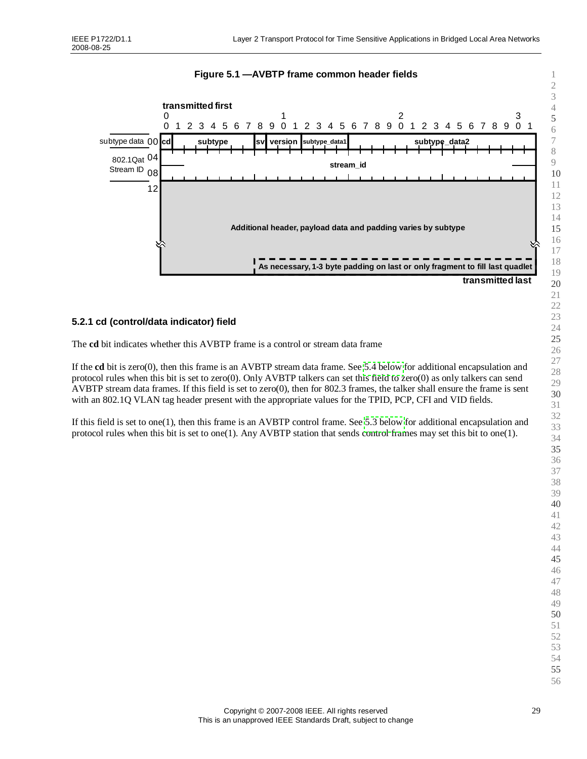<span id="page-28-1"></span>

<span id="page-28-0"></span>

#### **5.2.1 cd (control/data indicator) field**

The **cd** bit indicates whether this AVBTP frame is a control or stream data frame

If the **cd** bit is zero(0), then this frame is an AVBTP stream data frame. See [5.4 below](#page-33-0) for additional encapsulation and protocol rules when this bit is set to zero(0). Only AVBTP talkers can set this field to zero(0) as only talkers can send AVBTP stream data frames. If this field is set to zero(0), then for 802.3 frames, the talker shall ensure the frame is sent with an 802.1Q VLAN tag header present with the appropriate values for the TPID, PCP, CFI and VID fields.

If this field is set to one(1), then this frame is an AVBTP control frame. See [5.3 below](#page-31-0) for additional encapsulation and protocol rules when this bit is set to one(1). Any AVBTP station that sends control frames may set this bit to one(1).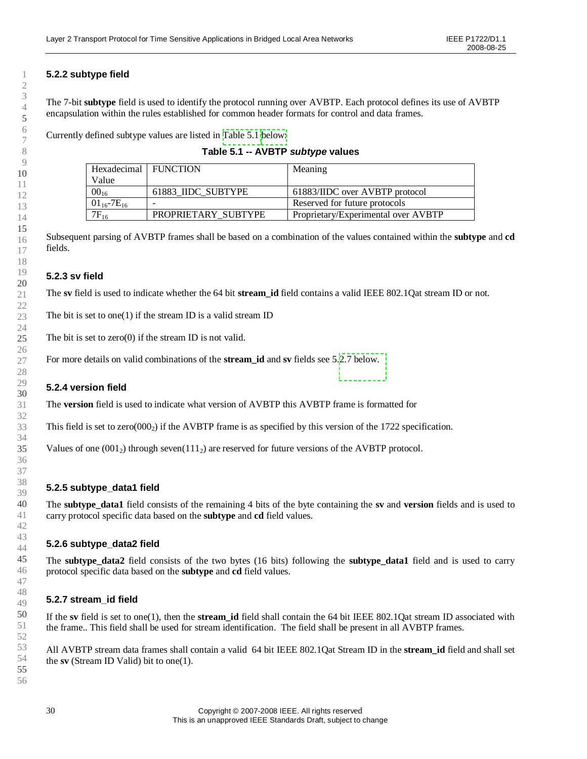### <span id="page-29-0"></span>**5.2.2 subtype field**

The 7-bit **subtype** field is used to identify the protocol running over AVBTP. Each protocol defines its use of AVBTP encapsulation within the rules established for common header formats for control and data frames.

Currently defined subtype values are listed in [Table](#page-29-2) 5.1 [below:](#page-29-2)

| Hexadecimal FUNCTION |                     | Meaning                             |
|----------------------|---------------------|-------------------------------------|
| Value                |                     |                                     |
| $00_{16}$            | 61883 IIDC SUBTYPE  | 61883/IIDC over AVBTP protocol      |
| $01_{16} - 7E_{16}$  |                     | Reserved for future protocols       |
| $7F_{16}$            | PROPRIETARY SUBTYPE | Proprietary/Experimental over AVBTP |

<span id="page-29-2"></span><span id="page-29-1"></span>

| Table 5.1 -- AVBTP subtype values |  |
|-----------------------------------|--|
|-----------------------------------|--|

Subsequent parsing of AVBTP frames shall be based on a combination of the values contained within the **subtype** and **cd** fields.

#### **5.2.3 sv field**

The **sv** field is used to indicate whether the 64 bit **stream id** field contains a valid IEEE 802.1Qat stream ID or not.

The bit is set to one(1) if the stream ID is a valid stream ID

The bit is set to zero(0) if the stream ID is not valid.

For more details on valid combinations of the **stream id** and **sv** fields see 5[.2.7 below.](#page-29-3)

#### **5.2.4 version field**

The **version** field is used to indicate what version of AVBTP this AVBTP frame is formatted for

This field is set to  $zero(000<sub>2</sub>)$  if the AVBTP frame is as specified by this version of the 1722 specification.

Values of one  $(001<sub>2</sub>)$  through seven $(111<sub>2</sub>)$  are reserved for future versions of the AVBTP protocol.

#### **5.2.5 subtype\_data1 field**

The **subtype\_data1** field consists of the remaining 4 bits of the byte containing the **sv** and **version** fields and is used to carry protocol specific data based on the **subtype** and **cd** field values.

#### **5.2.6 subtype\_data2 field**

The **subtype data2** field consists of the two bytes (16 bits) following the **subtype data1** field and is used to carry protocol specific data based on the **subtype** and **cd** field values.

#### <span id="page-29-3"></span>**5.2.7 stream\_id field**

If the **sv** field is set to one(1), then the **stream\_id** field shall contain the 64 bit IEEE 802.1Qat stream ID associated with the frame.. This field shall be used for stream identification. The field shall be present in all AVBTP frames.

All AVBTP stream data frames shall contain a valid 64 bit IEEE 802.1Qat Stream ID in the **stream\_id** field and shall set the **sv** (Stream ID Valid) bit to one(1).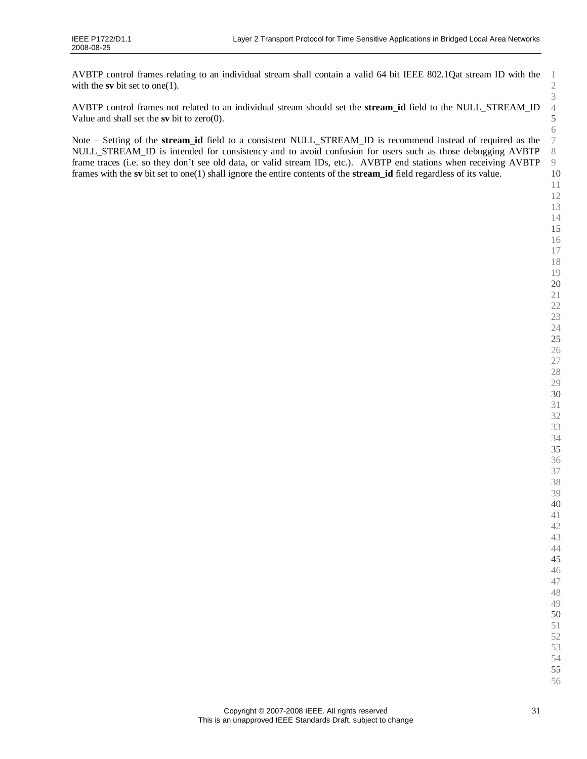AVBTP control frames relating to an individual stream shall contain a valid 64 bit IEEE 802.1Qat stream ID with the with the **sv** bit set to one(1).

AVBTP control frames not related to an individual stream should set the **stream\_id** field to the NULL\_STREAM\_ID Value and shall set the **sv** bit to zero(0).

Note –Setting of the **stream\_id** field to a consistent NULL\_STREAM\_ID is recommend instead of required as the NULL\_STREAM\_ID is intended for consistency and to avoid confusion for users such as those debugging AVBTP frame traces (i.e. so they don't see old data, or valid stream IDs, etc.). AVBTP end stations when receiving AVBTP frames with the **sv** bit set to one(1) shall ignore the entire contents of the **stream\_id** field regardless of its value.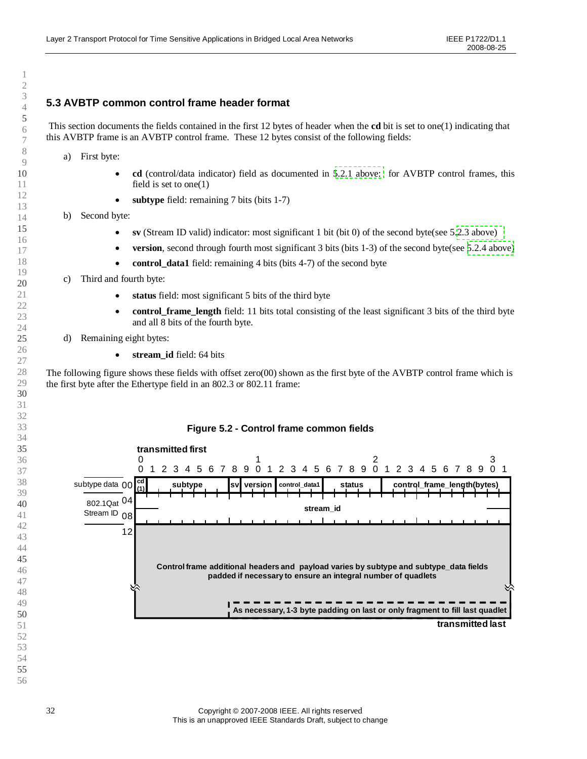### <span id="page-31-0"></span>**5.3 AVBTP common control frame header format**

This section documents the fields contained in the first 12 bytes of header when the **cd** bit is set to one(1) indicating that this AVBTP frame is an AVBTP control frame. These 12 bytes consist of the following fields:

a) First byte:

- <span id="page-31-1"></span> **cd** (control/data indicator) field as documented in [5.2.1 above:](#page-28-0) for AVBTP control frames, this field is set to one(1)
- **subtype** field: remaining 7 bits (bits 1-7)

#### b) Second byte:

- **sv** (Stream ID valid) indicator: most significant 1 bit (bit 0) of the second byte(see 5.[2.3 above\)](#page-29-0)
- **version**, second through fourth most significant 3 bits (bits 1-3) of the second byte(see [5.2.4 above\)](#page-29-0)
- **control\_data1** field: remaining 4 bits (bits 4-7) of the second byte
- c) Third and fourth byte:
	- **status** field: most significant 5 bits of the third byte
	- **control frame length** field: 11 bits total consisting of the least significant 3 bits of the third byte and all 8 bits of the fourth byte.
- d) Remaining eight bytes:
	- **stream\_id** field: 64 bits

The following figure shows these fields with offset zero(00) shown as the first byte of the AVBTP control frame which is the first byte after the Ethertype field in an 802.3 or 802.11 frame:

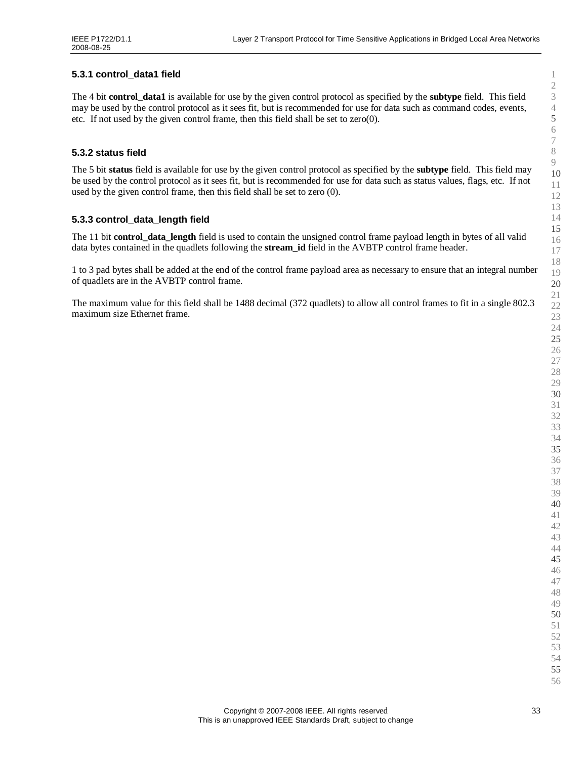#### **5.3.1 control\_data1 field**

<span id="page-32-0"></span>The 4 bit **control\_data1** is available for use by the given control protocol as specified by the **subtype** field. This field may be used by the control protocol as it sees fit, but is recommended for use for data such as command codes, events, etc. If not used by the given control frame, then this field shall be set to zero(0).

#### **5.3.2 status field**

The 5 bit **status** field is available for use by the given control protocol as specified by the **subtype** field. This field may be used by the control protocol as it sees fit, but is recommended for use for data such as status values, flags, etc. If not used by the given control frame, then this field shall be set to zero (0).

#### **5.3.3 control\_data\_length field**

The 11 bit **control\_data\_length** field is used to contain the unsigned control frame payload length in bytes of all valid data bytes contained in the quadlets following the **stream\_id** field in the AVBTP control frame header.

1 to 3 pad bytes shall be added at the end of the control frame payload area as necessary to ensure that an integral number of quadlets are in the AVBTP control frame.

The maximum value for this field shall be 1488 decimal (372 quadlets) to allow all control frames to fit in a single 802.3 maximum size Ethernet frame.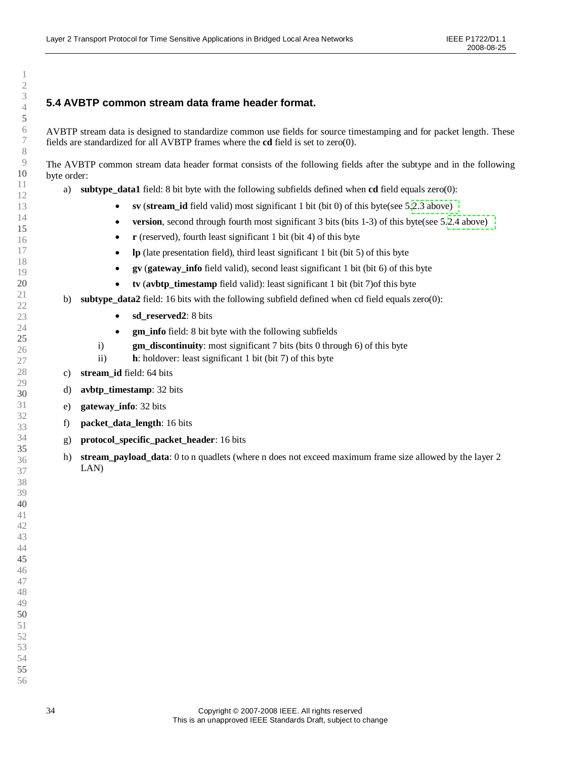## <span id="page-33-0"></span>**5.4 AVBTP common stream data frame header format.**

AVBTP stream data is designed to standardize common use fields for source timestamping and for packet length. These fields are standardized for all AVBTP frames where the **cd** field is set to zero(0).

The AVBTP common stream data header format consists of the following fields after the subtype and in the following byte order:

- a) **subtype data1** field: 8 bit byte with the following subfields defined when **cd** field equals zero(0):
	- **sv** (**stream\_id** field valid) most significant 1 bit (bit 0) of this byte(see 5[.2.3 above\)](#page-29-0)
	- **version**, second through fourth most significant 3 bits (bits 1-3) of this byte(see 5.[2.4 above\)](#page-29-0)
	- **r** (reserved), fourth least significant 1 bit (bit 4) of this byte
	- **lp** (late presentation field), third least significant 1 bit (bit 5) of this byte
	- **gv** (**gateway\_info** field valid), second least significant 1 bit (bit 6) of this byte
	- **tv** (**avbtp** timestamp field valid): least significant 1 bit (bit 7)of this byte
- b) **subtype\_data2** field: 16 bits with the following subfield defined when cd field equals zero(0):
	- **sd\_reserved2**: 8 bits
	- **gm\_info** field: 8 bit byte with the following subfields
	- i) **gm\_discontinuity**: most significant 7 bits (bits 0 through 6) of this byte
	- ii) **h**: holdover: least significant 1 bit (bit 7) of this byte
- c) **stream\_id** field: 64 bits
- d) **avbtp\_timestamp**: 32 bits
- e) **gateway\_info**: 32 bits
- f) **packet\_data\_length**: 16 bits
- g) **protocol\_specific\_packet\_header**: 16 bits
- h) **stream\_payload\_data**: 0 to n quadlets (where n does not exceed maximum frame size allowed by the layer 2 LAN)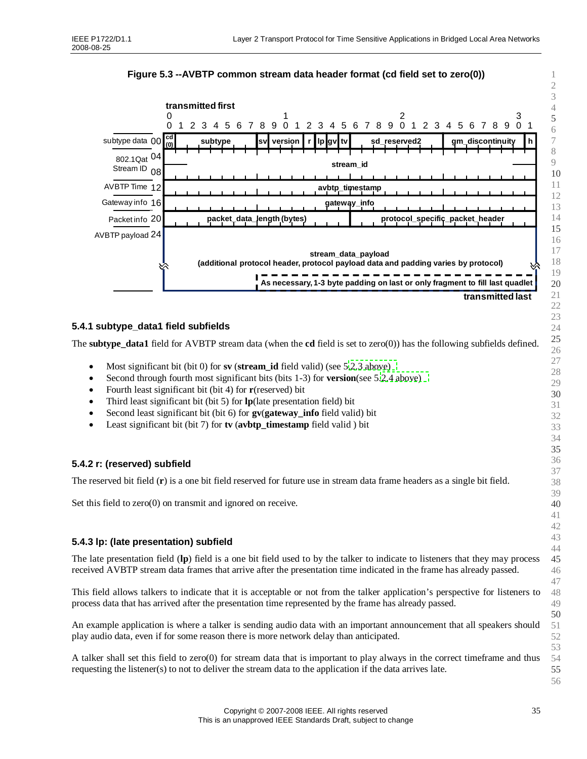<span id="page-34-1"></span>

<span id="page-34-0"></span>

#### **5.4.1 subtype\_data1 field subfields**

The **subtype\_data1** field for AVBTP stream data (when the **cd** field is set to zero(0)) has the following subfields defined.

- Most significant bit (bit 0) for **sv** (**stream id** field valid) (see 5[.2.3 above\)](#page-29-0)
- Second through fourth most significant bits (bits 1-3) for **version**(see 5[.2.4 above\)](#page-29-0)
- Fourth least significant bit (bit 4) for **r**(reserved) bit
- Third least significant bit (bit 5) for **lp**(late presentation field) bit
- Second least significant bit (bit 6) for **gv**(**gateway\_info** field valid) bit
- Least significant bit (bit 7) for **tv** (**avbtp\_timestamp** field valid ) bit

#### **5.4.2 r: (reserved) subfield**

The reserved bit field (**r**) is a one bit field reserved for future use in stream data frame headers as a single bit field.

Set this field to zero(0) on transmit and ignored on receive.

#### **5.4.3 lp: (late presentation) subfield**

The late presentation field (**lp**) field is a one bit field used to by the talker to indicate to listeners that they may process received AVBTP stream data frames that arrive after the presentation time indicated in the frame has already passed.

This field allows talkers to indicate that it is acceptable or not from the talker application's perspective for listeners to process data that has arrived after the presentation time represented by the frame has already passed.

An example application is where a talker is sending audio data with an important announcement that all speakers should play audio data, even if for some reason there is more network delay than anticipated.

A talker shall set this field to zero(0) for stream data that is important to play always in the correct timeframe and thus requesting the listener(s) to not to deliver the stream data to the application if the data arrives late.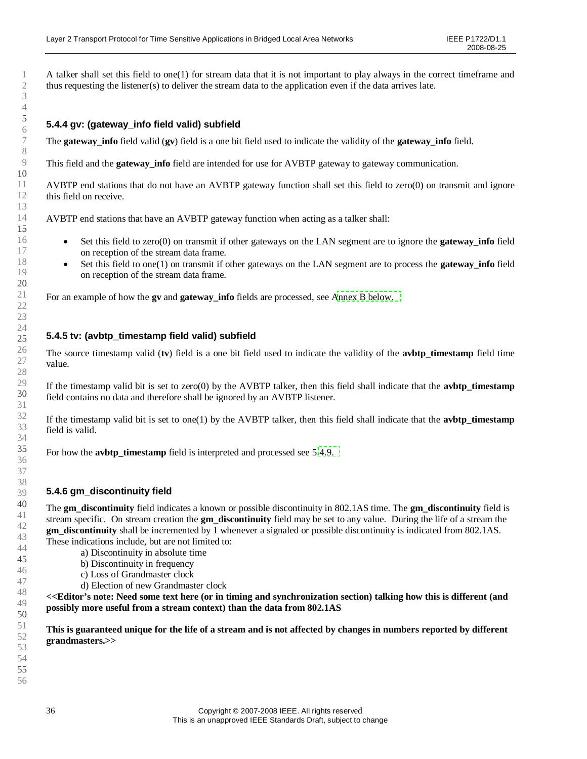<span id="page-35-0"></span>A talker shall set this field to one(1) for stream data that it is not important to play always in the correct timeframe and thus requesting the listener(s) to deliver the stream data to the application even if the data arrives late.

#### **5.4.4 gv: (gateway\_info field valid) subfield**

The **gateway\_info** field valid (**gv**) field is a one bit field used to indicate the validity of the **gateway\_info** field.

This field and the **gateway\_info** field are intended for use for AVBTP gateway to gateway communication.

AVBTP end stations that do not have an AVBTP gateway function shall set this field to zero(0) on transmit and ignore this field on receive.

AVBTP end stations that have an AVBTP gateway function when acting as a talker shall:

- Set this field to zero(0) on transmit if other gateways on the LAN segment are to ignore the **gateway info** field on reception of the stream data frame.
- Set this field to one(1) on transmit if other gateways on the LAN segment are to process the **gateway\_info** field on reception of the stream data frame.

For an example of how the **gv** and **gateway\_info** fields are processed, see [Annex B below.](#page-62-0)

#### **5.4.5 tv: (avbtp\_timestamp field valid) subfield**

The source timestamp valid (**tv**) field is a one bit field used to indicate the validity of the **avbtp\_timestamp** field time value.

If the timestamp valid bit is set to zero $(0)$  by the AVBTP talker, then this field shall indicate that the **avbtp** timestamp field contains no data and therefore shall be ignored by an AVBTP listener.

If the timestamp valid bit is set to one(1) by the AVBTP talker, then this field shall indicate that the **avbtp** timestamp field is valid.

For how the **avbtp\_timestamp** field is interpreted and processed see 5[.4.9.](#page-36-2)

#### **5.4.6 gm\_discontinuity field**

The **gm\_discontinuity** field indicates a known or possible discontinuity in 802.1AS time. The **gm\_discontinuity** field is stream specific. On stream creation the **gm\_discontinuity** field may be set to any value. During the life of a stream the **gm\_discontinuity** shall be incremented by 1 whenever a signaled or possible discontinuity is indicated from 802.1AS. These indications include, but are not limited to:

- a) Discontinuity in absolute time
- b) Discontinuity in frequency
- c) Loss of Grandmaster clock
- d) Election of new Grandmaster clock

**<<Editor's note: Need some text here (or in timing and synchronization section) talking how this is different (and possibly more useful from a stream context) than the data from 802.1AS**

**This is guaranteed unique for the life of a stream and is not affected by changes in numbers reported by different grandmasters.>>**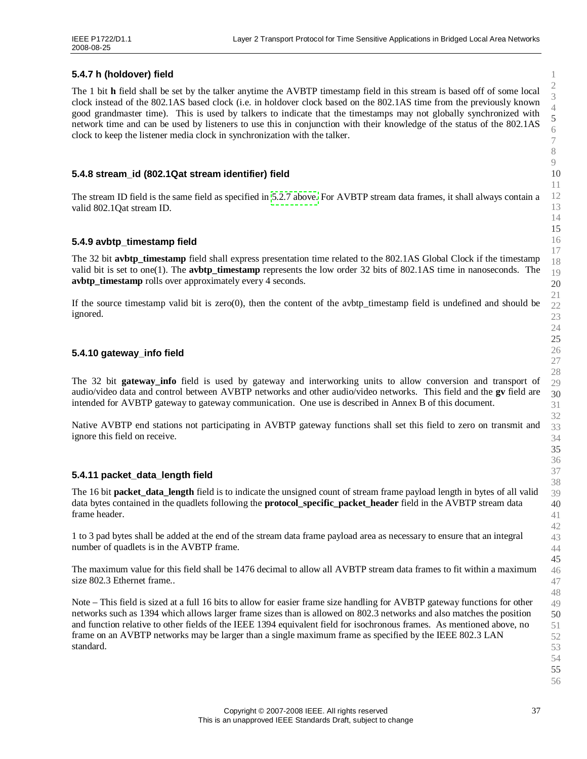#### **5.4.7 h (holdover) field**

<span id="page-36-0"></span>The 1 bit **h** field shall be set by the talker anytime the AVBTP timestamp field in this stream is based off of some local clock instead of the 802.1AS based clock (i.e. in holdover clock based on the 802.1AS time from the previously known good grandmaster time). This is used by talkers to indicate that the timestamps may not globally synchronized with network time and can be used by listeners to use this in conjunction with their knowledge of the status of the 802.1AS clock to keep the listener media clock in synchronization with the talker.

#### **5.4.8 stream\_id (802.1Qat stream identifier) field**

The stream ID field is the same field as specified in [5.2.7 above.](#page-29-0) For AVBTP stream data frames, it shall always contain a valid 802.1Qat stream ID.

#### **5.4.9 avbtp\_timestamp field**

The 32 bit **avbtp\_timestamp** field shall express presentation time related to the 802.1AS Global Clock if the timestamp valid bit is set to one(1). The **avbtp timestamp** represents the low order 32 bits of 802.1AS time in nanoseconds. The **avbtp** timestamp rolls over approximately every 4 seconds.

If the source timestamp valid bit is zero(0), then the content of the avbtp timestamp field is undefined and should be ignored.

#### **5.4.10 gateway\_info field**

The 32 bit **gateway info** field is used by gateway and interworking units to allow conversion and transport of audio/video data and control between AVBTP networks and other audio/video networks. This field and the **gv** field are intended for AVBTP gateway to gateway communication. One use is described in Annex B of this document.

Native AVBTP end stations not participating in AVBTP gateway functions shall set this field to zero on transmit and ignore this field on receive.

#### **5.4.11 packet\_data\_length field**

The 16 bit **packet** data length field is to indicate the unsigned count of stream frame payload length in bytes of all valid data bytes contained in the quadlets following the **protocol** specific packet header field in the AVBTP stream data frame header.

1 to 3 pad bytes shall be added at the end of the stream data frame payload area as necessary to ensure that an integral number of quadlets is in the AVBTP frame.

The maximum value for this field shall be 1476 decimal to allow all AVBTP stream data frames to fit within a maximum size 802.3 Ethernet frame..

Note –This field is sized at a full 16 bits to allow for easier frame size handling for AVBTP gateway functions for other networks such as 1394 which allows larger frame sizes than is allowed on 802.3 networks and also matches the position and function relative to other fields of the IEEE 1394 equivalent field for isochronous frames. As mentioned above, no frame on an AVBTP networks may be larger than a single maximum frame as specified by the IEEE 802.3 LAN standard.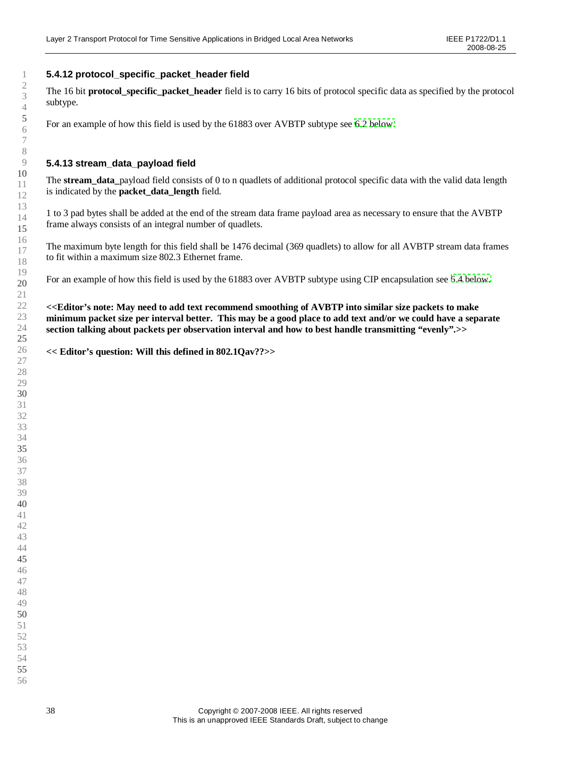#### 

  The 16 bit **protocol** specific packet header field is to carry 16 bits of protocol specific data as specified by the protocol subtype.

For an example of how this field is used by the 61883 over AVBTP subtype see [6.2 below](#page-42-0)

#### **5.4.13 stream\_data\_payload field**

The **stream data** payload field consists of 0 to n quadlets of additional protocol specific data with the valid data length is indicated by the **packet\_data\_length** field.

1 to 3 pad bytes shall be added at the end of the stream data frame payload area as necessary to ensure that the AVBTP frame always consists of an integral number of quadlets.

The maximum byte length for this field shall be 1476 decimal (369 quadlets) to allow for all AVBTP stream data frames to fit within a maximum size 802.3 Ethernet frame.

For an example of how this field is used by the 61883 over AVBTP subtype using CIP encapsulation see [6.4 below.](#page-45-0)

**<<Editor's note: May need to add text recommend smoothing of AVBTP into similar size packets to make minimum packet size per interval better. This may be a good place to add text and/or we could have a separate section talking about packets per observation interval and how to best handle transmitting "evenly".>>**

**<< Editor's question: Will this defined in 802.1Qav??>>**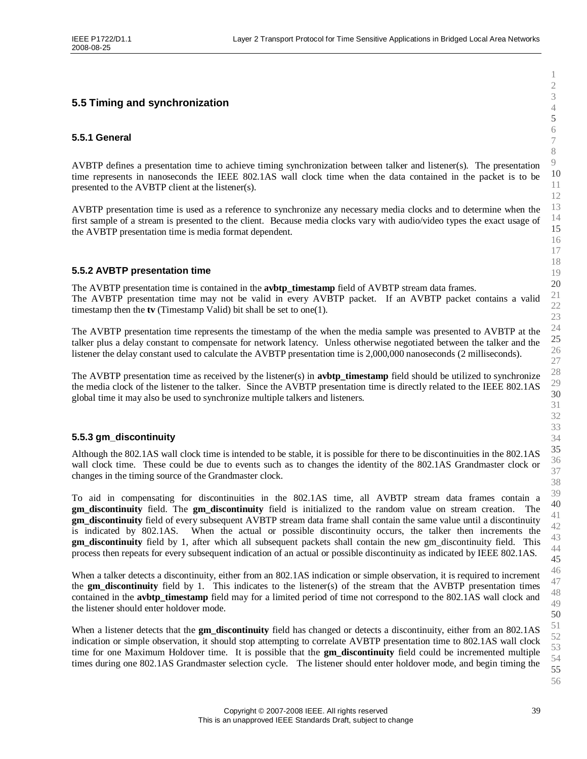# **5.5 Timing and synchronization**

#### **5.5.1 General**

AVBTP defines a presentation time to achieve timing synchronization between talker and listener(s). The presentation time represents in nanoseconds the IEEE 802.1AS wall clock time when the data contained in the packet is to be presented to the AVBTP client at the listener(s).

AVBTP presentation time is used as a reference to synchronize any necessary media clocks and to determine when the first sample of a stream is presented to the client. Because media clocks vary with audio/video types the exact usage of the AVBTP presentation time is media format dependent.

#### **5.5.2 AVBTP presentation time**

The AVBTP presentation time is contained in the **avbtp** timestamp field of AVBTP stream data frames. The AVBTP presentation time may not be valid in every AVBTP packet. If an AVBTP packet contains a valid timestamp then the **tv** (Timestamp Valid) bit shall be set to one(1).

The AVBTP presentation time represents the timestamp of the when the media sample was presented to AVBTP at the talker plus a delay constant to compensate for network latency. Unless otherwise negotiated between the talker and the listener the delay constant used to calculate the AVBTP presentation time is 2,000,000 nanoseconds (2 milliseconds).

The AVBTP presentation time as received by the listener(s) in **avbtp\_timestamp** field should be utilized to synchronize the media clock of the listener to the talker. Since the AVBTP presentation time is directly related to the IEEE 802.1AS global time it may also be used to synchronize multiple talkers and listeners.

#### **5.5.3 gm\_discontinuity**

Although the 802.1AS wall clock time is intended to be stable, it is possible for there to be discontinuities in the 802.1AS wall clock time. These could be due to events such as to changes the identity of the 802.1AS Grandmaster clock or changes in the timing source of the Grandmaster clock.

To aid in compensating for discontinuities in the 802.1AS time, all AVBTP stream data frames contain a **gm\_discontinuity** field. The **gm\_discontinuity** field is initialized to the random value on stream creation. The **gm\_discontinuity** field of every subsequent AVBTP stream data frame shall contain the same value until a discontinuity is indicated by 802.1AS. When the actual or possible discontinuity occurs, the talker then increments the **gm\_discontinuity** field by 1, after which all subsequent packets shall contain the new gm\_discontinuity field. This process then repeats for every subsequent indication of an actual or possible discontinuity as indicated by IEEE 802.1AS.

When a talker detects a discontinuity, either from an 802.1AS indication or simple observation, it is required to increment the **gm\_discontinuity** field by 1. This indicates to the listener(s) of the stream that the AVBTP presentation times contained in the **avbtp timestamp** field may for a limited period of time not correspond to the 802.1AS wall clock and the listener should enter holdover mode.

When a listener detects that the **gm\_discontinuity** field has changed or detects a discontinuity, either from an 802.1AS indication or simple observation, it should stop attempting to correlate AVBTP presentation time to 802.1AS wall clock time for one Maximum Holdover time. It is possible that the **gm\_discontinuity** field could be incremented multiple times during one 802.1AS Grandmaster selection cycle. The listener should enter holdover mode, and begin timing the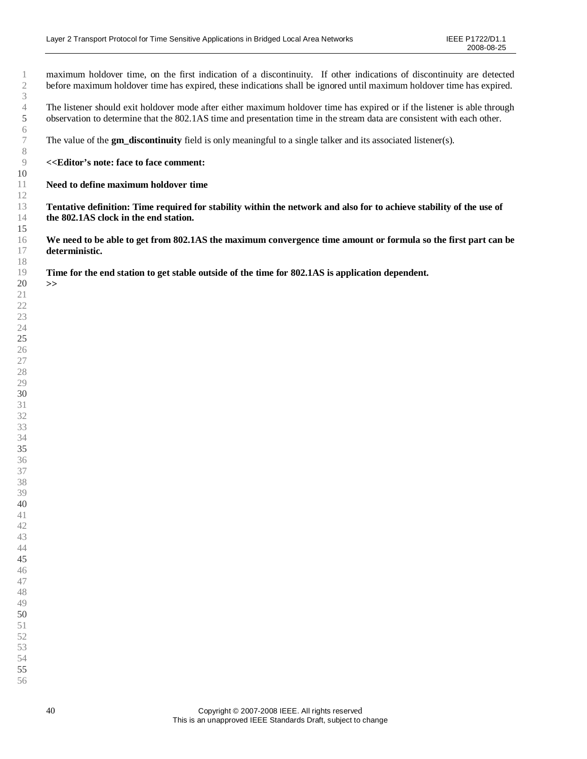| $\mathbf{1}$<br>$\mathfrak{2}$<br>3 | maximum holdover time, on the first indication of a discontinuity. If other indications of discontinuity are detected<br>before maximum holdover time has expired, these indications shall be ignored until maximum holdover time has expired.      |  |  |  |  |
|-------------------------------------|-----------------------------------------------------------------------------------------------------------------------------------------------------------------------------------------------------------------------------------------------------|--|--|--|--|
| $\overline{4}$<br>$\sqrt{5}$        | The listener should exit holdover mode after either maximum holdover time has expired or if the listener is able through<br>observation to determine that the 802.1AS time and presentation time in the stream data are consistent with each other. |  |  |  |  |
| 7<br>$8\,$                          | 6<br>The value of the <b>gm_discontinuity</b> field is only meaningful to a single talker and its associated listener(s).                                                                                                                           |  |  |  |  |
| $\boldsymbol{9}$<br>10              | < <editor's comment:<="" face="" note:="" td="" to=""></editor's>                                                                                                                                                                                   |  |  |  |  |
| 11<br>12                            | Need to define maximum holdover time                                                                                                                                                                                                                |  |  |  |  |
| 13<br>14<br>15                      | Tentative definition: Time required for stability within the network and also for to achieve stability of the use of<br>the 802.1AS clock in the end station.                                                                                       |  |  |  |  |
| 16<br>17                            | We need to be able to get from 802.1AS the maximum convergence time amount or formula so the first part can be<br>deterministic.                                                                                                                    |  |  |  |  |
| 18<br>19                            | Time for the end station to get stable outside of the time for 802.1AS is application dependent.                                                                                                                                                    |  |  |  |  |
| 20<br>21                            | >>                                                                                                                                                                                                                                                  |  |  |  |  |
| $22\,$                              |                                                                                                                                                                                                                                                     |  |  |  |  |
| 23                                  |                                                                                                                                                                                                                                                     |  |  |  |  |
| 24                                  |                                                                                                                                                                                                                                                     |  |  |  |  |
| 25<br>$26\,$                        |                                                                                                                                                                                                                                                     |  |  |  |  |
| 27                                  |                                                                                                                                                                                                                                                     |  |  |  |  |
| 28                                  |                                                                                                                                                                                                                                                     |  |  |  |  |
| 29                                  |                                                                                                                                                                                                                                                     |  |  |  |  |
| 30                                  |                                                                                                                                                                                                                                                     |  |  |  |  |
| 31                                  |                                                                                                                                                                                                                                                     |  |  |  |  |
| 32                                  |                                                                                                                                                                                                                                                     |  |  |  |  |
| 33                                  |                                                                                                                                                                                                                                                     |  |  |  |  |
| 34                                  |                                                                                                                                                                                                                                                     |  |  |  |  |
| 35                                  |                                                                                                                                                                                                                                                     |  |  |  |  |
| 36                                  |                                                                                                                                                                                                                                                     |  |  |  |  |
| 37                                  |                                                                                                                                                                                                                                                     |  |  |  |  |
| 38                                  |                                                                                                                                                                                                                                                     |  |  |  |  |
| 39                                  |                                                                                                                                                                                                                                                     |  |  |  |  |
| 40                                  |                                                                                                                                                                                                                                                     |  |  |  |  |
| 41                                  |                                                                                                                                                                                                                                                     |  |  |  |  |
| 42<br>43                            |                                                                                                                                                                                                                                                     |  |  |  |  |
| 44                                  |                                                                                                                                                                                                                                                     |  |  |  |  |
| 45                                  |                                                                                                                                                                                                                                                     |  |  |  |  |
| 46                                  |                                                                                                                                                                                                                                                     |  |  |  |  |
| 47                                  |                                                                                                                                                                                                                                                     |  |  |  |  |
| 48                                  |                                                                                                                                                                                                                                                     |  |  |  |  |
| 49                                  |                                                                                                                                                                                                                                                     |  |  |  |  |
| 50                                  |                                                                                                                                                                                                                                                     |  |  |  |  |
| 51                                  |                                                                                                                                                                                                                                                     |  |  |  |  |
| 52                                  |                                                                                                                                                                                                                                                     |  |  |  |  |
| 53                                  |                                                                                                                                                                                                                                                     |  |  |  |  |
| 54                                  |                                                                                                                                                                                                                                                     |  |  |  |  |
| 55                                  |                                                                                                                                                                                                                                                     |  |  |  |  |
| 56                                  |                                                                                                                                                                                                                                                     |  |  |  |  |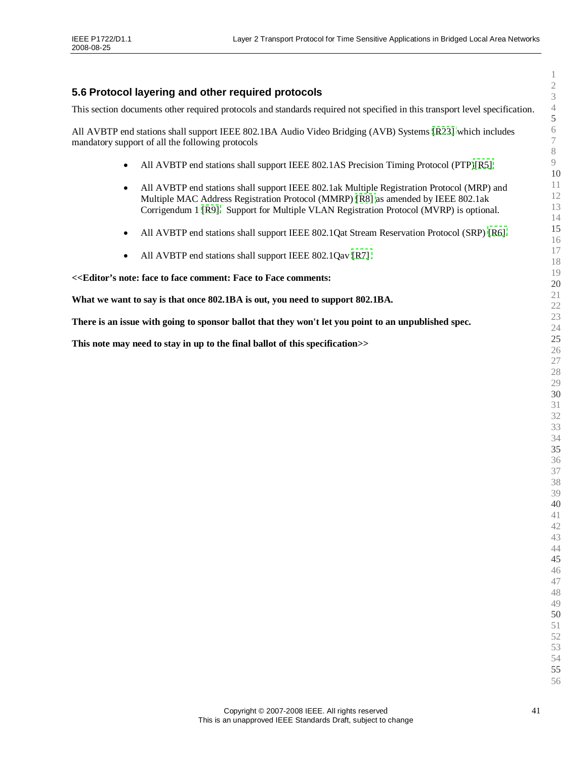# **5.6 Protocol layering and other required protocols**

This section documents other required protocols and standards required not specified in this transport level specification.

All AVBTP end stations shall support IEEE 802.1BA Audio Video Bridging (AVB) Systems [\[R23\]](#page-15-0) which includes mandatory support of all the following protocols

- All AVBTP end stations shall support IEEE 802.1AS Precision Timing Protocol(PTP[\)\[R5\].](#page-14-0)
- All AVBTP end stations shall support IEEE 802.1ak Multiple Registration Protocol (MRP) and Multiple MAC Address Registration Protocol (MMRP) [\[R8\]](#page-14-0) as amended by IEEE 802.1ak Corrigendum 1 [\[R9\].](#page-14-0) Support for Multiple VLAN Registration Protocol (MVRP) is optional.
- All AVBTP end stations shall support IEEE 802.1Qat Stream Reservation Protocol (SRP) [\[R6\].](#page-14-0)
- All AVBTP end stations shall support IEEE 802.1Qav [\[R7\]](#page-14-0)

**<<Editor's note: face to face comment: Face to Face comments:**

**What we want to say is that once 802.1BA is out, you need to support 802.1BA.**

**There is an issue with going to sponsor ballot that they won't let you point to an unpublished spec.**

**This note may need to stay in up to the final ballot of this specification>>**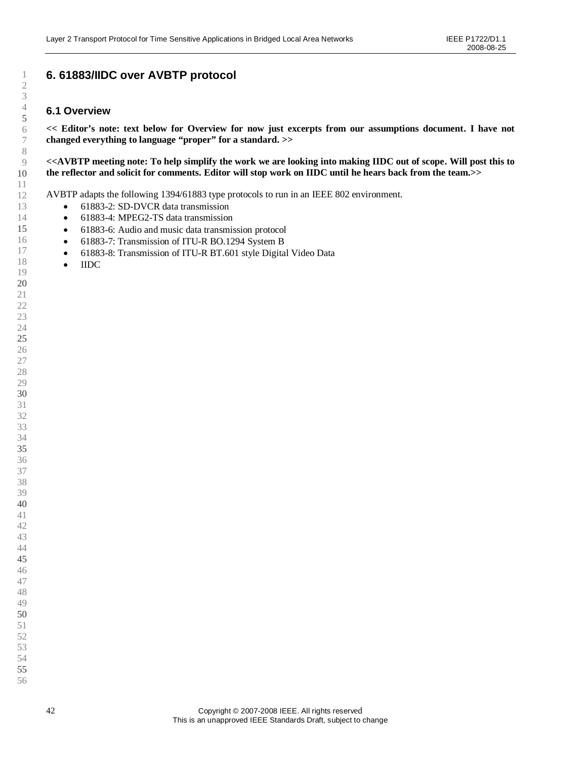# <span id="page-41-0"></span>**6. 61883/IIDC over AVBTP protocol**

## **6.1 Overview**

**<< Editor's note: text below for Overview for now just excerpts from our assumptions document. I have not changed everything to language "proper"for a standard. >>**

**<<AVBTP meeting note: To help simplify the work we are looking into making IIDC out of scope. Will post this to the reflector and solicit for comments. Editor will stop work on IIDC until he hears back from the team.>>**

AVBTP adapts the following 1394/61883 type protocols to run in an IEEE 802 environment.

- 61883-2: SD-DVCR data transmission
- 61883-4: MPEG2-TS data transmission
- 61883-6: Audio and music data transmission protocol
- 61883-7: Transmission of ITU-R BO.1294 System B
- 61883-8: Transmission of ITU-R BT.601 style Digital Video Data
- IIDC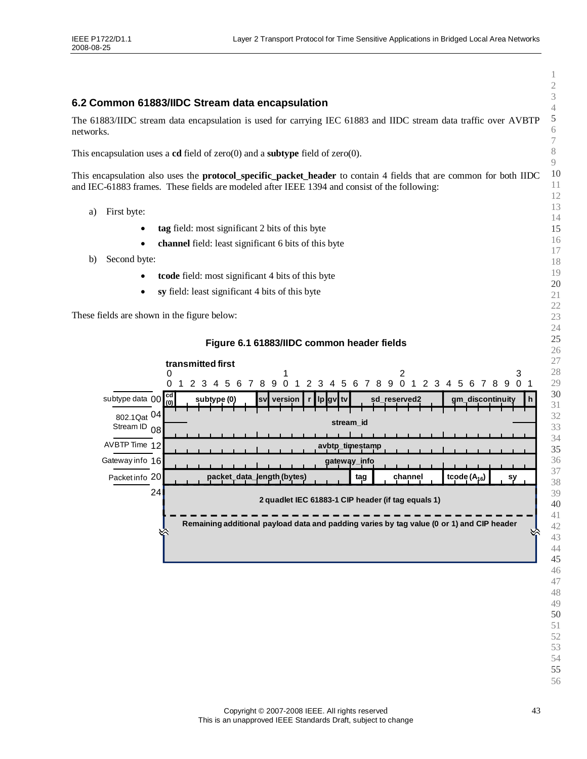#### <span id="page-42-0"></span>**6.2 Common 61883/IIDC Stream data encapsulation**

The 61883/IIDC stream data encapsulation is used for carrying IEC 61883 and IIDC stream data traffic over AVBTP networks.

This encapsulation uses a **cd** field of zero(0) and a **subtype** field of zero(0).

This encapsulation also uses the **protocol\_specific\_packet\_header** to contain 4 fields that are common for both IIDC and IEC-61883 frames. These fields are modeled after IEEE 1394 and consist of the following:

- a) First byte:
	- **tag** field: most significant 2 bits of this byte
	- **channel** field: least significant 6 bits of this byte
- b) Second byte:
	- **tcode** field: most significant 4 bits of this byte
	- **sy** field: least significant 4 bits of this byte

These fields are shown in the figure below:

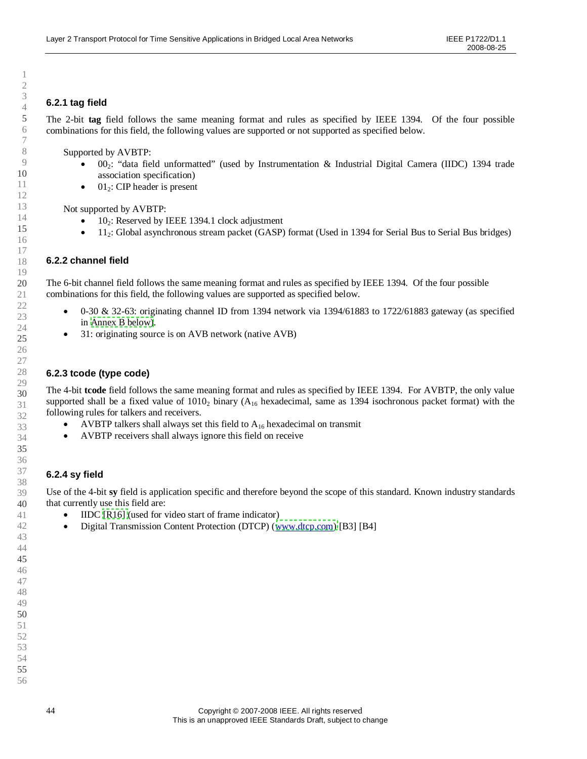#### **6.2.1 tag field**

 

> The 2-bit **tag** field follows the same meaning format and rules as specified by IEEE 1394. Of the four possible combinations for this field, the following values are supported or not supported as specified below.

Supported by AVBTP:

- 002: "data field unformatted" (used by Instrumentation & Industrial Digital Camera (IIDC) 1394 trade association specification)
- $01<sub>2</sub>$ : CIP header is present

Not supported by AVBTP:

- 102: Reserved by IEEE 1394.1 clock adjustment
- 112: Global asynchronous stream packet (GASP) format (Used in 1394 for Serial Bus to Serial Bus bridges)

#### **6.2.2 channel field**

The 6-bit channel field follows the same meaning format and rules as specified by IEEE 1394. Of the four possible combinations for this field, the following values are supported as specified below.

- 0-30 & 32-63: originating channel ID from 1394 network via 1394/61883 to 1722/61883 gateway (as specified in [Annex B below\)](#page-62-0).
- 31: originating source is on AVB network (native AVB)

#### **6.2.3 tcode (type code)**

The 4-bit **tcode** field follows the same meaning format and rules as specified by IEEE 1394. For AVBTP, the only value supported shall be a fixed value of  $1010<sub>2</sub>$  binary ( $A<sub>16</sub>$  hexadecimal, same as 1394 isochronous packet format) with the following rules for talkers and receivers.

- AVBTP talkers shall always set this field to  $A_{16}$  hexadecimal on transmit
- AVBTP receivers shall always ignore this field on receive

#### **6.2.4 sy field**

Use of the 4-bit **sy** field is application specific and therefore beyond the scope of this standard. Known industry standards that currently use this field are:

- IIDC [\[R16\]](#page-15-0) (used for video start of frame indicator)
- Digital Transmission Content Protection (DTCP)([www.dtcp.com\)](http://www.dtcp.com/) [B3] [B4]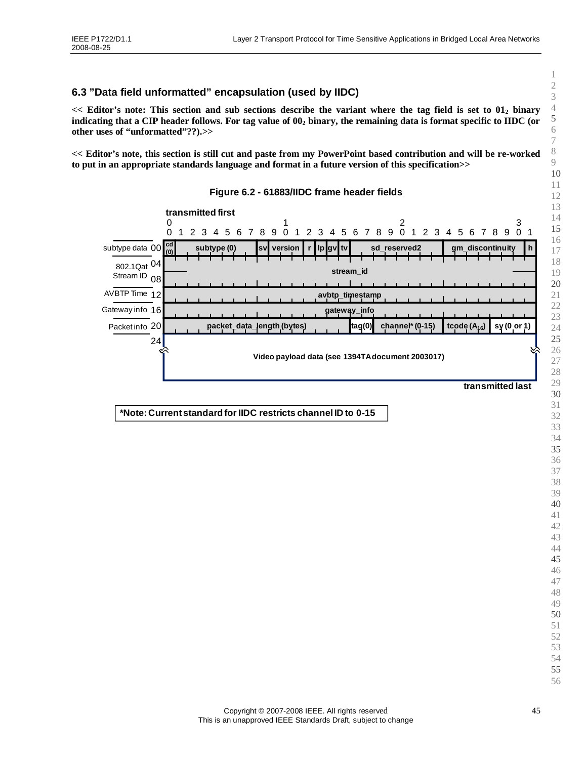# **6.3 "Data field unformatted"encapsulation (used by IIDC)**

**<< Editor's note: This section and sub sections describe the variant where the tag field is set to 01<sup>2</sup> binary indicating that a CIP header follows. For tag value of 00<sup>2</sup> binary, the remaining data is format specific to IIDC (or other uses of "unformatted"??).>>**

**<< Editor's note, this section is still cut and paste from my PowerPoint based contribution and will be re-worked to put in an appropriate standards language and format in a future version of this specification>>**

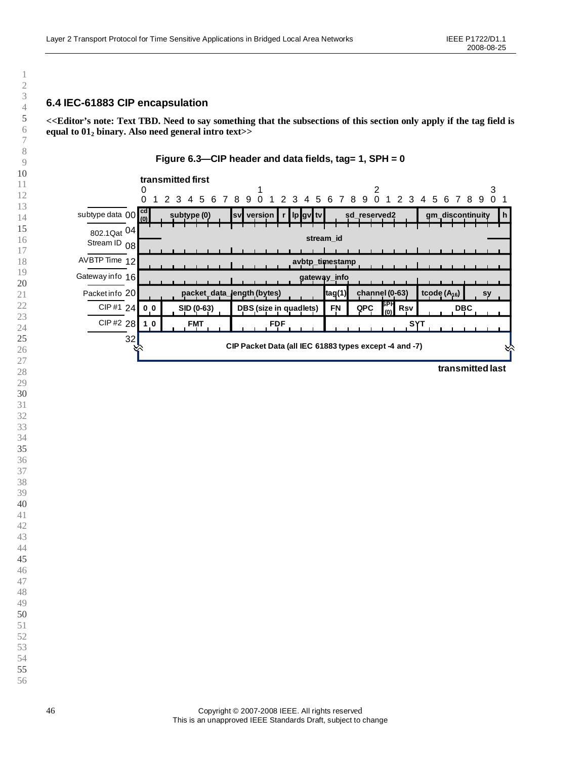#### <span id="page-45-0"></span>**6.4 IEC-61883 CIP encapsulation**

**<<Editor's note: Text TBD. Need to say something that the subsections of this section only apply if the tag field is equal to 01<sup>2</sup> binary. Also need general intro text>>**



#### **Figure 6.3–CIP header and data fields, tag= 1, SPH = 0**

**transmitted last**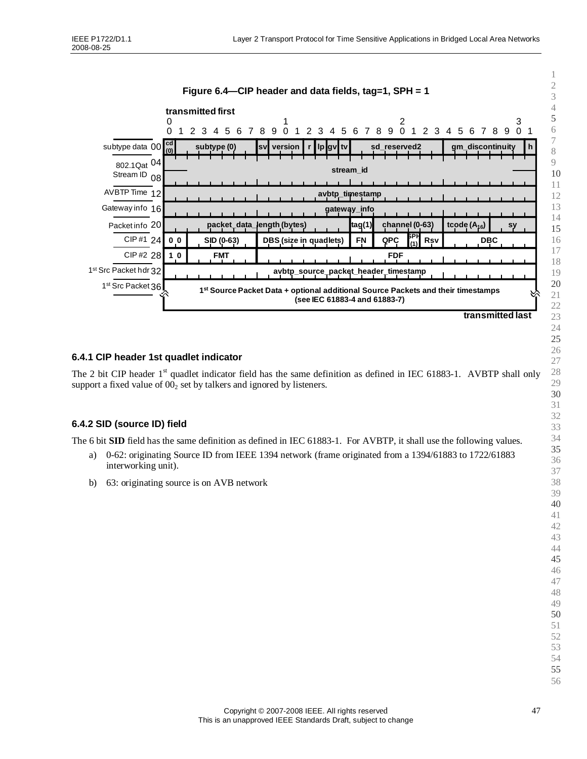

#### **6.4.1 CIP header 1st quadlet indicator**

The 2 bit CIP header 1<sup>st</sup> quadlet indicator field has the same definition as defined in IEC 61883-1. AVBTP shall only support a fixed value of  $00<sub>2</sub>$  set by talkers and ignored by listeners.

#### **6.4.2 SID (source ID) field**

The 6 bit **SID** field has the same definition as defined in IEC 61883-1. For AVBTP, it shall use the following values.

- a) 0-62: originating Source ID from IEEE 1394 network (frame originated from a 1394/61883 to 1722/61883 interworking unit).
- b) 63: originating source is on AVB network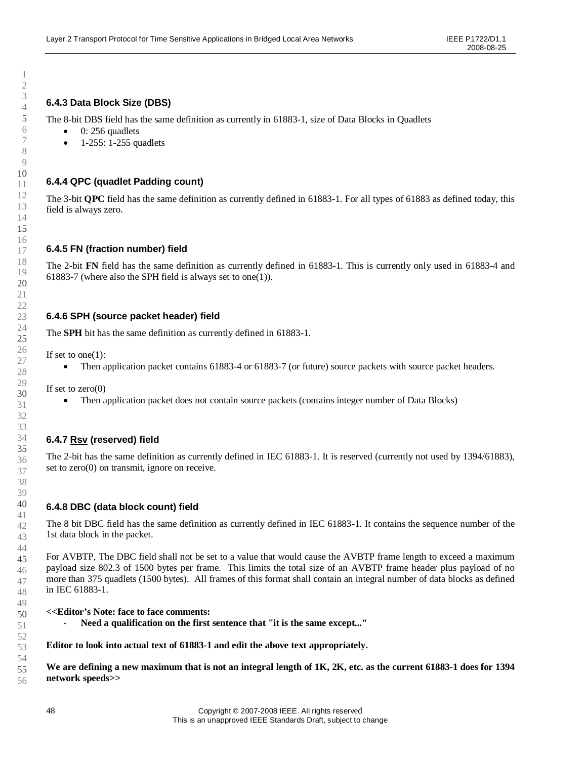#### **6.4.3 Data Block Size (DBS)**

The 8-bit DBS field has the same definition as currently in 61883-1, size of Data Blocks in Quadlets

- $\bullet$  0: 256 quadlets
- $\bullet$  1-255: 1-255 quadlets

#### **6.4.4 QPC (quadlet Padding count)**

The 3-bit **QPC** field has the same definition as currently defined in 61883-1. For all types of 61883 as defined today, this field is always zero.

#### **6.4.5 FN (fraction number) field**

The 2-bit **FN** field has the same definition as currently defined in 61883-1. This is currently only used in 61883-4 and 61883-7 (where also the SPH field is always set to one(1)).

#### **6.4.6 SPH (source packet header) field**

The **SPH** bit has the same definition as currently defined in 61883-1.

If set to one(1):

• Then application packet contains 61883-4 or 61883-7 (or future) source packets with source packet headers.

If set to  $zero(0)$ 

Then application packet does not contain source packets (contains integer number of Data Blocks)

#### **6.4.7 Rsv (reserved) field**

The 2-bit has the same definition as currently defined in IEC 61883-1. It is reserved (currently not used by 1394/61883), set to zero(0) on transmit, ignore on receive.

#### **6.4.8 DBC (data block count) field**

The 8 bit DBC field has the same definition as currently defined in IEC 61883-1. It contains the sequence number of the 1st data block in the packet.

For AVBTP, The DBC field shall not be set to a value that would cause the AVBTP frame length to exceed a maximum payload size 802.3 of 1500 bytes per frame. This limits the total size of an AVBTP frame header plus payload of no more than 375 quadlets (1500 bytes). All frames of this format shall contain an integral number of data blocks as defined in IEC 61883-1.

**<<Editor's Note: face to face comments:**

Need a qualification on the first sentence that "it is the same except..."

**Editor to look into actual text of 61883-1 and edit the above text appropriately.**

**We are defining a new maximum that is not an integral length of 1K, 2K, etc. as the current 61883-1 does for 1394 network speeds>>**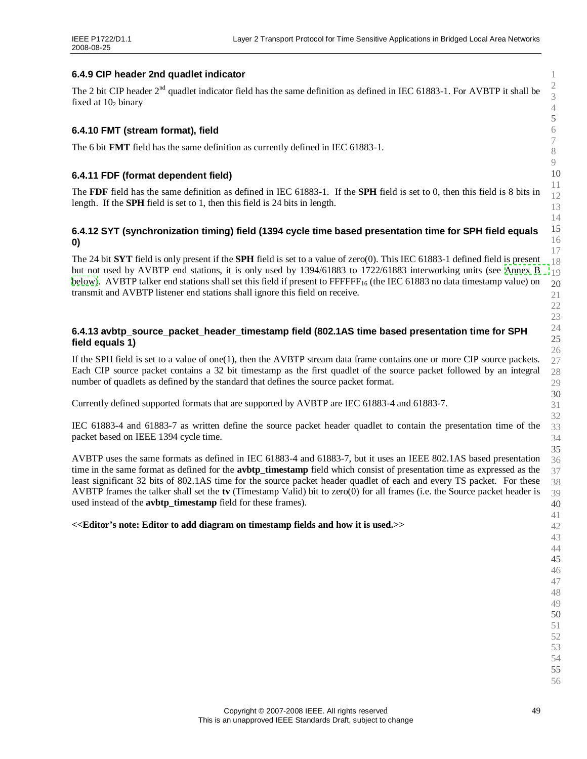#### **6.4.9 CIP header 2nd quadlet indicator**

The 2 bit CIP header 2<sup>nd</sup> quadlet indicator field has the same definition as defined in IEC 61883-1. For AVBTP it shall be fixed at  $10<sub>2</sub>$  binary

#### **6.4.10 FMT (stream format), field**

The 6 bit **FMT** field has the same definition as currently defined in IEC 61883-1.

#### **6.4.11 FDF (format dependent field)**

The **FDF** field has the same definition as defined in IEC 61883-1. If the **SPH** field is set to 0, then this field is 8 bits in length. If the **SPH** field is set to 1, then this field is 24 bits in length.

#### **6.4.12 SYT (synchronization timing) field (1394 cycle time based presentation time for SPH field equals 0)**

The 24 bit **SYT** field is only present if the **SPH** field is set to a value of zero(0). This IEC 61883-1 defined field is present but not used by AVBTP end stations, it is only used by 1394/61883 to 1722/61883 interworking units (see [Annex B](#page-62-0) [below\)](#page-62-0). AVBTP talker end stations shall set this field if present to  $\text{FFFFF}_{16}$  (the IEC 61883 no data timestamp value) on transmit and AVBTP listener end stations shall ignore this field on receive.

#### **6.4.13 avbtp\_source\_packet\_header\_timestamp field (802.1AS time based presentation time for SPH field equals 1)**

If the SPH field is set to a value of one(1), then the AVBTP stream data frame contains one or more CIP source packets. Each CIP source packet contains a 32 bit timestamp as the first quadlet of the source packet followed by an integral number of quadlets as defined by the standard that defines the source packet format.

Currently defined supported formats that are supported by AVBTP are IEC 61883-4 and 61883-7.

IEC 61883-4 and 61883-7 as written define the source packet header quadlet to contain the presentation time of the packet based on IEEE 1394 cycle time.

AVBTP uses the same formats as defined in IEC 61883-4 and 61883-7, but it uses an IEEE 802.1AS based presentation time in the same format as defined for the **avbtp\_timestamp** field which consist of presentation time as expressed as the least significant 32 bits of 802.1AS time for the source packet header quadlet of each and every TS packet. For these AVBTP frames the talker shall set the **tv** (Timestamp Valid) bit to zero(0) for all frames (i.e. the Source packet header is used instead of the **avbtp\_timestamp** field for these frames).

**<<Editor's note: Editor to add diagram on timestamp fields and how it is used.>>**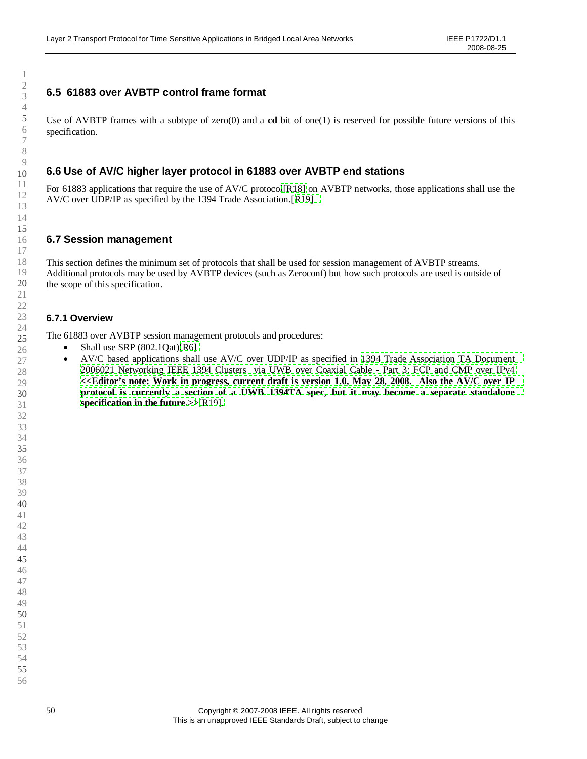# **6.5 61883 over AVBTP control frame format**

Use of AVBTP frames with a subtype of zero(0) and a **cd** bit of one(1) is reserved for possible future versions of this specification.

#### **6.6 Use of AV/C higher layer protocol in 61883 over AVBTP end stations**

For 61883 applications that require the use of AV/C protoco[l\[R18\]](#page-15-0) on AVBTP networks, those applications shall use the AV/C over UDP/IP as specified by the 1394 Trade Association.[[R19\]](#page-15-0)

# **6.7 Session management**

This section defines the minimum set of protocols that shall be used for session management of AVBTP streams. Additional protocols may be used by AVBTP devices (such as Zeroconf) but how such protocols are used is outside of the scope of this specification.

#### **6.7.1 Overview**

The 61883 over AVBTP session management protocols and procedures:

- Shall use SRP  $(802.1Qat)[R6]$  $(802.1Qat)[R6]$
- AV/C based applications shall use AV/C over UDP/IP as specified in [1394 Trade Association TA Document](#page-15-0) [2006021 Networking IEEE 1394 Clusters via UWB over Coaxial Cable](#page-15-0) - Part 3: FCP and CMP over IPv4 **[<<Editor's note: Work in progress, current draft is](#page-15-0) version 1.0, May 28, 2008. Also the AV/C over IP protocol [is currently a section of a UWB 1394TA spec, but it may become a separate](#page-15-0) standalone [specification in the future.>>](#page-15-0)**[\[R19\].](#page-15-0)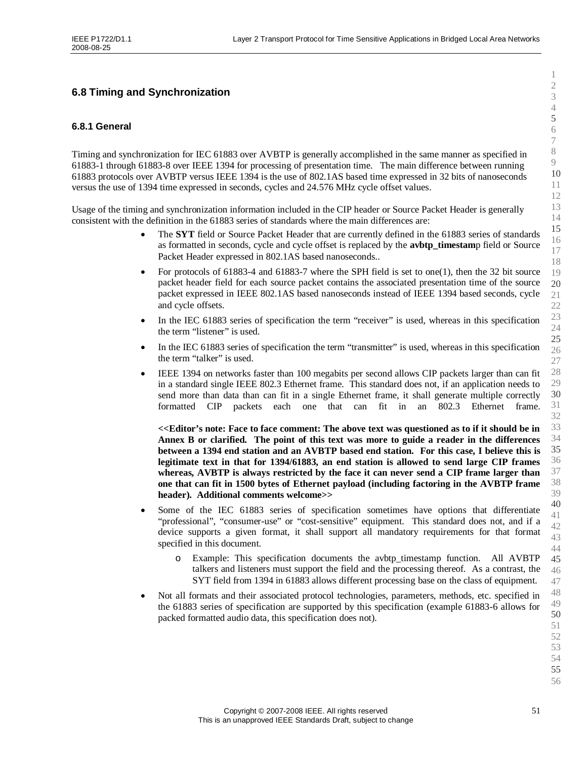# **6.8 Timing and Synchronization**

#### **6.8.1 General**

Timing and synchronization for IEC 61883 over AVBTP is generally accomplished in the same manner as specified in 61883-1 through 61883-8 over IEEE 1394 for processing of presentation time. The main difference between running 61883 protocols over AVBTP versus IEEE 1394 is the use of 802.1AS based time expressed in 32 bits of nanoseconds versus the use of 1394 time expressed in seconds, cycles and 24.576 MHz cycle offset values.

Usage of the timing and synchronization information included in the CIP header or Source Packet Header is generally consistent with the definition in the 61883 series of standards where the main differences are:

- The **SYT** field or Source Packet Header that are currently defined in the 61883 series of standards as formatted in seconds, cycle and cycle offset is replaced by the **avbtp\_timestam**p field or Source Packet Header expressed in 802.1AS based nanoseconds..
- For protocols of 61883-4 and 61883-7 where the SPH field is set to one(1), then the 32 bit source packet header field for each source packet contains the associated presentation time of the source packet expressed in IEEE 802.1AS based nanoseconds instead of IEEE 1394 based seconds, cycle and cycle offsets.
- In the IEC 61883 series of specification the term "receiver"is used, whereas in this specification the term "listener"is used.
- In the IEC 61883 series of specification the term "transmitter"is used, whereas in this specification the term "talker" is used.
- IEEE 1394 on networks faster than 100 megabits per second allows CIP packets larger than can fit in a standard single IEEE 802.3 Ethernet frame. This standard does not, if an application needs to send more than data than can fit in a single Ethernet frame, it shall generate multiple correctly formatted CIP packets each one that can fit in an 802.3 Ethernet frame.

**<<Editor's note: Face to face comment: The above text was questioned as to if it should be in Annex B or clarified. The point of this text was more to guide a reader in the differences between a 1394 end station and an AVBTP based end station. For this case, I believe this is legitimate text in that for 1394/61883, an end station is allowed to send large CIP frames whereas, AVBTP is always restricted by the face it can never send a CIP frame larger than one that can fit in 1500 bytes of Ethernet payload (including factoring in the AVBTP frame header). Additional comments welcome>>**

- Some of the IEC 61883 series of specification sometimes have options that differentiate "professional", "consumer-use" or "cost-sensitive" equipment. This standard does not, and if a device supports a given format, it shall support all mandatory requirements for that format specified in this document.
	- o Example: This specification documents the avbtp\_timestamp function. All AVBTP talkers and listeners must support the field and the processing thereof. As a contrast, the SYT field from 1394 in 61883 allows different processing base on the class of equipment.
- Not all formats and their associated protocol technologies, parameters, methods, etc. specified in the 61883 series of specification are supported by this specification (example 61883-6 allows for packed formatted audio data, this specification does not).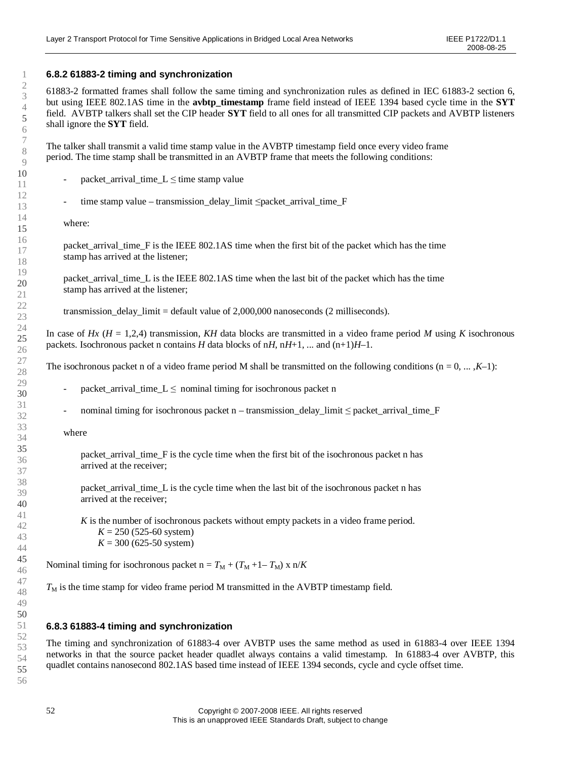#### 

#### **6.8.2 61883-2 timing and synchronization**

61883-2 formatted frames shall follow the same timing and synchronization rules as defined in IEC 61883-2 section 6, but using IEEE 802.1AS time in the **avbtp\_timestamp** frame field instead of IEEE 1394 based cycle time in the **SYT** field. AVBTP talkers shall set the CIP header **SYT** field to all ones for all transmitted CIP packets and AVBTP listeners shall ignore the **SYT** field.

The talker shall transmit a valid time stamp value in the AVBTP timestamp field once every video frame period. The time stamp shall be transmitted in an AVBTP frame that meets the following conditions:

packet arrival time  $L \leq$  time stamp value

time stamp value – transmission\_delay\_limit  $\leq$ packet\_arrival\_time\_F

where:

packet arrival time F is the IEEE 802.1AS time when the first bit of the packet which has the time stamp has arrived at the listener;

packet\_arrival\_time\_L is the IEEE 802.1AS time when the last bit of the packet which has the time stamp has arrived at the listener;

transmission\_delay\_limit = default value of 2,000,000 nanoseconds (2 milliseconds).

In case of *Hx* (*H* = 1,2,4) transmission, *KH* data blocks are transmitted in a video frame period *M* using *K* isochronous packets. Isochronous packet n contains *H* data blocks of n*H*, n*H*+1, ... and (n+1)*H*–1.

The isochronous packet n of a video frame period M shall be transmitted on the following conditions  $(n = 0, ..., K-1)$ :

- packet\_arrival\_time\_ $L \le$  nominal timing for isochronous packet n

nominal timing for isochronous packet n – transmission\_delay\_limit  $\leq$  packet\_arrival\_time\_F

where

packet arrival time F is the cycle time when the first bit of the isochronous packet n has arrived at the receiver;

packet arrival time L is the cycle time when the last bit of the isochronous packet n has arrived at the receiver;

*K* is the number of isochronous packets without empty packets in a video frame period.  $K = 250$  (525-60 system) *K* = 300 (625-50 system)

Nominal timing for isochronous packet  $n = T_M + (T_M + 1 - T_M) \times n/K$ 

 $T_M$  is the time stamp for video frame period M transmitted in the AVBTP timestamp field.

#### **6.8.3 61883-4 timing and synchronization**

The timing and synchronization of 61883-4 over AVBTP uses the same method as used in 61883-4 over IEEE 1394 networks in that the source packet header quadlet always contains a valid timestamp. In 61883-4 over AVBTP, this quadlet contains nanosecond 802.1AS based time instead of IEEE 1394 seconds, cycle and cycle offset time.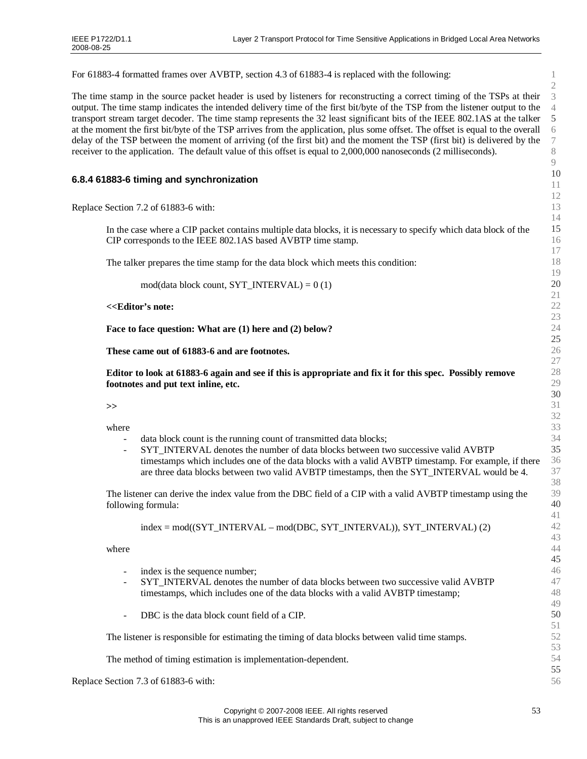For 61883-4 formatted frames over AVBTP, section 4.3 of 61883-4 is replaced with the following:

The time stamp in the source packet header is used by listeners for reconstructing a correct timing of the TSPs at their output. The time stamp indicates the intended delivery time of the first bit/byte of the TSP from the listener output to the transport stream target decoder. The time stamp represents the 32 least significant bits of the IEEE 802.1AS at the talker at the moment the first bit/byte of the TSP arrives from the application, plus some offset. The offset is equal to the overall delay of the TSP between the moment of arriving (of the first bit) and the moment the TSP (first bit) is delivered by the receiver to the application. The default value of this offset is equal to 2,000,000 nanoseconds (2 milliseconds).

#### **6.8.4 61883-6 timing and synchronization**

Replace Section 7.2 of 61883-6 with:

In the case where a CIP packet contains multiple data blocks, it is necessary to specify which data block of the CIP corresponds to the IEEE 802.1AS based AVBTP time stamp.

The talker prepares the time stamp for the data block which meets this condition:

 $mod(data block count, SYT_NTERVAL) = 0 (1)$ 

**<<Editor's note:**

**Face to face question: What are (1) here and (2) below?**

**These came out of 61883-6 and are footnotes.**

**Editor to look at 61883-6 again and see if this is appropriate and fix it for this spec. Possibly remove footnotes and put text inline, etc.**

**>>**

where

- data block count is the running count of transmitted data blocks;
- SYT\_INTERVAL denotes the number of data blocks between two successive valid AVBTP timestamps which includes one of the data blocks with a valid AVBTP timestamp. For example, if there are three data blocks between two valid AVBTP timestamps, then the SYT\_INTERVAL would be 4.

The listener can derive the index value from the DBC field of a CIP with a valid AVBTP timestamp using the following formula:

index = mod((SYT\_INTERVAL – mod(DBC, SYT\_INTERVAL)), SYT\_INTERVAL) (2)

where

- index is the sequence number; SYT\_INTERVAL denotes the number of data blocks between two successive valid AVBTP timestamps, which includes one of the data blocks with a valid AVBTP timestamp;
- DBC is the data block count field of a CIP.

The listener is responsible for estimating the timing of data blocks between valid time stamps.

The method of timing estimation is implementation-dependent.

Replace Section 7.3 of 61883-6 with: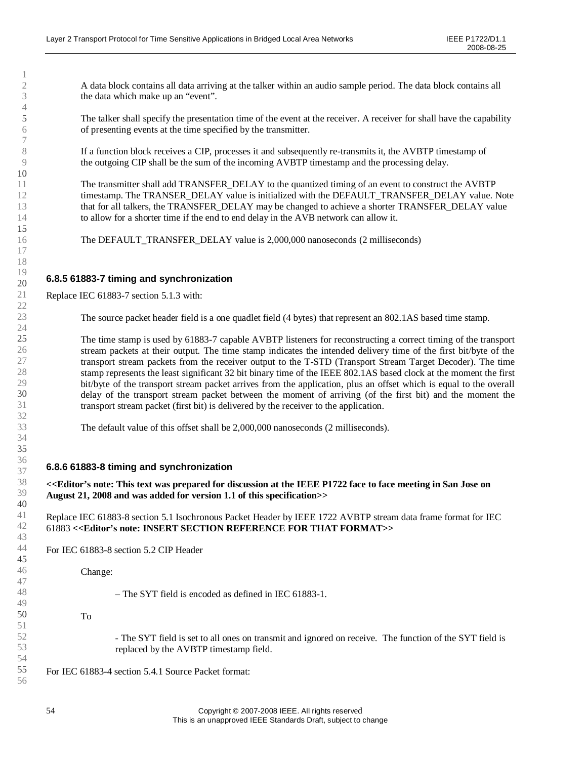A data block contains all data arriving at the talker within an audio sample period. The data block contains all the data which make up an "event".

The talker shall specify the presentation time of the event at the receiver. A receiver for shall have the capability of presenting events at the time specified by the transmitter.

If a function block receives a CIP, processes it and subsequently re-transmits it, the AVBTP timestamp of the outgoing CIP shall be the sum of the incoming AVBTP timestamp and the processing delay.

The transmitter shall add TRANSFER\_DELAY to the quantized timing of an event to construct the AVBTP timestamp. The TRANSER\_DELAY value is initialized with the DEFAULT\_TRANSFER\_DELAY value. Note that for all talkers, the TRANSFER\_DELAY may be changed to achieve a shorter TRANSFER\_DELAY value to allow for a shorter time if the end to end delay in the AVB network can allow it.

The DEFAULT\_TRANSFER\_DELAY value is 2,000,000 nanoseconds (2 milliseconds)

#### **6.8.5 61883-7 timing and synchronization**

Replace IEC 61883-7 section 5.1.3 with:

The source packet header field is a one quadlet field (4 bytes) that represent an 802.1AS based time stamp.

The time stamp is used by 61883-7 capable AVBTP listeners for reconstructing a correct timing of the transport stream packets at their output. The time stamp indicates the intended delivery time of the first bit/byte of the transport stream packets from the receiver output to the T-STD (Transport Stream Target Decoder). The time stamp represents the least significant 32 bit binary time of the IEEE 802.1AS based clock at the moment the first bit/byte of the transport stream packet arrives from the application, plus an offset which is equal to the overall delay of the transport stream packet between the moment of arriving (of the first bit) and the moment the transport stream packet (first bit) is delivered by the receiver to the application.

The default value of this offset shall be 2,000,000 nanoseconds (2 milliseconds).

#### **6.8.6 61883-8 timing and synchronization**

**<<Editor's note: This text was prepared for discussion at the IEEE P1722 face to face meeting in San Jose on August 21, 2008 and was added for version 1.1 of this specification>>**

Replace IEC 61883-8 section 5.1 Isochronous Packet Header by IEEE 1722 AVBTP stream data frame format for IEC **<<Editor's note: INSERT SECTION REFERENCE FOR THAT FORMAT>>**

For IEC 61883-8 section 5.2 CIP Header

Change:

–The SYT field is encoded as defined in IEC 61883-1.

To

- The SYT field is set to all ones on transmit and ignored on receive. The function of the SYT field is replaced by the AVBTP timestamp field.

For IEC 61883-4 section 5.4.1 Source Packet format: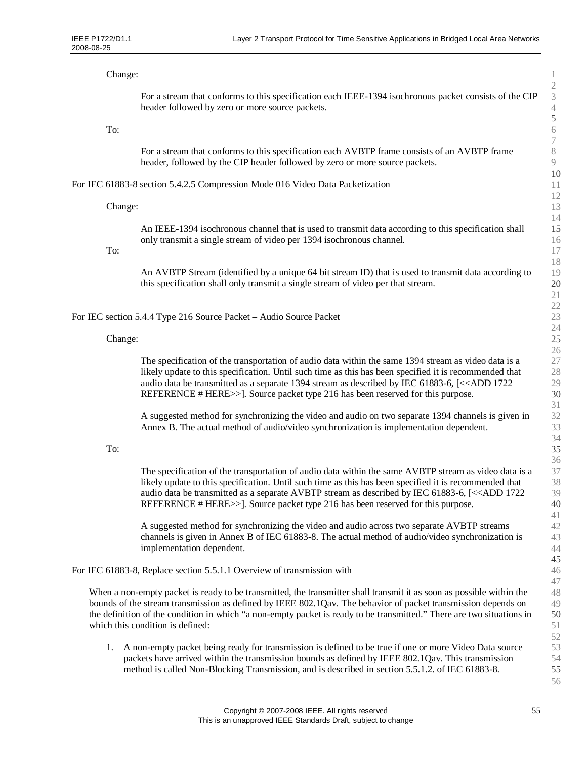#### 1 2 3 4 5 6 7 8 9 10 11 12 13 14 15 16 17 18 19 20 21 22 23 24 25 26 27 28 29 30 31 32 33 34 35 36 37 38 39 40 41 42 43 44 45 46 47 48 49 50 51 52 53 54 55 Change: For a stream that conforms to this specification each IEEE-1394 isochronous packet consists of the CIP header followed by zero or more source packets. To: For a stream that conforms to this specification each AVBTP frame consists of an AVBTP frame header, followed by the CIP header followed by zero or more source packets. For IEC 61883-8 section 5.4.2.5 Compression Mode 016 Video Data Packetization Change: An IEEE-1394 isochronous channel that is used to transmit data according to this specification shall only transmit a single stream of video per 1394 isochronous channel. To: An AVBTP Stream (identified by a unique 64 bit stream ID) that is used to transmit data according to this specification shall only transmit a single stream of video per that stream. For IEC section 5.4.4 Type 216 Source Packet –Audio Source Packet Change: The specification of the transportation of audio data within the same 1394 stream as video data is a likely update to this specification. Until such time as this has been specified it is recommended that audio data be transmitted as a separate 1394 stream as described by IEC 61883-6, [<<ADD 1722 REFERENCE # HERE>>]. Source packet type 216 has been reserved for this purpose. A suggested method for synchronizing the video and audio on two separate 1394 channels is given in Annex B. The actual method of audio/video synchronization is implementation dependent. To: The specification of the transportation of audio data within the same AVBTP stream as video data is a likely update to this specification. Until such time as this has been specified it is recommended that audio data be transmitted as a separate AVBTP stream as described by IEC 61883-6, [<<ADD 1722 REFERENCE # HERE>>]. Source packet type 216 has been reserved for this purpose. A suggested method for synchronizing the video and audio across two separate AVBTP streams channels is given in Annex B of IEC 61883-8. The actual method of audio/video synchronization is implementation dependent. For IEC 61883-8, Replace section 5.5.1.1 Overview of transmission with When a non-empty packet is ready to be transmitted, the transmitter shall transmit it as soon as possible within the bounds of the stream transmission as defined by IEEE 802.1Qav. The behavior of packet transmission depends on the definition of the condition in which "a non-empty packet is ready to be transmitted."There are two situations in which this condition is defined: 1. A non-empty packet being ready for transmission is defined to be true if one or more Video Data source packets have arrived within the transmission bounds as defined by IEEE 802.1Qav. This transmission method is called Non-Blocking Transmission, and is described in section 5.5.1.2. of IEC 61883-8.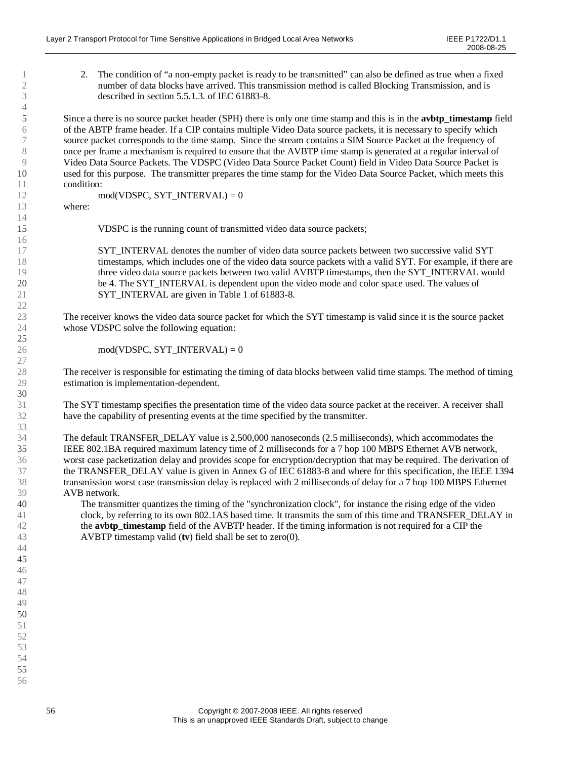2. The condition of "a non-empty packet is ready to be transmitted"can also be defined as true when a fixed number of data blocks have arrived. This transmission method is called Blocking Transmission, and is described in section 5.5.1.3. of IEC 61883-8.

Since a there is no source packet header (SPH) there is only one time stamp and this is in the **avbtp\_timestamp** field of the ABTP frame header. If a CIP contains multiple Video Data source packets, it is necessary to specify which source packet corresponds to the time stamp. Since the stream contains a SIM Source Packet at the frequency of once per frame a mechanism is required to ensure that the AVBTP time stamp is generated at a regular interval of Video Data Source Packets. The VDSPC (Video Data Source Packet Count) field in Video Data Source Packet is used for this purpose. The transmitter prepares the time stamp for the Video Data Source Packet, which meets this condition:

 $mod(VDSPC, SYT INTERVAL) = 0$ 

where:

VDSPC is the running count of transmitted video data source packets;

SYT\_INTERVAL denotes the number of video data source packets between two successive valid SYT timestamps, which includes one of the video data source packets with a valid SYT. For example, if there are three video data source packets between two valid AVBTP timestamps, then the SYT\_INTERVAL would be 4. The SYT\_INTERVAL is dependent upon the video mode and color space used. The values of SYT\_INTERVAL are given in Table 1 of 61883-8.

The receiver knows the video data source packet for which the SYT timestamp is valid since it is the source packet whose VDSPC solve the following equation:

 $mod(VDSPC, SYT INTERVAL) = 0$ 

The receiver is responsible for estimating the timing of data blocks between valid time stamps. The method of timing estimation is implementation-dependent.

The SYT timestamp specifies the presentation time of the video data source packet at the receiver. A receiver shall have the capability of presenting events at the time specified by the transmitter.

The default TRANSFER\_DELAY value is 2,500,000 nanoseconds (2.5 milliseconds), which accommodates the IEEE 802.1BA required maximum latency time of 2 milliseconds for a 7 hop 100 MBPS Ethernet AVB network, worst case packetization delay and provides scope for encryption/decryption that may be required. The derivation of the TRANSFER DELAY value is given in Annex G of IEC 61883-8 and where for this specification, the IEEE 1394 transmission worst case transmission delay is replaced with 2 milliseconds of delay for a 7 hop 100 MBPS Ethernet AVB network.

The transmitter quantizes the timing of the "synchronization clock", for instance the rising edge of the video clock, by referring to its own 802.1AS based time. It transmits the sum of this time and TRANSFER\_DELAY in the **avbtp\_timestamp** field of the AVBTP header. If the timing information is not required for a CIP the AVBTP timestamp valid (**tv**) field shall be set to zero(0).

1 2 3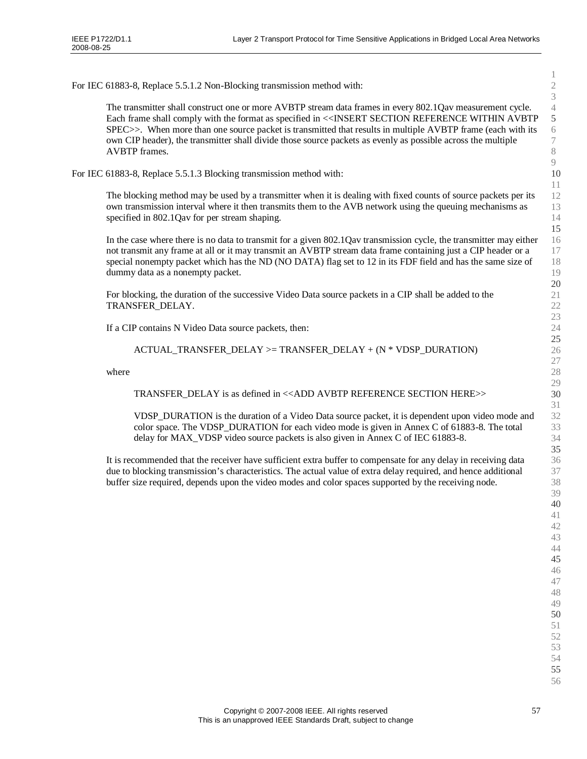For IEC 61883-8, Replace 5.5.1.2 Non-Blocking transmission method with:

The transmitter shall construct one or more AVBTP stream data frames in every 802.1Qav measurement cycle. Each frame shall comply with the format as specified in <<INSERT SECTION REFERENCE WITHIN AVBTP SPEC>>. When more than one source packet is transmitted that results in multiple AVBTP frame (each with its own CIP header), the transmitter shall divide those source packets as evenly as possible across the multiple AVBTP frames.

For IEC 61883-8, Replace 5.5.1.3 Blocking transmission method with:

The blocking method may be used by a transmitter when it is dealing with fixed counts of source packets per its own transmission interval where it then transmits them to the AVB network using the queuing mechanisms as specified in 802.1Qav for per stream shaping.

In the case where there is no data to transmit for a given 802.1Qav transmission cycle, the transmitter may either not transmit any frame at all or it may transmit an AVBTP stream data frame containing just a CIP header or a special nonempty packet which has the ND (NO DATA) flag set to 12 in its FDF field and has the same size of dummy data as a nonempty packet.

For blocking, the duration of the successive Video Data source packets in a CIP shall be added to the TRANSFER\_DELAY.

If a CIP contains N Video Data source packets, then:

$$
ACTUAL\_TRANSFER\_DELAY >= TRANSFER\_DELAY + (N * VDSP\_DURATION)
$$

where

TRANSFER\_DELAY is as defined in <<ADD AVBTP REFERENCE SECTION HERE>>

VDSP\_DURATION is the duration of a Video Data source packet, it is dependent upon video mode and color space. The VDSP\_DURATION for each video mode is given in Annex C of 61883-8. The total delay for MAX\_VDSP video source packets is also given in Annex C of IEC 61883-8.

It is recommended that the receiver have sufficient extra buffer to compensate for any delay in receiving data due to blocking transmission's characteristics. The actual value of extra delay required, and hence additional buffer size required, depends upon the video modes and color spaces supported by the receiving node.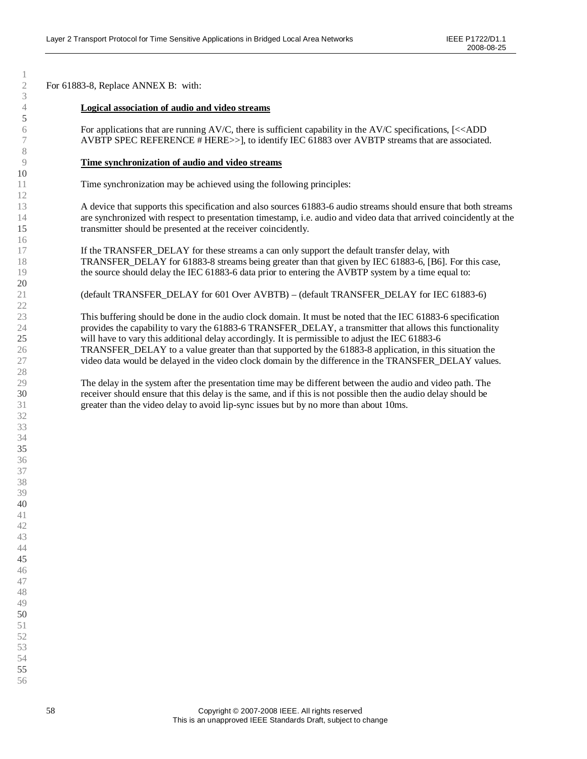For 61883-8, Replace ANNEX B: with:

#### **Logical association of audio and video streams**

For applications that are running AV/C, there is sufficient capability in the AV/C specifications, [<<ADD AVBTP SPEC REFERENCE # HERE>>], to identify IEC 61883 over AVBTP streams that are associated.

#### **Time synchronization of audio and video streams**

Time synchronization may be achieved using the following principles:

A device that supports this specification and also sources 61883-6 audio streams should ensure that both streams are synchronized with respect to presentation timestamp, i.e. audio and video data that arrived coincidently at the transmitter should be presented at the receiver coincidently.

If the TRANSFER\_DELAY for these streams a can only support the default transfer delay, with TRANSFER\_DELAY for 61883-8 streams being greater than that given by IEC 61883-6, [B6]. For this case, the source should delay the IEC 61883-6 data prior to entering the AVBTP system by a time equal to:

(default TRANSFER\_DELAY for 601 Over AVBTB) –(default TRANSFER\_DELAY for IEC 61883-6)

This buffering should be done in the audio clock domain. It must be noted that the IEC 61883-6 specification provides the capability to vary the 61883-6 TRANSFER\_DELAY, a transmitter that allows this functionality will have to vary this additional delay accordingly. It is permissible to adjust the IEC 61883-6 TRANSFER\_DELAY to a value greater than that supported by the 61883-8 application, in this situation the video data would be delayed in the video clock domain by the difference in the TRANSFER\_DELAY values.

The delay in the system after the presentation time may be different between the audio and video path. The receiver should ensure that this delay is the same, and if this is not possible then the audio delay should be greater than the video delay to avoid lip-sync issues but by no more than about 10ms.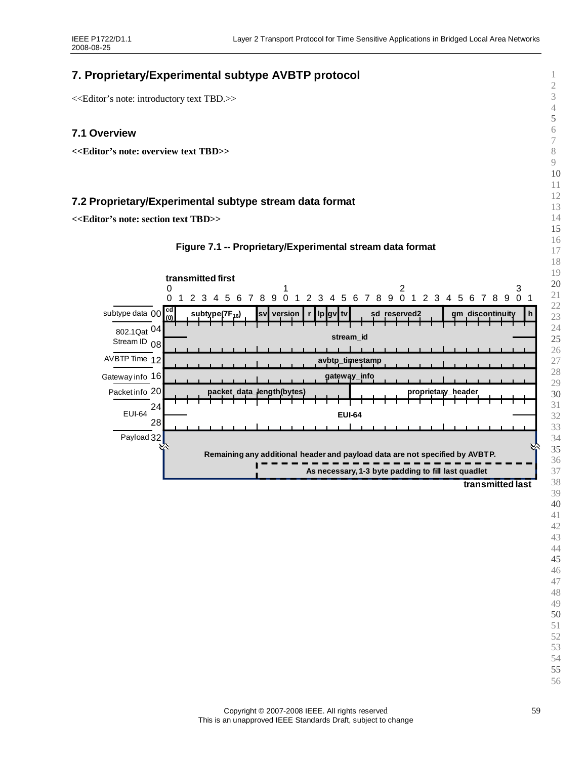# **7. Proprietary/Experimental subtype AVBTP protocol**

<<Editor's note: introductory text TBD.>>

#### **7.1 Overview**

**<<Editor's note: overview text TBD>>**

#### **7.2 Proprietary/Experimental subtype stream data format**

**<<Editor's note: section text TBD>>**





**transmitted last**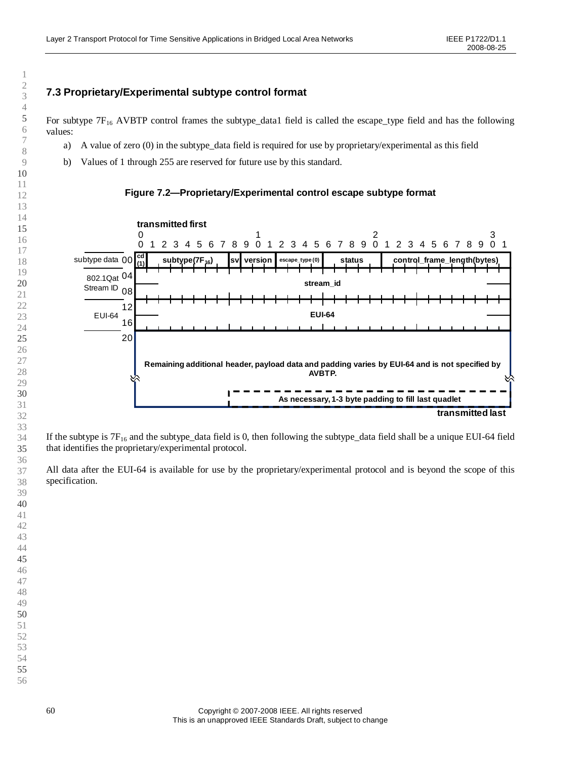## **7.3 Proprietary/Experimental subtype control format**

For subtype  $7F_{16}$  AVBTP control frames the subtype\_data1 field is called the escape\_type field and has the following values:

- a) A value of zero (0) in the subtype\_data field is required for use by proprietary/experimental as this field
- b) Values of 1 through 255 are reserved for future use by this standard.

#### **Figure 7.2— Proprietary/Experimental control escape subtype format**



If the subtype is  $7F_{16}$  and the subtype\_data field is 0, then following the subtype\_data field shall be a unique EUI-64 field that identifies the proprietary/experimental protocol.

All data after the EUI-64 is available for use by the proprietary/experimental protocol and is beyond the scope of this specification.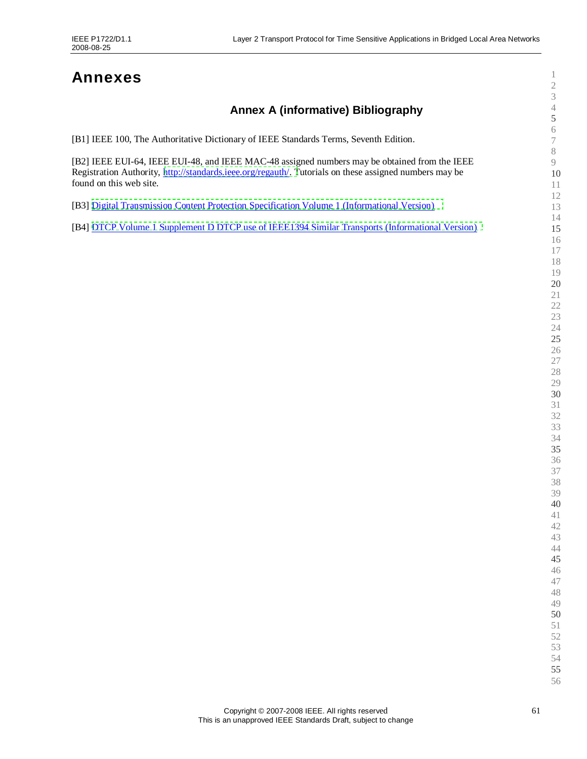# **Annexes**

# **Annex A (informative) Bibliography**

| [B1] IEEE 100, The Authoritative Dictionary of IEEE Standards Terms, Seventh Edition.                                                                                                                   |
|---------------------------------------------------------------------------------------------------------------------------------------------------------------------------------------------------------|
| [B2] IEEE EUI-64, IEEE EUI-48, and IEEE MAC-48 assigned numbers may be obtained from the IEEE<br>Registration Authority, http://standards.ieee.org/regauth/. Tutorials on these assigned numbers may be |
| found on this web site.                                                                                                                                                                                 |

[B3] [Digital Transmission Content Protection Specification Volume 1 \(Informational Version\)](http://www.dtcp.com/data/info 20071001 DTCP V1 1p51.pdf)

[B4] DTCP Volume 1 [Supplement D DTCP use of IEEE1394 Similar Transports \(Informational Version\)](http://www.dtcp.com/data/info 20070615 DTCP V1SD  1p1.pdf)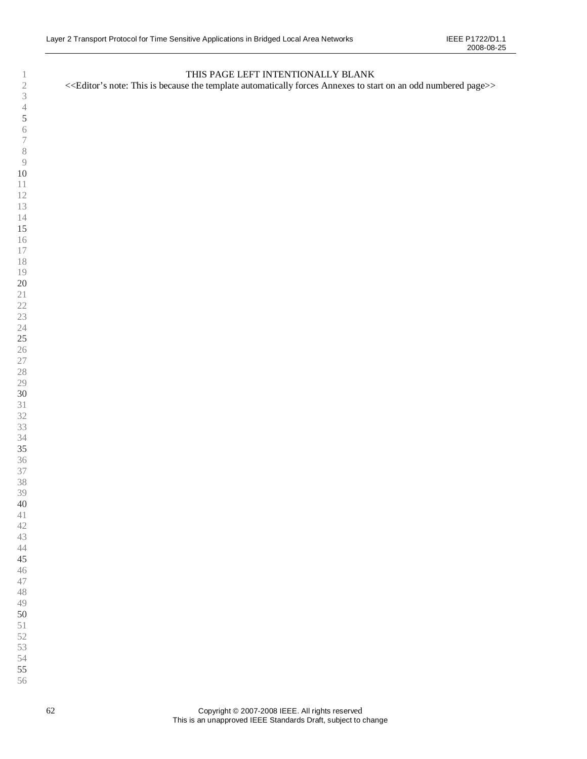#### THIS PAGE LEFT INTENTIONALLY BLANK

<<Editor's note: This is because the template automatically forces Annexes to start on an odd numbered page>>

- 
- 
- 
- 
- 
- 
-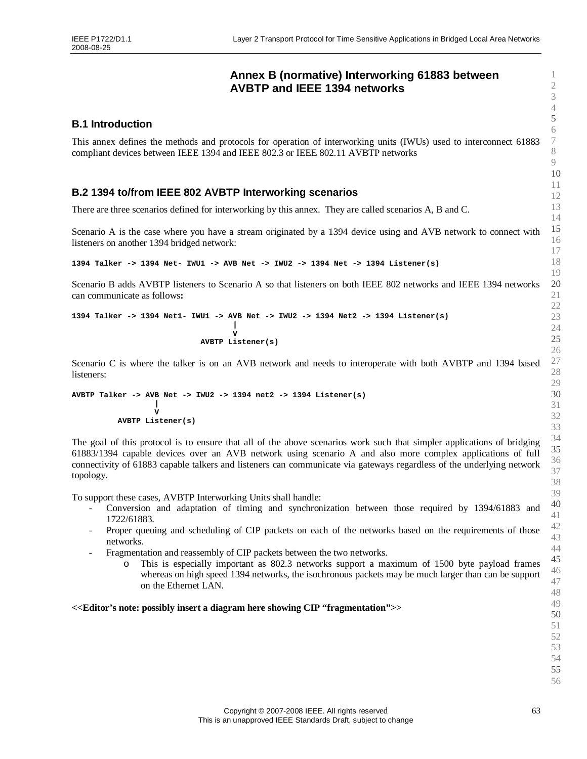# <span id="page-62-0"></span>**Annex B (normative) Interworking 61883 between AVBTP and IEEE 1394 networks**

#### **B.1 Introduction**

This annex defines the methods and protocols for operation of interworking units (IWUs) used to interconnect 61883 compliant devices between IEEE 1394 and IEEE 802.3 or IEEE 802.11 AVBTP networks

### **B.2 1394 to/from IEEE 802 AVBTP Interworking scenarios**

There are three scenarios defined for interworking by this annex. They are called scenarios A, B and C.

Scenario A is the case where you have a stream originated by a 1394 device using and AVB network to connect with listeners on another 1394 bridged network:

```
1394 Talker -> 1394 Net- IWU1 -> AVB Net -> IWU2 -> 1394 Net -> 1394 Listener(s)
```
Scenario B adds AVBTP listeners to Scenario A so that listeners on both IEEE 802 networks and IEEE 1394 networks can communicate as follows**:**

```
1394 Talker -> 1394 Net1- IWU1 -> AVB Net -> IWU2 -> 1394 Net2 -> 1394 Listener(s)
                          |
                          V
                   AVBTP Listener(s)
```
Scenario C is where the talker is on an AVB network and needs to interoperate with both AVBTP and 1394 based listeners:

```
AVBTP Talker -> AVB Net -> IWU2 -> 1394 net2 -> 1394 Listener(s)
        |
        V
AVBTP Listener(s)
```
The goal of this protocol is to ensure that all of the above scenarios work such that simpler applications of bridging 61883/1394 capable devices over an AVB network using scenario A and also more complex applications of full connectivity of 61883 capable talkers and listeners can communicate via gateways regardless of the underlying network topology.

To support these cases, AVBTP Interworking Units shall handle:

- Conversion and adaptation of timing and synchronization between those required by 1394/61883 and 1722/61883.
- Proper queuing and scheduling of CIP packets on each of the networks based on the requirements of those networks.
- Fragmentation and reassembly of CIP packets between the two networks.
	- o This is especially important as 802.3 networks support a maximum of 1500 byte payload frames whereas on high speed 1394 networks, the isochronous packets may be much larger than can be support on the Ethernet LAN.

**<<Editor's note: possibly insert a diagram here showing CIP "fragmentation">>**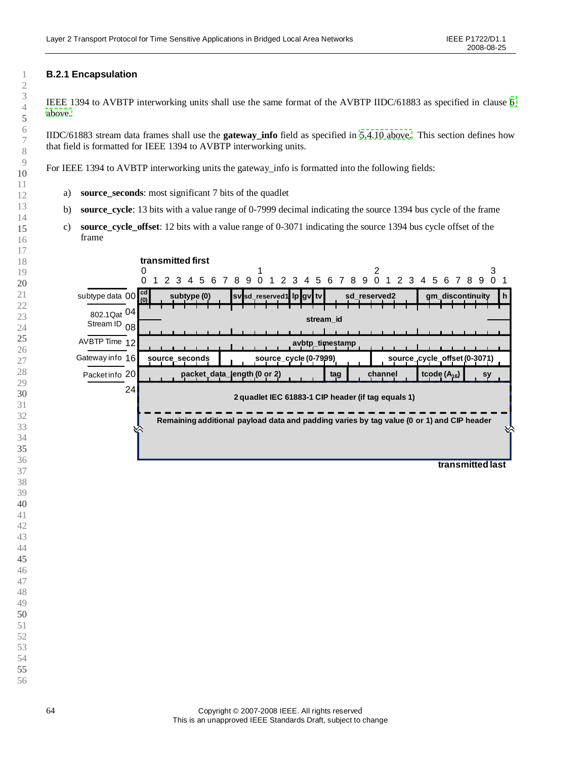### **B.2.1 Encapsulation**

IEEE 1394 to AVBTP interworking units shall use the same format of the AVBTP IIDC/61883 as specified in clause [6](#page-41-0) [above.](#page-41-0)

IIDC/61883 stream data frames shall use the **gateway\_info** field as specified in [5.4.10 above.](#page-36-0) This section defines how that field is formatted for IEEE 1394 to AVBTP interworking units.

For IEEE 1394 to AVBTP interworking units the gateway\_info is formatted into the following fields:

- a) **source\_seconds**: most significant 7 bits of the quadlet
- b) **source** cycle: 13 bits with a value range of 0-7999 decimal indicating the source 1394 bus cycle of the frame
- c) **source\_cycle\_offset**: 12 bits with a value range of 0-3071 indicating the source 1394 bus cycle offset of the frame



**transmitted last**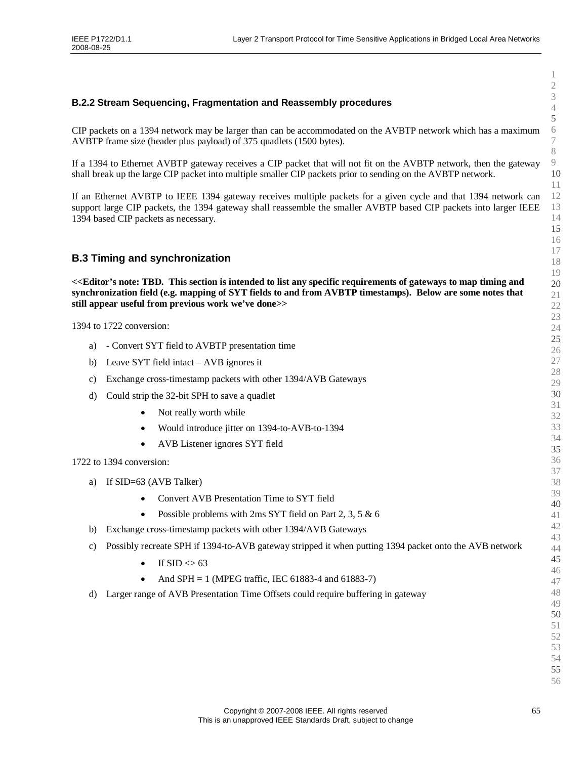#### **B.2.2 Stream Sequencing, Fragmentation and Reassembly procedures**

CIP packets on a 1394 network may be larger than can be accommodated on the AVBTP network which has a maximum AVBTP frame size (header plus payload) of 375 quadlets (1500 bytes).

If a 1394 to Ethernet AVBTP gateway receives a CIP packet that will not fit on the AVBTP network, then the gateway shall break up the large CIP packet into multiple smaller CIP packets prior to sending on the AVBTP network.

If an Ethernet AVBTP to IEEE 1394 gateway receives multiple packets for a given cycle and that 1394 network can support large CIP packets, the 1394 gateway shall reassemble the smaller AVBTP based CIP packets into larger IEEE 1394 based CIP packets as necessary.

#### **B.3 Timing and synchronization**

**<<Editor's note: TBD. This section is intended to list any specific requirements of gateways to map timing and synchronization field (e.g. mapping of SYT fields to and from AVBTP timestamps). Below are some notes that still appear useful from previous work we've done>>**

1394 to 1722 conversion:

- a) Convert SYT field to AVBTP presentation time
- b) Leave SYT field intact –AVB ignores it

c) Exchange cross-timestamp packets with other 1394/AVB Gateways

- d) Could strip the 32-bit SPH to save a quadlet
	- Not really worth while
	- Would introduce jitter on 1394-to-AVB-to-1394
	- AVB Listener ignores SYT field

1722 to 1394 conversion:

- a) If SID=63 (AVB Talker)
	- Convert AVB Presentation Time to SYT field
	- Possible problems with 2ms SYT field on Part 2, 3, 5  $\&$  6
- b) Exchange cross-timestamp packets with other 1394/AVB Gateways
- c) Possibly recreate SPH if 1394-to-AVB gateway stripped it when putting 1394 packet onto the AVB network
	- If  $\text{SID} \leq 63$
	- And SPH = 1 (MPEG traffic, IEC 61883-4 and 61883-7)
- d) Larger range of AVB Presentation Time Offsets could require buffering in gateway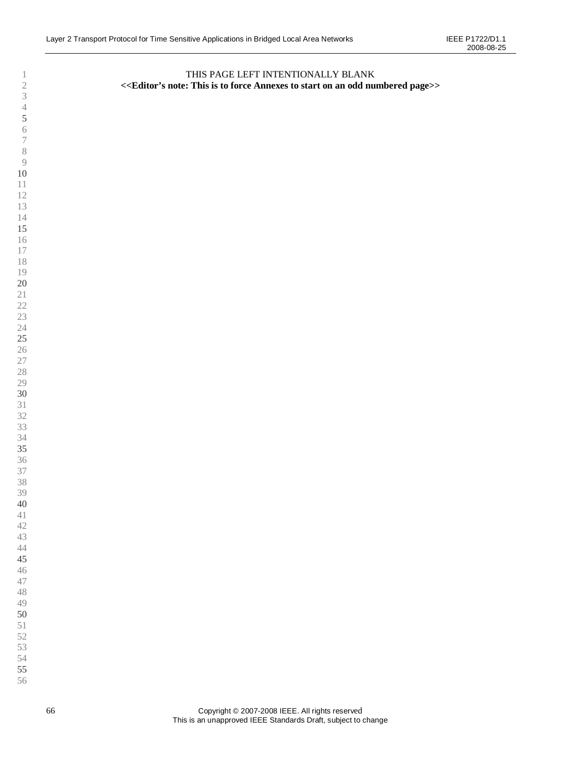#### THIS PAGE LEFT INTENTIONALLY BLANK **<<Editor's note: This is to force Annexes to start on an odd numbered page>>**

- 
- 
- 
-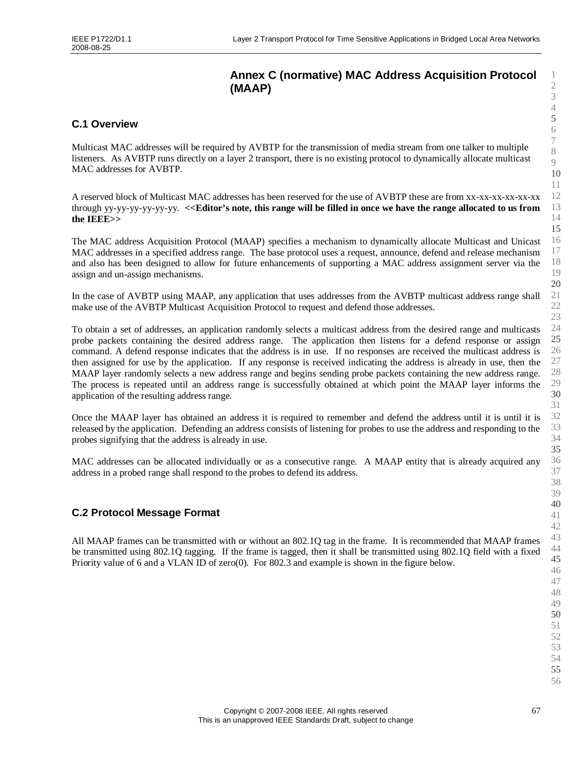# **Annex C (normative) MAC Address Acquisition Protocol (MAAP)**

#### **C.1 Overview**

Multicast MAC addresses will be required by AVBTP for the transmission of media stream from one talker to multiple listeners. As AVBTP runs directly on a layer 2 transport, there is no existing protocol to dynamically allocate multicast MAC addresses for AVBTP.

A reserved block of Multicast MAC addresses has been reserved for the use of AVBTP these are from xx-xx-xx-xx-xx-xx through yy-yy-yy-yy-yy-yy. **<<Editor's note, this range will be filled in once we have the range allocated to us from the IEEE>>**

The MAC address Acquisition Protocol (MAAP) specifies a mechanism to dynamically allocate Multicast and Unicast MAC addresses in a specified address range. The base protocol uses a request, announce, defend and release mechanism and also has been designed to allow for future enhancements of supporting a MAC address assignment server via the assign and un-assign mechanisms.

In the case of AVBTP using MAAP, any application that uses addresses from the AVBTP multicast address range shall make use of the AVBTP Multicast Acquisition Protocol to request and defend those addresses.

To obtain a set of addresses, an application randomly selects a multicast address from the desired range and multicasts probe packets containing the desired address range. The application then listens for a defend response or assign command. A defend response indicates that the address is in use. If no responses are received the multicast address is then assigned for use by the application. If any response is received indicating the address is already in use, then the MAAP layer randomly selects a new address range and begins sending probe packets containing the new address range. The process is repeated until an address range is successfully obtained at which point the MAAP layer informs the application of the resulting address range.

Once the MAAP layer has obtained an address it is required to remember and defend the address until it is until it is released by the application. Defending an address consists of listening for probes to use the address and responding to the probes signifying that the address is already in use.

MAC addresses can be allocated individually or as a consecutive range. A MAAP entity that is already acquired any address in a probed range shall respond to the probes to defend its address.

#### **C.2 Protocol Message Format**

All MAAP frames can be transmitted with or without an 802.1Q tag in the frame. It is recommended that MAAP frames be transmitted using 802.1Q tagging. If the frame is tagged, then it shall be transmitted using 802.1Q field with a fixed Priority value of 6 and a VLAN ID of zero(0). For 802.3 and example is shown in the figure below.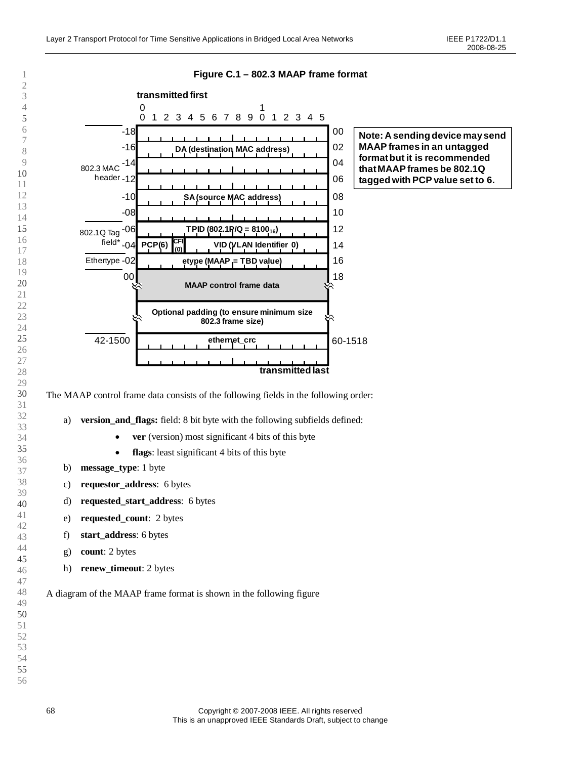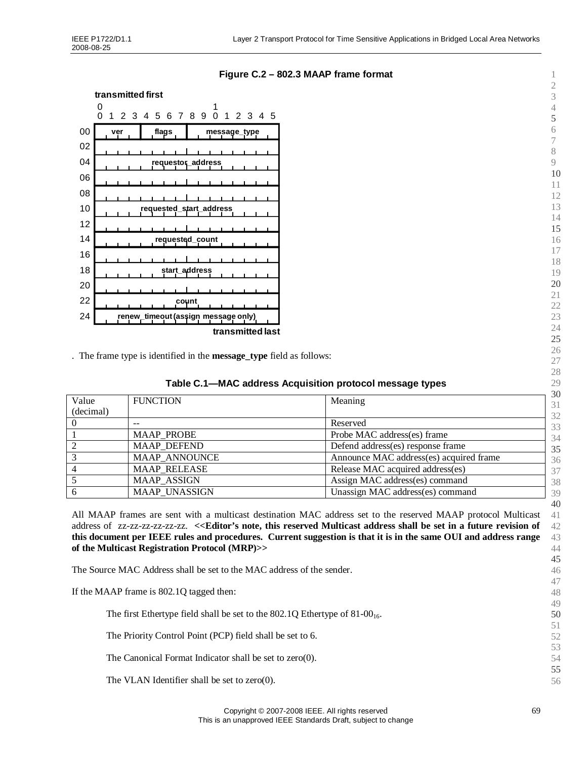

#### **Figure C.2 –802.3 MAAP frame format**

| Value         | <b>FUNCTION</b>      | Meaning                                 | 30<br>31 |
|---------------|----------------------|-----------------------------------------|----------|
| (decimal)     |                      |                                         | 32       |
|               | --                   | Reserved                                | 33       |
|               | <b>MAAP PROBE</b>    | Probe MAC address(es) frame             | 34       |
| $\mathcal{D}$ | MAAP DEFEND          | Defend address(es) response frame       | 35       |
|               | <b>MAAP ANNOUNCE</b> | Announce MAC address(es) acquired frame | 36       |
|               | <b>MAAP RELEASE</b>  | Release MAC acquired address(es)        | 37       |
|               | <b>MAAP ASSIGN</b>   | Assign MAC address(es) command          | 38       |
|               | <b>MAAP UNASSIGN</b> | Unassign MAC address(es) command        | 39       |

All MAAP frames are sent with a multicast destination MAC address set to the reserved MAAP protocol Multicast address of zz-zz-zz-zz-zz-zz. **<<Editor's note, this reserved Multicast address shall be set in a future revision of this document per IEEE rules and procedures. Current suggestion is that it is in the same OUI and address range of the Multicast Registration Protocol (MRP)>>**

 The Source MAC Address shall be set to the MAC address of the sender. If the MAAP frame is 802.1Q tagged then: The first Ethertype field shall be set to the  $802.1Q$  Ethertype of  $81-00<sub>16</sub>$ . The Priority Control Point (PCP) field shall be set to 6. The Canonical Format Indicator shall be set to zero(0). The VLAN Identifier shall be set to zero(0).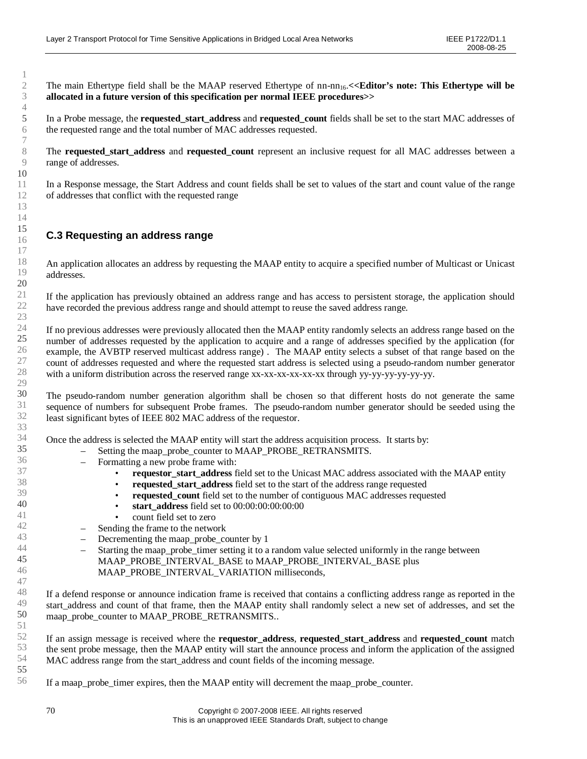The main Ethertype field shall be the MAAP reserved Ethertype of nn-nn<sub>16</sub>. $\lt$ **Editor's note: This Ethertype will be allocated in a future version of this specification per normal IEEE procedures>>**

In a Probe message, the **requested\_start\_address** and **requested\_count** fields shall be set to the start MAC addresses of the requested range and the total number of MAC addresses requested.

The **requested\_start\_address** and **requested\_count** represent an inclusive request for all MAC addresses between a range of addresses.

In a Response message, the Start Address and count fields shall be set to values of the start and count value of the range of addresses that conflict with the requested range

#### **C.3 Requesting an address range**

An application allocates an address by requesting the MAAP entity to acquire a specified number of Multicast or Unicast addresses.

If the application has previously obtained an address range and has access to persistent storage, the application should have recorded the previous address range and should attempt to reuse the saved address range.

If no previous addresses were previously allocated then the MAAP entity randomly selects an address range based on the number of addresses requested by the application to acquire and a range of addresses specified by the application (for example, the AVBTP reserved multicast address range) . The MAAP entity selects a subset of that range based on the count of addresses requested and where the requested start address is selected using a pseudo-random number generator with a uniform distribution across the reserved range xx-xx-xx-xx-xx-xx through yy-yy-yy-yy-yy-yy.

The pseudo-random number generation algorithm shall be chosen so that different hosts do not generate the same sequence of numbers for subsequent Probe frames. The pseudo-random number generator should be seeded using the least significant bytes of IEEE 802 MAC address of the requestor.

Once the address is selected the MAAP entity will start the address acquisition process. It starts by:

- Setting the maap\_probe\_counter to MAAP\_PROBE\_RETRANSMITS.
	- Formatting a new probe frame with:
		- **requestor\_start\_address** field set to the Unicast MAC address associated with the MAAP entity
			- **requested\_start\_address** field set to the start of the address range requested
		- **requested\_count** field set to the number of contiguous MAC addresses requested
		- **start\_address** field set to  $00:00:00:00:00:00$
		- count field set to zero
	- Sending the frame to the network
- Decrementing the maap\_probe\_counter by 1
- Starting the maap probe timer setting it to a random value selected uniformly in the range between MAAP\_PROBE\_INTERVAL\_BASE to MAAP\_PROBE\_INTERVAL\_BASE plus
	- MAAP\_PROBE\_INTERVAL\_VARIATION milliseconds,

If a defend response or announce indication frame is received that contains a conflicting address range as reported in the start\_address and count of that frame, then the MAAP entity shall randomly select a new set of addresses, and set the maap\_probe\_counter to MAAP\_PROBE\_RETRANSMITS..

If an assign message is received where the **requestor\_address**, **requested\_start\_address** and **requested\_count** match the sent probe message, then the MAAP entity will start the announce process and inform the application of the assigned MAC address range from the start address and count fields of the incoming message.

56 If a maap probe timer expires, then the MAAP entity will decrement the maap probe counter.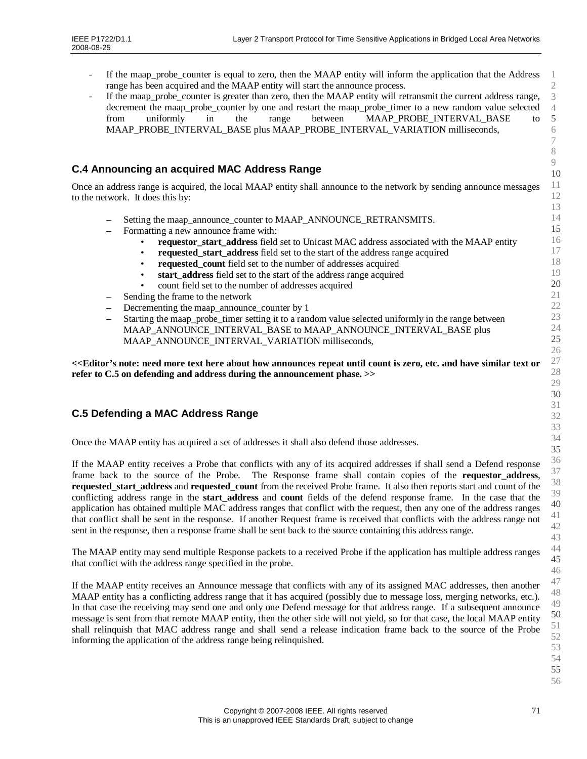- If the maap\_probe\_counter is equal to zero, then the MAAP entity will inform the application that the Address range has been acquired and the MAAP entity will start the announce process.
- If the maap\_probe\_counter is greater than zero, then the MAAP entity will retransmit the current address range, decrement the maap\_probe\_counter by one and restart the maap\_probe\_timer to a new random value selected from uniformly in the range between MAAP\_PROBE\_INTERVAL\_BASE to MAAP\_PROBE\_INTERVAL\_BASE plus MAAP\_PROBE\_INTERVAL\_VARIATION milliseconds,

# **C.4 Announcing an acquired MAC Address Range**

Once an address range is acquired, the local MAAP entity shall announce to the network by sending announce messages to the network. It does this by:

- Setting the maap\_announce\_counter to MAAP\_ANNOUNCE\_RETRANSMITS.
- Formatting a new announce frame with:
	- **requestor\_start\_address** field set to Unicast MAC address associated with the MAAP entity
		- **requested start address** field set to the start of the address range acquired
	- **requested\_count** field set to the number of addresses acquired
	- **start\_address** field set to the start of the address range acquired
	- count field set to the number of addresses acquired
- Sending the frame to the network
- Decrementing the maap\_announce\_counter by 1
- Starting the maap probe timer setting it to a random value selected uniformly in the range between MAAP\_ANNOUNCE\_INTERVAL\_BASE to MAAP\_ANNOUNCE\_INTERVAL\_BASE plus MAAP\_ANNOUNCE\_INTERVAL\_VARIATION milliseconds,

**<<Editor's note: need more text here about how announces repeat until count is zero, etc. and have similar text or refer to C.5 on defending and address during the announcement phase. >>**

# **C.5 Defending a MAC Address Range**

Once the MAAP entity has acquired a set of addresses it shall also defend those addresses.

If the MAAP entity receives a Probe that conflicts with any of its acquired addresses if shall send a Defend response frame back to the source of the Probe. The Response frame shall contain copies of the **requestor\_address**, **requested start address** and **requested count** from the received Probe frame. It also then reports start and count of the conflicting address range in the **start address** and **count** fields of the defend response frame. In the case that the application has obtained multiple MAC address ranges that conflict with the request, then any one of the address ranges that conflict shall be sent in the response. If another Request frame is received that conflicts with the address range not sent in the response, then a response frame shall be sent back to the source containing this address range.

The MAAP entity may send multiple Response packets to a received Probe if the application has multiple address ranges that conflict with the address range specified in the probe.

If the MAAP entity receives an Announce message that conflicts with any of its assigned MAC addresses, then another MAAP entity has a conflicting address range that it has acquired (possibly due to message loss, merging networks, etc.). In that case the receiving may send one and only one Defend message for that address range. If a subsequent announce message is sent from that remote MAAP entity, then the other side will not yield, so for that case, the local MAAP entity shall relinquish that MAC address range and shall send a release indication frame back to the source of the Probe informing the application of the address range being relinquished.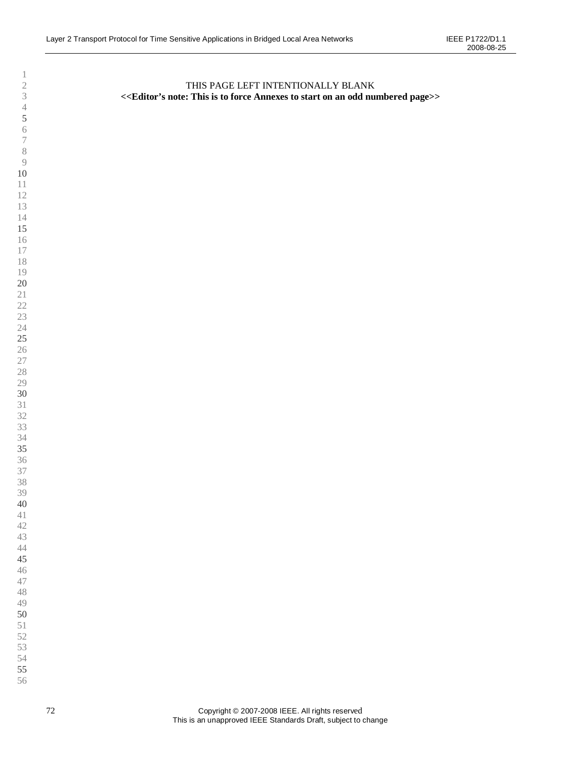#### THIS PAGE LEFT INTENTIONALLY BLANK **<<Editor's note: This is to force Annexes to start on an odd numbered page>>**

- 
- 
-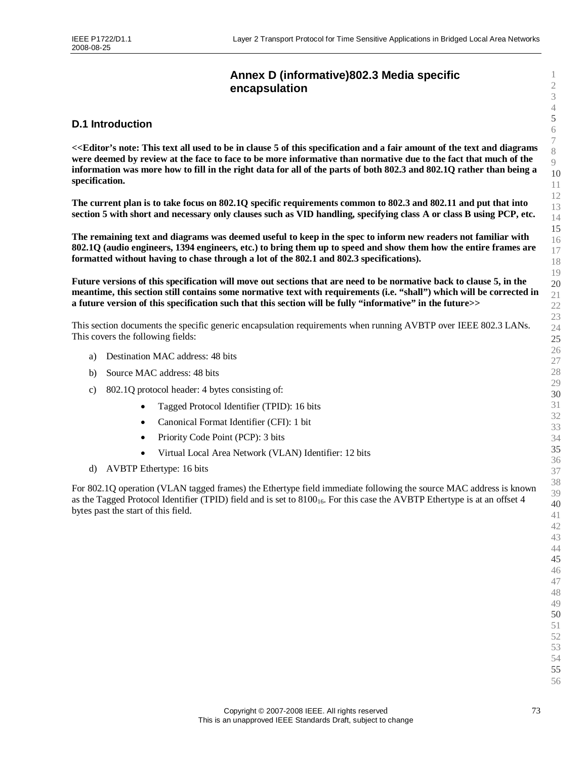# **Annex D (informative)802.3 Media specific encapsulation**

## **D.1 Introduction**

**<<Editor's note: This text all used to be in clause 5 of this specification and a fair amount of the text and diagrams were deemed by review at the face to face to be more informative than normative due to the fact that much of the information was more how to fill in the right data for all of the parts of both 802.3 and 802.1Q rather than being a specification.**

**The current plan is to take focus on 802.1Q specific requirements common to 802.3 and 802.11 and put that into section 5 with short and necessary only clauses such as VID handling, specifying class A or class B using PCP, etc.**

**The remaining text and diagrams was deemed useful to keep in the spec to inform new readers not familiar with 802.1Q (audio engineers, 1394 engineers, etc.) to bring them up to speed and show them how the entire frames are formatted without having to chase through a lot of the 802.1 and 802.3 specifications).**

**Future versions of this specification will move out sections that are need to be normative back to clause 5, in the meantime, this section still contains some normative text with requirements (i.e. "shall") which will be corrected in a future version of this specification such that this section will be fully "informative"in the future>>**

This section documents the specific generic encapsulation requirements when running AVBTP over IEEE 802.3 LANs. This covers the following fields:

- a) Destination MAC address: 48 bits
- b) Source MAC address: 48 bits
- c) 802.1Q protocol header: 4 bytes consisting of:
	- Tagged Protocol Identifier (TPID): 16 bits
	- Canonical Format Identifier (CFI): 1 bit
	- Priority Code Point (PCP): 3 bits
	- Virtual Local Area Network (VLAN) Identifier: 12 bits
- d) AVBTP Ethertype: 16 bits

For 802.1Q operation (VLAN tagged frames) the Ethertype field immediate following the source MAC address is known as the Tagged Protocol Identifier (TPID) field and is set to  $8100<sub>16</sub>$ . For this case the AVBTP Ethertype is at an offset 4 bytes past the start of this field.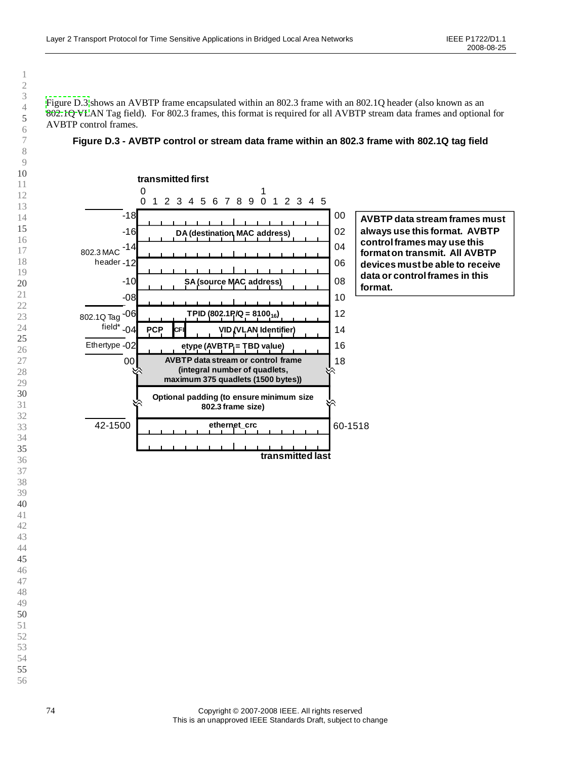[Figure](#page-73-0) D.3 shows an AVBTP frame encapsulated within an 802.3 frame with an 802.1Q header (also known as an 802.1Q VLAN Tag field). For 802.3 frames, this format is required for all AVBTP stream data frames and optional for AVBTP control frames.



<span id="page-73-0"></span>**Figure D.3 - AVBTP control or stream data frame within an 802.3 frame with 802.1Q tag field**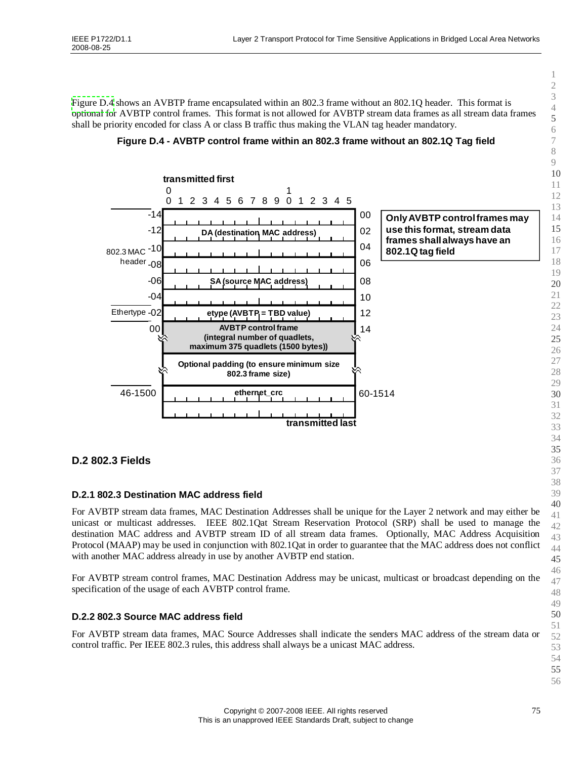[Figure](#page-74-0) D.4 shows an AVBTP frame encapsulated within an 802.3 frame without an 802.1Q header. This format is optional for AVBTP control frames. This format is not allowed for AVBTP stream data frames as all stream data frames shall be priority encoded for class A or class B traffic thus making the VLAN tag header mandatory.



<span id="page-74-0"></span>**Figure D.4 - AVBTP control frame within an 802.3 frame without an 802.1Q Tag field**

## **D.2 802.3 Fields**

#### **D.2.1 802.3 Destination MAC address field**

For AVBTP stream data frames, MAC Destination Addresses shall be unique for the Layer 2 network and may either be unicast or multicast addresses. IEEE 802.1Qat Stream Reservation Protocol (SRP) shall be used to manage the destination MAC address and AVBTP stream ID of all stream data frames. Optionally, MAC Address Acquisition Protocol (MAAP) may be used in conjunction with 802.1Qat in order to guarantee that the MAC address does not conflict with another MAC address already in use by another AVBTP end station.

For AVBTP stream control frames, MAC Destination Address may be unicast, multicast or broadcast depending on the specification of the usage of each AVBTP control frame.

#### **D.2.2 802.3 Source MAC address field**

For AVBTP stream data frames, MAC Source Addresses shall indicate the senders MAC address of the stream data or control traffic. Per IEEE 802.3 rules, this address shall always be a unicast MAC address.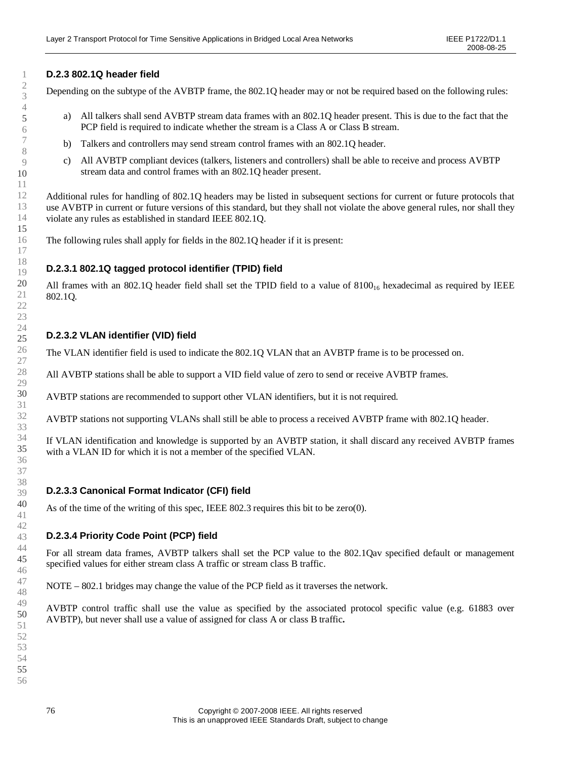## **D.2.3 802.1Q header field**

Depending on the subtype of the AVBTP frame, the 802.1Q header may or not be required based on the following rules:

- a) All talkers shall send AVBTP stream data frames with an 802.1Q header present. This is due to the fact that the PCP field is required to indicate whether the stream is a Class A or Class B stream.
- b) Talkers and controllers may send stream control frames with an 802.1Q header.
- c) All AVBTP compliant devices (talkers, listeners and controllers) shall be able to receive and process AVBTP stream data and control frames with an 802.1Q header present.

Additional rules for handling of 802.1Q headers may be listed in subsequent sections for current or future protocols that use AVBTP in current or future versions of this standard, but they shall not violate the above general rules, nor shall they violate any rules as established in standard IEEE 802.1Q.

The following rules shall apply for fields in the 802.1Q header if it is present:

## **D.2.3.1 802.1Q tagged protocol identifier (TPID) field**

All frames with an 802.1Q header field shall set the TPID field to a value of  $8100<sub>16</sub>$  hexadecimal as required by IEEE 802.1Q.

#### **D.2.3.2 VLAN identifier (VID) field**

The VLAN identifier field is used to indicate the 802.1Q VLAN that an AVBTP frame is to be processed on.

All AVBTP stations shall be able to support a VID field value of zero to send or receive AVBTP frames.

AVBTP stations are recommended to support other VLAN identifiers, but it is not required.

AVBTP stations not supporting VLANs shall still be able to process a received AVBTP frame with 802.1Q header.

If VLAN identification and knowledge is supported by an AVBTP station, it shall discard any received AVBTP frames with a VLAN ID for which it is not a member of the specified VLAN.

#### **D.2.3.3 Canonical Format Indicator (CFI) field**

As of the time of the writing of this spec, IEEE 802.3 requires this bit to be zero(0).

## **D.2.3.4 Priority Code Point (PCP) field**

For all stream data frames, AVBTP talkers shall set the PCP value to the 802.1Qav specified default or management specified values for either stream class A traffic or stream class B traffic.

NOTE – 802.1 bridges may change the value of the PCP field as it traverses the network.

AVBTP control traffic shall use the value as specified by the associated protocol specific value (e.g. 61883 over AVBTP), but never shall use a value of assigned for class A or class B traffic**.**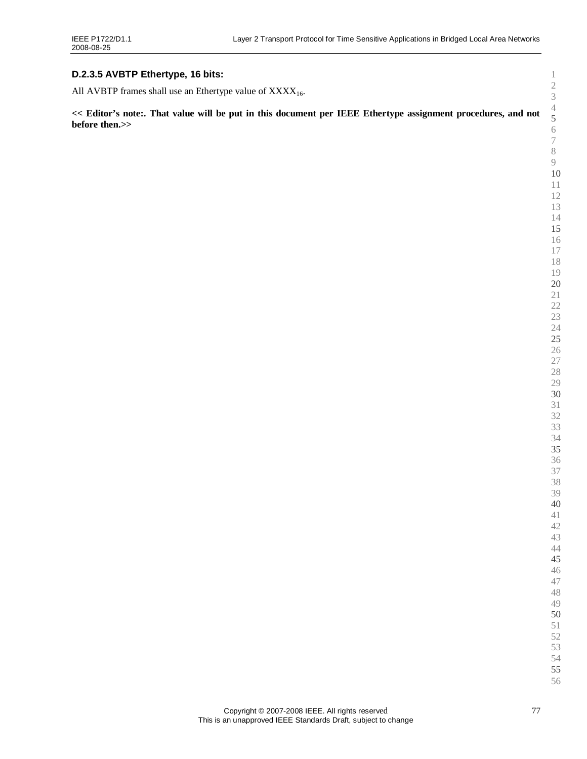#### **D.2.3.5 AVBTP Ethertype, 16 bits:**

All AVBTP frames shall use an Ethertype value of  $XXXX_{16}$ .

**<< Editor's note:. That value will be put in this document per IEEE Ethertype assignment procedures, and not before then.>>**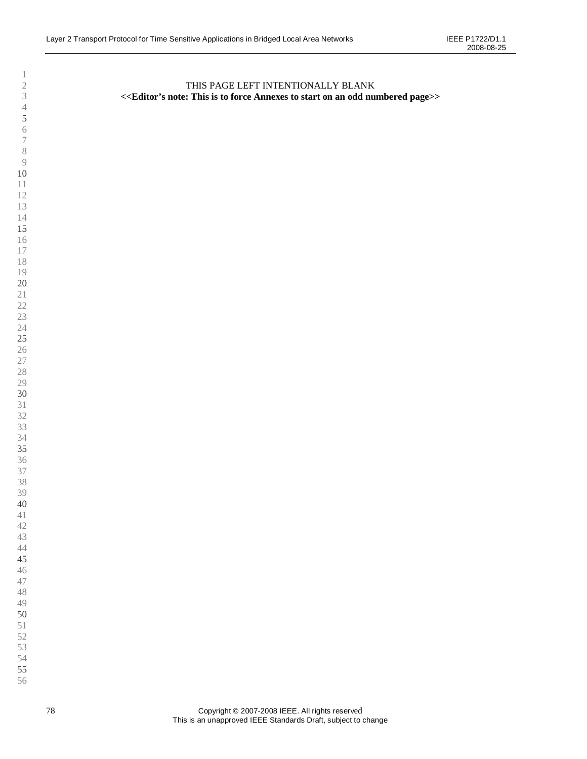## THIS PAGE LEFT INTENTIONALLY BLANK **<<Editor's note: This is to force Annexes to start on an odd numbered page>>**

 Copyright © 2007-2008 IEEE. All rights reserved This is an unapproved IEEE Standards Draft, subject to change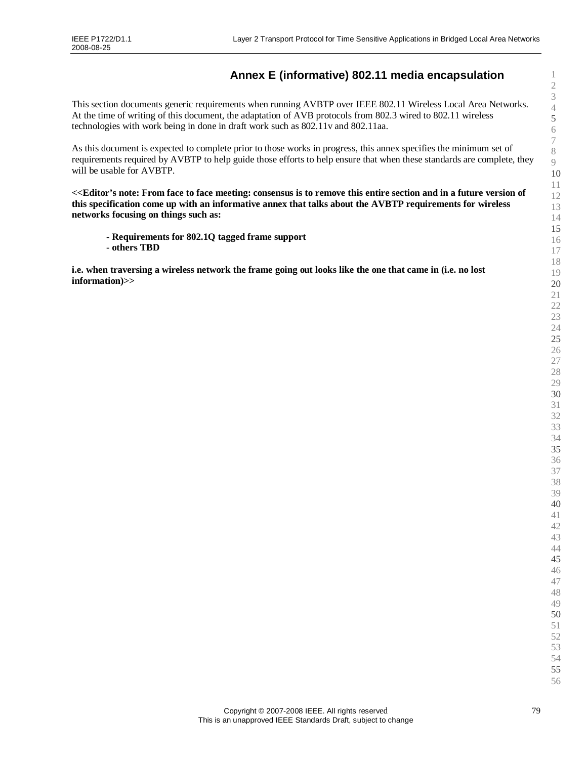# **Annex E (informative) 802.11 media encapsulation**

This section documents generic requirements when running AVBTP over IEEE 802.11 Wireless Local Area Networks. At the time of writing of this document, the adaptation of AVB protocols from 802.3 wired to 802.11 wireless technologies with work being in done in draft work such as 802.11v and 802.11aa.

As this document is expected to complete prior to those works in progress, this annex specifies the minimum set of requirements required by AVBTP to help guide those efforts to help ensure that when these standards are complete, they will be usable for AVBTP.

**<<Editor's note: From face to face meeting: consensus is to remove this entire section and in a future version of this specification come up with an informative annex that talks about the AVBTP requirements for wireless networks focusing on things such as:**

- **- Requirements for 802.1Q tagged frame support**
- **- others TBD**

**i.e. when traversing a wireless network the frame going out looks like the one that came in (i.e. no lost information)>>**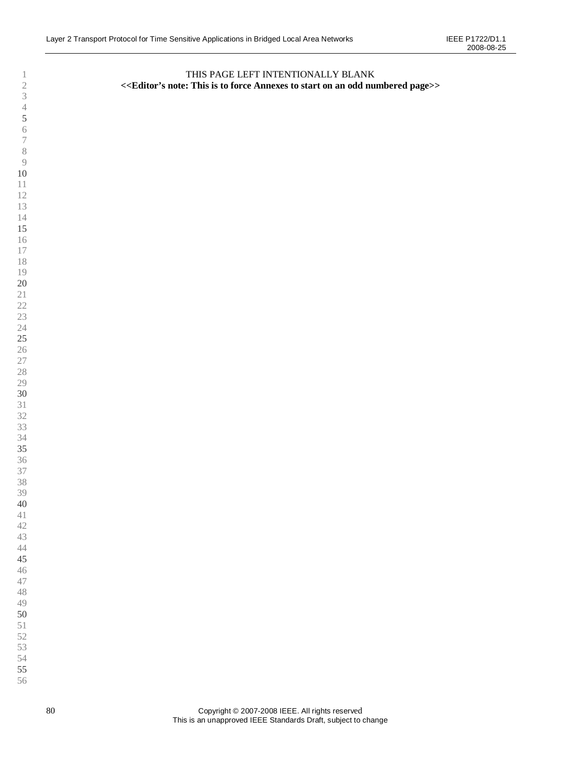#### THIS PAGE LEFT INTENTIONALLY BLANK **<<Editor's note: This is to force Annexes to start on an odd numbered page>>**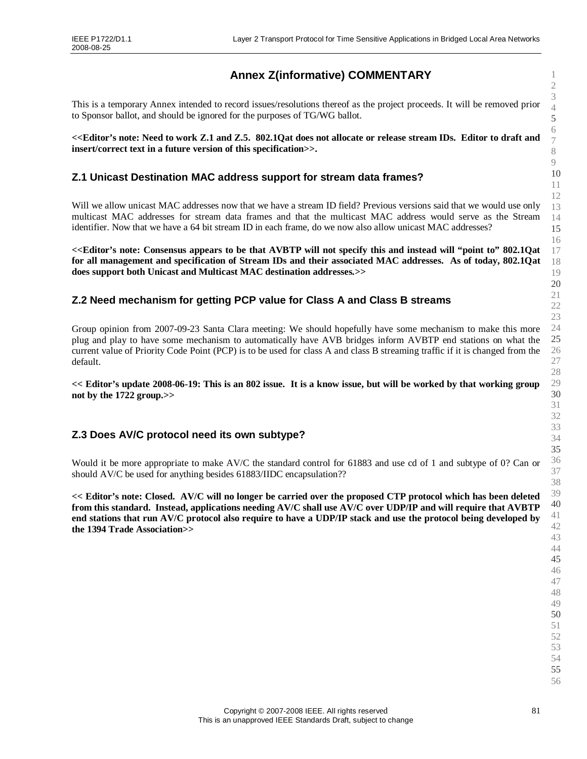# **Annex Z(informative) COMMENTARY**

This is a temporary Annex intended to record issues/resolutions thereof as the project proceeds. It will be removed prior to Sponsor ballot, and should be ignored for the purposes of TG/WG ballot.

**<<Editor's note: Need to work Z.1 and Z.5. 802.1Qat does not allocate or release stream IDs. Editor to draft and insert/correct text in a future version of this specification>>.**

# **Z.1 Unicast Destination MAC address support for stream data frames?**

Will we allow unicast MAC addresses now that we have a stream ID field? Previous versions said that we would use only multicast MAC addresses for stream data frames and that the multicast MAC address would serve as the Stream identifier. Now that we have a 64 bit stream ID in each frame, do we now also allow unicast MAC addresses?

**<<Editor's note: Consensus appears to be that AVBTP will not specify this and instead will "point to"802.1Qat for all management and specification of Stream IDs and their associated MAC addresses. As of today, 802.1Qat does support both Unicast and Multicast MAC destination addresses.>>**

# **Z.2 Need mechanism for getting PCP value for Class A and Class B streams**

Group opinion from 2007-09-23 Santa Clara meeting: We should hopefully have some mechanism to make this more plug and play to have some mechanism to automatically have AVB bridges inform AVBTP end stations on what the current value of Priority Code Point (PCP) is to be used for class A and class B streaming traffic if it is changed from the default.

**<< Editor's update 2008-06-19: This is an 802 issue. It is a know issue, but will be worked by that working group not by the 1722 group.>>**

# **Z.3 Does AV/C protocol need its own subtype?**

Would it be more appropriate to make AV/C the standard control for 61883 and use cd of 1 and subtype of 0? Can or should AV/C be used for anything besides 61883/IIDC encapsulation??

**<< Editor's note: Closed. AV/C will no longer be carried over the proposed CTP protocol which has been deleted from this standard. Instead, applications needing AV/C shall use AV/C over UDP/IP and will require that AVBTP end stations that run AV/C protocol also require to have a UDP/IP stack and use the protocol being developed by the 1394 Trade Association>>**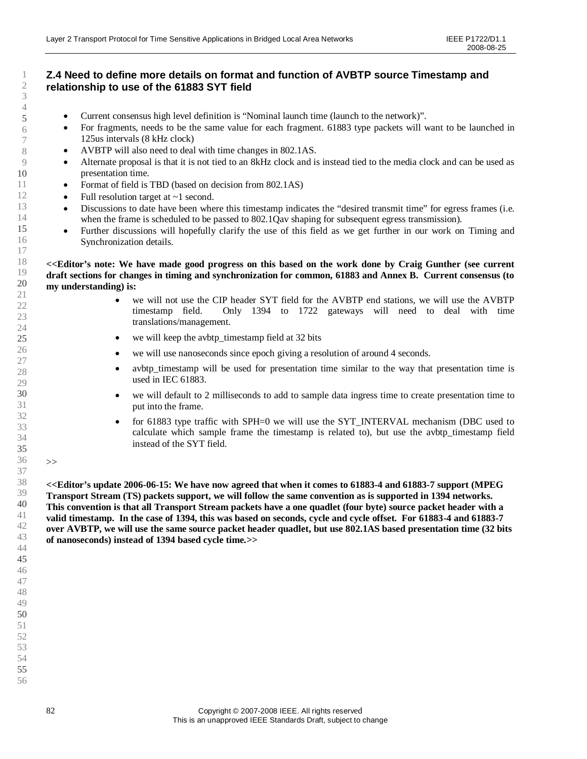# **Z.4 Need to define more details on format and function of AVBTP source Timestamp and relationship to use of the 61883 SYT field**

- Current consensus high level definition is "Nominal launch time (launch to the network)".
- For fragments, needs to be the same value for each fragment. 61883 type packets will want to be launched in 125us intervals (8 kHz clock)
- AVBTP will also need to deal with time changes in 802.1AS.
- Alternate proposal is that it is not tied to an 8kHz clock and is instead tied to the media clock and can be used as presentation time.
- Format of field is TBD (based on decision from 802.1AS)
- Full resolution target at  $\sim$ 1 second.
- Discussions to date have been where this timestamp indicates the "desired transmit time" for egress frames (i.e. when the frame is scheduled to be passed to 802.1Qav shaping for subsequent egress transmission).
- Further discussions will hopefully clarify the use of this field as we get further in our work on Timing and Synchronization details.

**<<Editor's note: We have made good progress on this based on the work done by Craig Gunther (see current draft sections for changes in timing and synchronization for common, 61883 and Annex B. Current consensus (to my understanding) is:**

- we will not use the CIP header SYT field for the AVBTP end stations, we will use the AVBTP timestamp field. Only 1394 to 1722 gateways will need to deal with time translations/management.
- we will keep the avbtp\_timestamp field at 32 bits
- we will use nanoseconds since epoch giving a resolution of around 4 seconds.
- avbtp\_timestamp will be used for presentation time similar to the way that presentation time is used in IEC 61883.
- we will default to 2 milliseconds to add to sample data ingress time to create presentation time to put into the frame.
- for 61883 type traffic with SPH=0 we will use the SYT\_INTERVAL mechanism (DBC used to calculate which sample frame the timestamp is related to), but use the avbtp\_timestamp field instead of the SYT field.

>>

**<<Editor's update 2006-06-15: We have now agreed that when it comes to 61883-4 and 61883-7 support (MPEG Transport Stream (TS) packets support, we will follow the same convention as is supported in 1394 networks. This convention is that all Transport Stream packets have a one quadlet (four byte) source packet header with a valid timestamp. In the case of 1394, this was based on seconds, cycle and cycle offset. For 61883-4 and 61883-7 over AVBTP, we will use the same source packet header quadlet, but use 802.1AS based presentation time (32 bits of nanoseconds) instead of 1394 based cycle time.>>**

- 44 45 46 47
- 48
- 49 50

- 53
- 54
- 55
- 56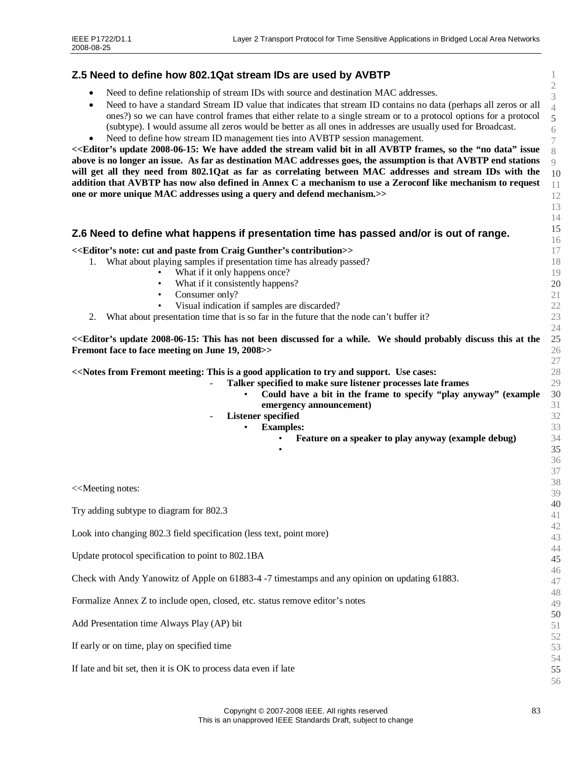## **Z.5 Need to define how 802.1Qat stream IDs are used by AVBTP**

- Need to define relationship of stream IDs with source and destination MAC addresses.
- Need to have a standard Stream ID value that indicates that stream ID contains no data (perhaps all zeros or all ones?) so we can have control frames that either relate to a single stream or to a protocol options for a protocol (subtype). I would assume all zeros would be better as all ones in addresses are usually used for Broadcast.
- Need to define how stream ID management ties into AVBTP session management.

**<<Editor's update 2008-06-15: We have added the stream valid bit in all AVBTP frames, so the "no data"issue above is no longer an issue. As far as destination MAC addresses goes, the assumption is that AVBTP end stations** will get all they need from 802.1Qat as far as correlating between MAC addresses and stream IDs with the<br>addition that AVBTP has now also defined in Anney C a mechanism to use a Zeroconfilite mechanism to request **addition that AVBTP has now also defined in Annex C a mechanism to use a Zeroconf like mechanism to request**

| addition that AVBTP has now also defined in Annex C a mechanism to use a Zeroconf like mechanism to request                                                                                                                   | 11       |
|-------------------------------------------------------------------------------------------------------------------------------------------------------------------------------------------------------------------------------|----------|
| one or more unique MAC addresses using a query and defend mechanism.>>                                                                                                                                                        | 12       |
|                                                                                                                                                                                                                               | 13       |
|                                                                                                                                                                                                                               | 14       |
| Z.6 Need to define what happens if presentation time has passed and/or is out of range.                                                                                                                                       | 15       |
|                                                                                                                                                                                                                               | 16       |
| << Editor's note: cut and paste from Craig Gunther's contribution >>                                                                                                                                                          | 17       |
| What about playing samples if presentation time has already passed?<br>1.                                                                                                                                                     | 18       |
| What if it only happens once?                                                                                                                                                                                                 | 19       |
| What if it consistently happens?                                                                                                                                                                                              | 20       |
| Consumer only?<br>$\bullet$                                                                                                                                                                                                   | 21       |
| Visual indication if samples are discarded?                                                                                                                                                                                   | 22       |
| What about presentation time that is so far in the future that the node can't buffer it?<br>2.                                                                                                                                | 23       |
|                                                                                                                                                                                                                               | 24<br>25 |
| < <editor's 2008-06-15:="" a="" at="" been="" discuss="" discussed="" for="" has="" not="" probably="" should="" the<br="" this="" update="" we="" while.="">Fremont face to face meeting on June 19, 2008&gt;&gt;</editor's> | 26       |
|                                                                                                                                                                                                                               | $27\,$   |
| < <notes a="" and="" application="" cases:<="" fremont="" from="" good="" is="" meeting:="" support.="" th="" this="" to="" try="" use=""><th>28</th></notes>                                                                 | 28       |
| Talker specified to make sure listener processes late frames                                                                                                                                                                  | 29       |
| Could have a bit in the frame to specify "play anyway" (example                                                                                                                                                               | 30       |
| emergency announcement)                                                                                                                                                                                                       | 31       |
| <b>Listener</b> specified                                                                                                                                                                                                     | 32       |
| <b>Examples:</b>                                                                                                                                                                                                              | 33       |
| Feature on a speaker to play anyway (example debug)                                                                                                                                                                           | 34       |
|                                                                                                                                                                                                                               | 35       |
|                                                                                                                                                                                                                               | 36       |
|                                                                                                                                                                                                                               | 37       |
| < <meeting notes:<="" th=""><th>38</th></meeting>                                                                                                                                                                             | 38       |
|                                                                                                                                                                                                                               | 39       |
| Try adding subtype to diagram for 802.3                                                                                                                                                                                       | 40       |
|                                                                                                                                                                                                                               | 41       |
| Look into changing 802.3 field specification (less text, point more)                                                                                                                                                          | 42<br>43 |
|                                                                                                                                                                                                                               | 44       |
| Update protocol specification to point to 802.1BA                                                                                                                                                                             | 45       |
|                                                                                                                                                                                                                               | 46       |
| Check with Andy Yanowitz of Apple on 61883-4 -7 timestamps and any opinion on updating 61883.                                                                                                                                 | 47       |
|                                                                                                                                                                                                                               | 48       |
| Formalize Annex Z to include open, closed, etc. status remove editor's notes                                                                                                                                                  | 49       |
|                                                                                                                                                                                                                               | 50       |
| Add Presentation time Always Play (AP) bit                                                                                                                                                                                    | 51       |
|                                                                                                                                                                                                                               | 52       |
| If early or on time, play on specified time                                                                                                                                                                                   | 53       |
|                                                                                                                                                                                                                               | 54       |
| If late and bit set, then it is OK to process data even if late                                                                                                                                                               | 55       |
|                                                                                                                                                                                                                               | 56       |